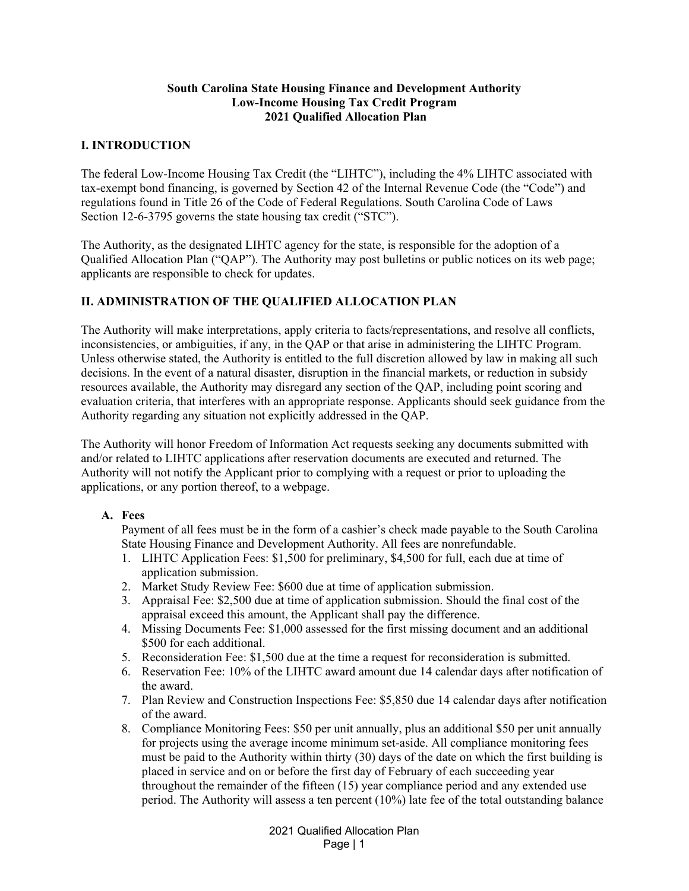### **South Carolina State Housing Finance and Development Authority Low-Income Housing Tax Credit Program 2021 Qualified Allocation Plan**

## **I. INTRODUCTION**

The federal Low-Income Housing Tax Credit (the "LIHTC"), including the 4% LIHTC associated with tax-exempt bond financing, is governed by Section 42 of the Internal Revenue Code (the "Code") and regulations found in Title 26 of the Code of Federal Regulations. South Carolina Code of Laws Section 12-6-3795 governs the state housing tax credit ("STC").

The Authority, as the designated LIHTC agency for the state, is responsible for the adoption of a Qualified Allocation Plan ("QAP"). The Authority may post bulletins or public notices on its web page; applicants are responsible to check for updates.

## **II. ADMINISTRATION OF THE QUALIFIED ALLOCATION PLAN**

The Authority will make interpretations, apply criteria to facts/representations, and resolve all conflicts, inconsistencies, or ambiguities, if any, in the QAP or that arise in administering the LIHTC Program. Unless otherwise stated, the Authority is entitled to the full discretion allowed by law in making all such decisions. In the event of a natural disaster, disruption in the financial markets, or reduction in subsidy resources available, the Authority may disregard any section of the QAP, including point scoring and evaluation criteria, that interferes with an appropriate response. Applicants should seek guidance from the Authority regarding any situation not explicitly addressed in the QAP.

The Authority will honor Freedom of Information Act requests seeking any documents submitted with and/or related to LIHTC applications after reservation documents are executed and returned. The Authority will not notify the Applicant prior to complying with a request or prior to uploading the applications, or any portion thereof, to a webpage.

### **A. Fees**

Payment of all fees must be in the form of a cashier's check made payable to the South Carolina State Housing Finance and Development Authority. All fees are nonrefundable.

- 1. LIHTC Application Fees: \$1,500 for preliminary, \$4,500 for full, each due at time of application submission.
- 2. Market Study Review Fee: \$600 due at time of application submission.
- 3. Appraisal Fee: \$2,500 due at time of application submission. Should the final cost of the appraisal exceed this amount, the Applicant shall pay the difference.
- 4. Missing Documents Fee: \$1,000 assessed for the first missing document and an additional \$500 for each additional.
- 5. Reconsideration Fee: \$1,500 due at the time a request for reconsideration is submitted.
- 6. Reservation Fee: 10% of the LIHTC award amount due 14 calendar days after notification of the award.
- 7. Plan Review and Construction Inspections Fee: \$5,850 due 14 calendar days after notification of the award.
- 8. Compliance Monitoring Fees: \$50 per unit annually, plus an additional \$50 per unit annually for projects using the average income minimum set-aside. All compliance monitoring fees must be paid to the Authority within thirty (30) days of the date on which the first building is placed in service and on or before the first day of February of each succeeding year throughout the remainder of the fifteen (15) year compliance period and any extended use period. The Authority will assess a ten percent (10%) late fee of the total outstanding balance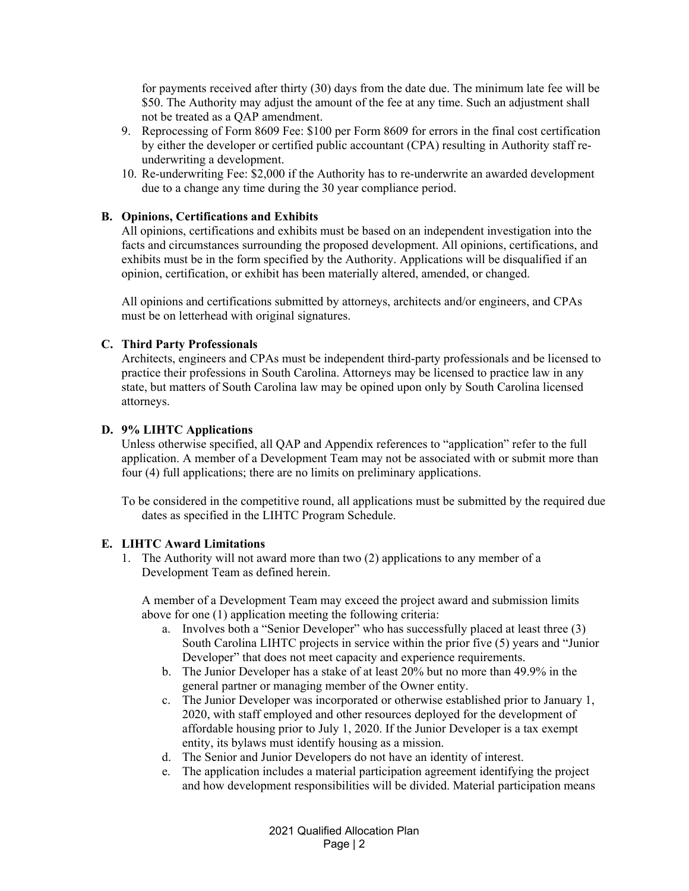for payments received after thirty (30) days from the date due. The minimum late fee will be \$50. The Authority may adjust the amount of the fee at any time. Such an adjustment shall not be treated as a QAP amendment.

- 9. Reprocessing of Form 8609 Fee: \$100 per Form 8609 for errors in the final cost certification by either the developer or certified public accountant (CPA) resulting in Authority staff reunderwriting a development.
- 10. Re-underwriting Fee: \$2,000 if the Authority has to re-underwrite an awarded development due to a change any time during the 30 year compliance period.

### **B. Opinions, Certifications and Exhibits**

All opinions, certifications and exhibits must be based on an independent investigation into the facts and circumstances surrounding the proposed development. All opinions, certifications, and exhibits must be in the form specified by the Authority. Applications will be disqualified if an opinion, certification, or exhibit has been materially altered, amended, or changed.

All opinions and certifications submitted by attorneys, architects and/or engineers, and CPAs must be on letterhead with original signatures.

### **C. Third Party Professionals**

Architects, engineers and CPAs must be independent third-party professionals and be licensed to practice their professions in South Carolina. Attorneys may be licensed to practice law in any state, but matters of South Carolina law may be opined upon only by South Carolina licensed attorneys.

### **D. 9% LIHTC Applications**

Unless otherwise specified, all QAP and Appendix references to "application" refer to the full application. A member of a Development Team may not be associated with or submit more than four (4) full applications; there are no limits on preliminary applications.

To be considered in the competitive round, all applications must be submitted by the required due dates as specified in the LIHTC Program Schedule.

## **E. LIHTC Award Limitations**

1. The Authority will not award more than two (2) applications to any member of a Development Team as defined herein.

A member of a Development Team may exceed the project award and submission limits above for one (1) application meeting the following criteria:

- a. Involves both a "Senior Developer" who has successfully placed at least three (3) South Carolina LIHTC projects in service within the prior five (5) years and "Junior Developer" that does not meet capacity and experience requirements.
- b. The Junior Developer has a stake of at least 20% but no more than 49.9% in the general partner or managing member of the Owner entity.
- c. The Junior Developer was incorporated or otherwise established prior to January 1, 2020, with staff employed and other resources deployed for the development of affordable housing prior to July 1, 2020. If the Junior Developer is a tax exempt entity, its bylaws must identify housing as a mission.
- d. The Senior and Junior Developers do not have an identity of interest.
- e. The application includes a material participation agreement identifying the project and how development responsibilities will be divided. Material participation means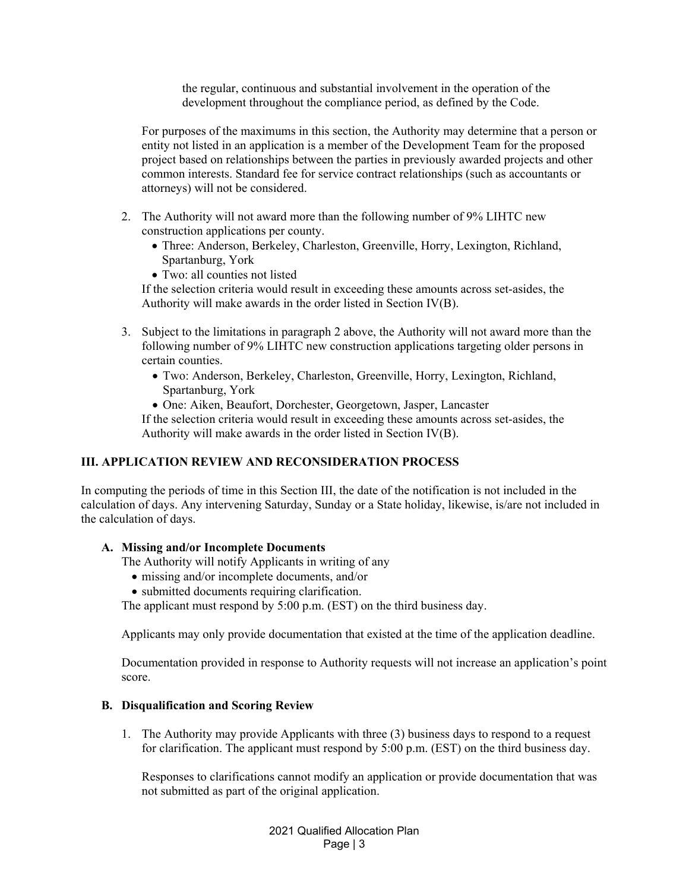the regular, continuous and substantial involvement in the operation of the development throughout the compliance period, as defined by the Code.

For purposes of the maximums in this section, the Authority may determine that a person or entity not listed in an application is a member of the Development Team for the proposed project based on relationships between the parties in previously awarded projects and other common interests. Standard fee for service contract relationships (such as accountants or attorneys) will not be considered.

- 2. The Authority will not award more than the following number of 9% LIHTC new construction applications per county.
	- Three: Anderson, Berkeley, Charleston, Greenville, Horry, Lexington, Richland, Spartanburg, York
	- Two: all counties not listed

If the selection criteria would result in exceeding these amounts across set-asides, the Authority will make awards in the order listed in Section IV(B).

- 3. Subject to the limitations in paragraph 2 above, the Authority will not award more than the following number of 9% LIHTC new construction applications targeting older persons in certain counties.
	- Two: Anderson, Berkeley, Charleston, Greenville, Horry, Lexington, Richland, Spartanburg, York
	- One: Aiken, Beaufort, Dorchester, Georgetown, Jasper, Lancaster

If the selection criteria would result in exceeding these amounts across set-asides, the Authority will make awards in the order listed in Section IV(B).

### **III. APPLICATION REVIEW AND RECONSIDERATION PROCESS**

In computing the periods of time in this Section III, the date of the notification is not included in the calculation of days. Any intervening Saturday, Sunday or a State holiday, likewise, is/are not included in the calculation of days.

### **A. Missing and/or Incomplete Documents**

The Authority will notify Applicants in writing of any

- missing and/or incomplete documents, and/or
- submitted documents requiring clarification.

The applicant must respond by 5:00 p.m. (EST) on the third business day.

Applicants may only provide documentation that existed at the time of the application deadline.

Documentation provided in response to Authority requests will not increase an application's point score.

### **B. Disqualification and Scoring Review**

1. The Authority may provide Applicants with three (3) business days to respond to a request for clarification. The applicant must respond by 5:00 p.m. (EST) on the third business day.

Responses to clarifications cannot modify an application or provide documentation that was not submitted as part of the original application.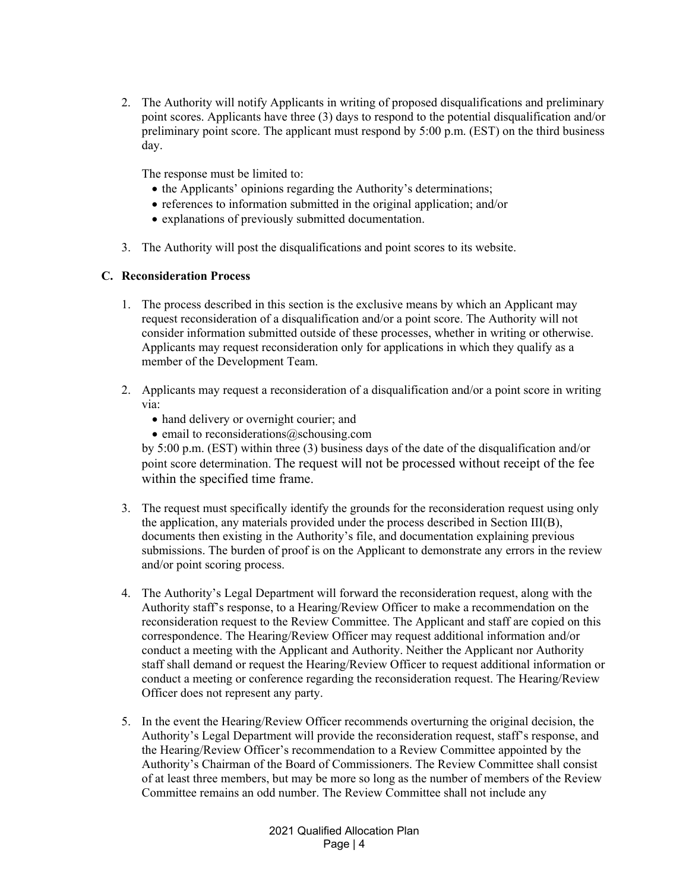2. The Authority will notify Applicants in writing of proposed disqualifications and preliminary point scores. Applicants have three (3) days to respond to the potential disqualification and/or preliminary point score. The applicant must respond by 5:00 p.m. (EST) on the third business day.

The response must be limited to:

- the Applicants' opinions regarding the Authority's determinations;
- references to information submitted in the original application; and/or
- explanations of previously submitted documentation.
- 3. The Authority will post the disqualifications and point scores to its website.

## **C. Reconsideration Process**

- 1. The process described in this section is the exclusive means by which an Applicant may request reconsideration of a disqualification and/or a point score. The Authority will not consider information submitted outside of these processes, whether in writing or otherwise. Applicants may request reconsideration only for applications in which they qualify as a member of the Development Team.
- 2. Applicants may request a reconsideration of a disqualification and/or a point score in writing via:
	- hand delivery or overnight courier; and
	- $\bullet$  email to reconsiderations (a) schousing.com

by 5:00 p.m. (EST) within three (3) business days of the date of the disqualification and/or point score determination. The request will not be processed without receipt of the fee within the specified time frame.

- 3. The request must specifically identify the grounds for the reconsideration request using only the application, any materials provided under the process described in Section III(B), documents then existing in the Authority's file, and documentation explaining previous submissions. The burden of proof is on the Applicant to demonstrate any errors in the review and/or point scoring process.
- 4. The Authority's Legal Department will forward the reconsideration request, along with the Authority staff's response, to a Hearing/Review Officer to make a recommendation on the reconsideration request to the Review Committee. The Applicant and staff are copied on this correspondence. The Hearing/Review Officer may request additional information and/or conduct a meeting with the Applicant and Authority. Neither the Applicant nor Authority staff shall demand or request the Hearing/Review Officer to request additional information or conduct a meeting or conference regarding the reconsideration request. The Hearing/Review Officer does not represent any party.
- 5. In the event the Hearing/Review Officer recommends overturning the original decision, the Authority's Legal Department will provide the reconsideration request, staff's response, and the Hearing/Review Officer's recommendation to a Review Committee appointed by the Authority's Chairman of the Board of Commissioners. The Review Committee shall consist of at least three members, but may be more so long as the number of members of the Review Committee remains an odd number. The Review Committee shall not include any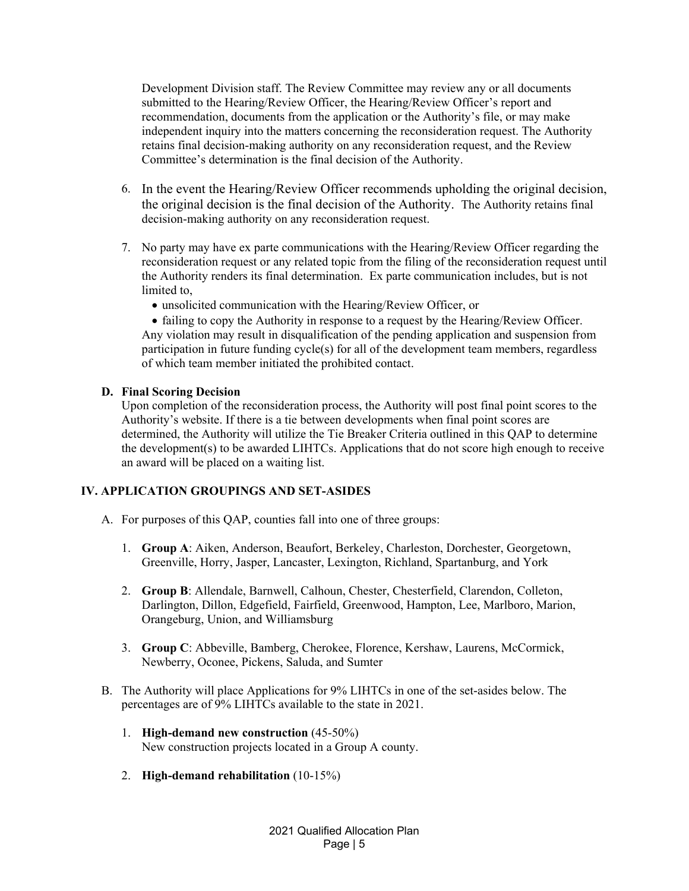Development Division staff. The Review Committee may review any or all documents submitted to the Hearing/Review Officer, the Hearing/Review Officer's report and recommendation, documents from the application or the Authority's file, or may make independent inquiry into the matters concerning the reconsideration request. The Authority retains final decision-making authority on any reconsideration request, and the Review Committee's determination is the final decision of the Authority.

- 6. In the event the Hearing/Review Officer recommends upholding the original decision, the original decision is the final decision of the Authority. The Authority retains final decision-making authority on any reconsideration request.
- 7. No party may have ex parte communications with the Hearing/Review Officer regarding the reconsideration request or any related topic from the filing of the reconsideration request until the Authority renders its final determination. Ex parte communication includes, but is not limited to,
	- unsolicited communication with the Hearing/Review Officer, or

 failing to copy the Authority in response to a request by the Hearing/Review Officer. Any violation may result in disqualification of the pending application and suspension from participation in future funding cycle(s) for all of the development team members, regardless of which team member initiated the prohibited contact.

## **D. Final Scoring Decision**

Upon completion of the reconsideration process, the Authority will post final point scores to the Authority's website. If there is a tie between developments when final point scores are determined, the Authority will utilize the Tie Breaker Criteria outlined in this QAP to determine the development(s) to be awarded LIHTCs. Applications that do not score high enough to receive an award will be placed on a waiting list.

## **IV. APPLICATION GROUPINGS AND SET-ASIDES**

- A. For purposes of this QAP, counties fall into one of three groups:
	- 1. **Group A**: Aiken, Anderson, Beaufort, Berkeley, Charleston, Dorchester, Georgetown, Greenville, Horry, Jasper, Lancaster, Lexington, Richland, Spartanburg, and York
	- 2. **Group B**: Allendale, Barnwell, Calhoun, Chester, Chesterfield, Clarendon, Colleton, Darlington, Dillon, Edgefield, Fairfield, Greenwood, Hampton, Lee, Marlboro, Marion, Orangeburg, Union, and Williamsburg
	- 3. **Group C**: Abbeville, Bamberg, Cherokee, Florence, Kershaw, Laurens, McCormick, Newberry, Oconee, Pickens, Saluda, and Sumter
- B. The Authority will place Applications for 9% LIHTCs in one of the set-asides below. The percentages are of 9% LIHTCs available to the state in 2021.
	- 1. **High-demand new construction** (45-50%) New construction projects located in a Group A county.
	- 2. **High-demand rehabilitation** (10-15%)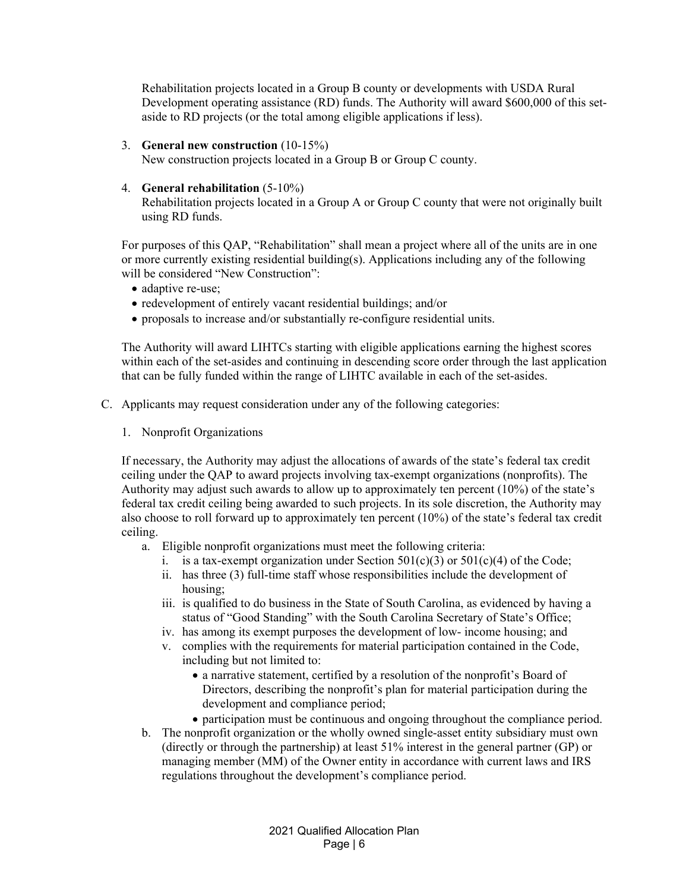Rehabilitation projects located in a Group B county or developments with USDA Rural Development operating assistance (RD) funds. The Authority will award \$600,000 of this setaside to RD projects (or the total among eligible applications if less).

3. **General new construction** (10-15%)

New construction projects located in a Group B or Group C county.

4. **General rehabilitation** (5-10%)

 Rehabilitation projects located in a Group A or Group C county that were not originally built using RD funds.

For purposes of this QAP, "Rehabilitation" shall mean a project where all of the units are in one or more currently existing residential building(s). Applications including any of the following will be considered "New Construction":

- adaptive re-use;
- redevelopment of entirely vacant residential buildings; and/or
- proposals to increase and/or substantially re-configure residential units.

The Authority will award LIHTCs starting with eligible applications earning the highest scores within each of the set-asides and continuing in descending score order through the last application that can be fully funded within the range of LIHTC available in each of the set-asides.

- C. Applicants may request consideration under any of the following categories:
	- 1. Nonprofit Organizations

If necessary, the Authority may adjust the allocations of awards of the state's federal tax credit ceiling under the QAP to award projects involving tax-exempt organizations (nonprofits). The Authority may adjust such awards to allow up to approximately ten percent (10%) of the state's federal tax credit ceiling being awarded to such projects. In its sole discretion, the Authority may also choose to roll forward up to approximately ten percent (10%) of the state's federal tax credit ceiling.

- a. Eligible nonprofit organizations must meet the following criteria:
	- i. is a tax-exempt organization under Section  $501(c)(3)$  or  $501(c)(4)$  of the Code;
	- ii. has three (3) full-time staff whose responsibilities include the development of housing;
	- iii. is qualified to do business in the State of South Carolina, as evidenced by having a status of "Good Standing" with the South Carolina Secretary of State's Office;
	- iv. has among its exempt purposes the development of low- income housing; and
	- v. complies with the requirements for material participation contained in the Code, including but not limited to:
		- a narrative statement, certified by a resolution of the nonprofit's Board of Directors, describing the nonprofit's plan for material participation during the development and compliance period;
		- participation must be continuous and ongoing throughout the compliance period.
- b. The nonprofit organization or the wholly owned single-asset entity subsidiary must own (directly or through the partnership) at least 51% interest in the general partner (GP) or managing member (MM) of the Owner entity in accordance with current laws and IRS regulations throughout the development's compliance period.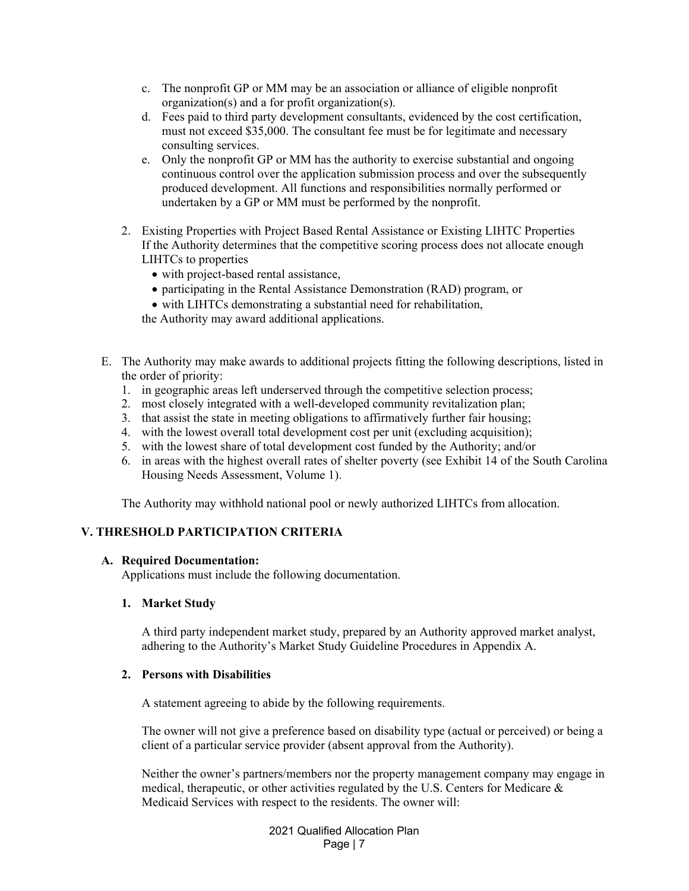- c. The nonprofit GP or MM may be an association or alliance of eligible nonprofit organization(s) and a for profit organization(s).
- d. Fees paid to third party development consultants, evidenced by the cost certification, must not exceed \$35,000. The consultant fee must be for legitimate and necessary consulting services.
- e. Only the nonprofit GP or MM has the authority to exercise substantial and ongoing continuous control over the application submission process and over the subsequently produced development. All functions and responsibilities normally performed or undertaken by a GP or MM must be performed by the nonprofit.
- 2. Existing Properties with Project Based Rental Assistance or Existing LIHTC Properties If the Authority determines that the competitive scoring process does not allocate enough LIHTCs to properties
	- with project-based rental assistance,
	- participating in the Rental Assistance Demonstration (RAD) program, or
	- with LIHTCs demonstrating a substantial need for rehabilitation,

the Authority may award additional applications.

- E. The Authority may make awards to additional projects fitting the following descriptions, listed in the order of priority:
	- 1. in geographic areas left underserved through the competitive selection process;
	- 2. most closely integrated with a well-developed community revitalization plan;
	- 3. that assist the state in meeting obligations to affirmatively further fair housing;
	- 4. with the lowest overall total development cost per unit (excluding acquisition);
	- 5. with the lowest share of total development cost funded by the Authority; and/or
	- 6. in areas with the highest overall rates of shelter poverty (see Exhibit 14 of the South Carolina Housing Needs Assessment, Volume 1).

The Authority may withhold national pool or newly authorized LIHTCs from allocation.

## **V. THRESHOLD PARTICIPATION CRITERIA**

### **A. Required Documentation:**

Applications must include the following documentation.

### **1. Market Study**

A third party independent market study, prepared by an Authority approved market analyst, adhering to the Authority's Market Study Guideline Procedures in Appendix A.

### **2. Persons with Disabilities**

A statement agreeing to abide by the following requirements.

The owner will not give a preference based on disability type (actual or perceived) or being a client of a particular service provider (absent approval from the Authority).

Neither the owner's partners/members nor the property management company may engage in medical, therapeutic, or other activities regulated by the U.S. Centers for Medicare  $\&$ Medicaid Services with respect to the residents. The owner will: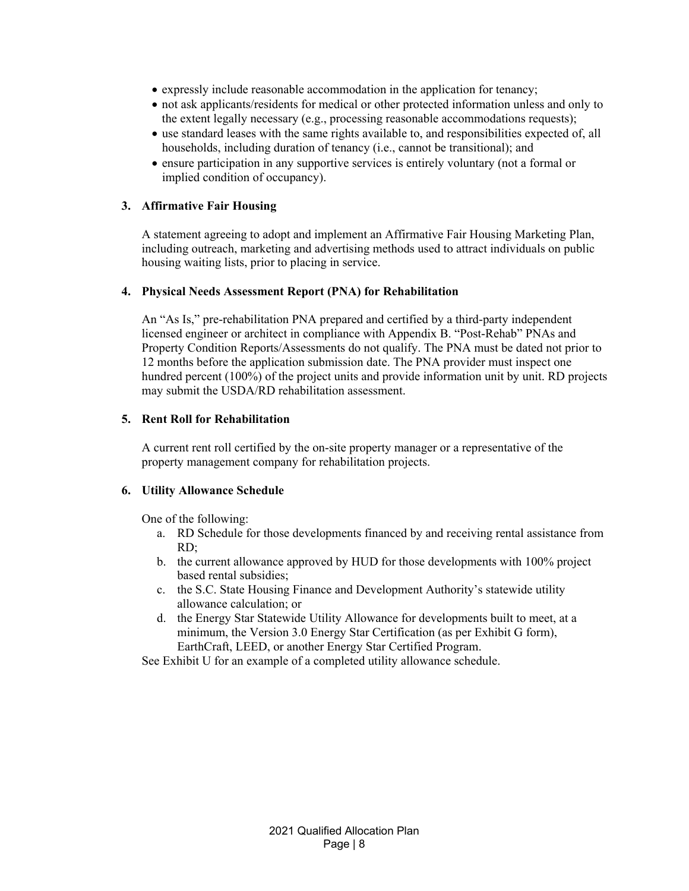- expressly include reasonable accommodation in the application for tenancy;
- not ask applicants/residents for medical or other protected information unless and only to the extent legally necessary (e.g., processing reasonable accommodations requests);
- use standard leases with the same rights available to, and responsibilities expected of, all households, including duration of tenancy (i.e., cannot be transitional); and
- ensure participation in any supportive services is entirely voluntary (not a formal or implied condition of occupancy).

### **3. Affirmative Fair Housing**

A statement agreeing to adopt and implement an Affirmative Fair Housing Marketing Plan, including outreach, marketing and advertising methods used to attract individuals on public housing waiting lists, prior to placing in service.

### **4. Physical Needs Assessment Report (PNA) for Rehabilitation**

An "As Is," pre-rehabilitation PNA prepared and certified by a third-party independent licensed engineer or architect in compliance with Appendix B. "Post-Rehab" PNAs and Property Condition Reports/Assessments do not qualify. The PNA must be dated not prior to 12 months before the application submission date. The PNA provider must inspect one hundred percent (100%) of the project units and provide information unit by unit. RD projects may submit the USDA/RD rehabilitation assessment.

### **5. Rent Roll for Rehabilitation**

A current rent roll certified by the on-site property manager or a representative of the property management company for rehabilitation projects.

### **6. Utility Allowance Schedule**

One of the following:

- a. RD Schedule for those developments financed by and receiving rental assistance from RD;
- b. the current allowance approved by HUD for those developments with 100% project based rental subsidies;
- c. the S.C. State Housing Finance and Development Authority's statewide utility allowance calculation; or
- d. the Energy Star Statewide Utility Allowance for developments built to meet, at a minimum, the Version 3.0 Energy Star Certification (as per Exhibit G form), EarthCraft, LEED, or another Energy Star Certified Program.

See Exhibit U for an example of a completed utility allowance schedule.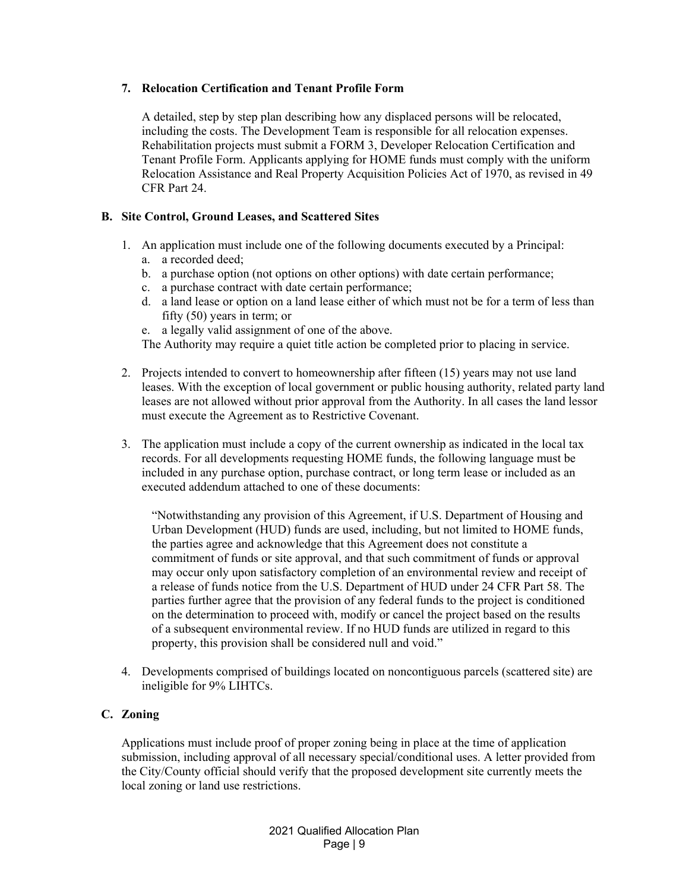## **7. Relocation Certification and Tenant Profile Form**

A detailed, step by step plan describing how any displaced persons will be relocated, including the costs. The Development Team is responsible for all relocation expenses. Rehabilitation projects must submit a FORM 3, Developer Relocation Certification and Tenant Profile Form. Applicants applying for HOME funds must comply with the uniform Relocation Assistance and Real Property Acquisition Policies Act of 1970, as revised in 49 CFR Part 24.

## **B. Site Control, Ground Leases, and Scattered Sites**

- 1. An application must include one of the following documents executed by a Principal:
	- a. a recorded deed;
	- b. a purchase option (not options on other options) with date certain performance;
	- c. a purchase contract with date certain performance;
	- d. a land lease or option on a land lease either of which must not be for a term of less than fifty (50) years in term; or
	- e. a legally valid assignment of one of the above.

The Authority may require a quiet title action be completed prior to placing in service.

- 2. Projects intended to convert to homeownership after fifteen (15) years may not use land leases. With the exception of local government or public housing authority, related party land leases are not allowed without prior approval from the Authority. In all cases the land lessor must execute the Agreement as to Restrictive Covenant.
- 3. The application must include a copy of the current ownership as indicated in the local tax records. For all developments requesting HOME funds, the following language must be included in any purchase option, purchase contract, or long term lease or included as an executed addendum attached to one of these documents:

"Notwithstanding any provision of this Agreement, if U.S. Department of Housing and Urban Development (HUD) funds are used, including, but not limited to HOME funds, the parties agree and acknowledge that this Agreement does not constitute a commitment of funds or site approval, and that such commitment of funds or approval may occur only upon satisfactory completion of an environmental review and receipt of a release of funds notice from the U.S. Department of HUD under 24 CFR Part 58. The parties further agree that the provision of any federal funds to the project is conditioned on the determination to proceed with, modify or cancel the project based on the results of a subsequent environmental review. If no HUD funds are utilized in regard to this property, this provision shall be considered null and void."

4. Developments comprised of buildings located on noncontiguous parcels (scattered site) are ineligible for 9% LIHTCs.

## **C. Zoning**

Applications must include proof of proper zoning being in place at the time of application submission, including approval of all necessary special/conditional uses. A letter provided from the City/County official should verify that the proposed development site currently meets the local zoning or land use restrictions.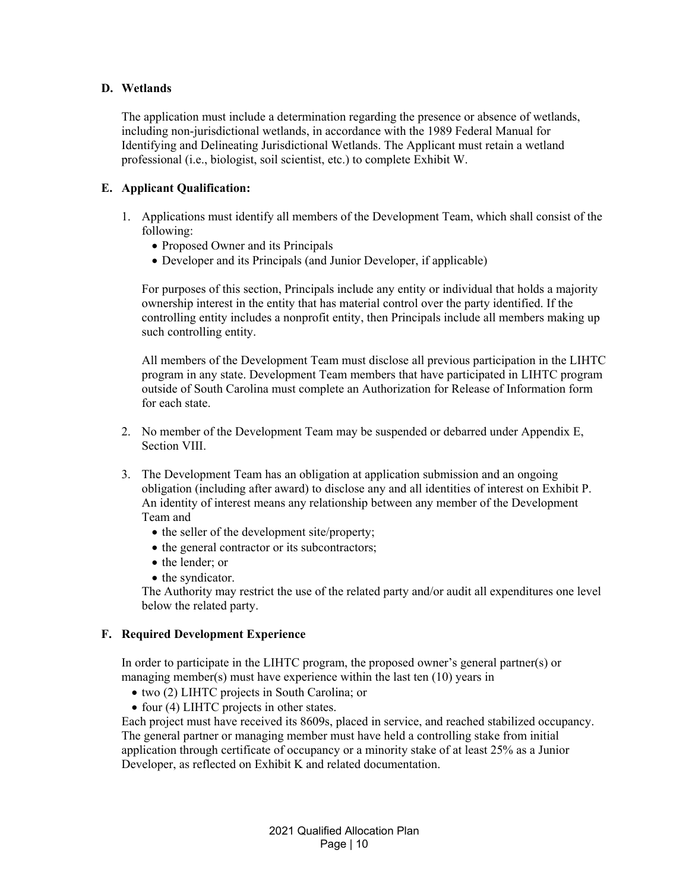### **D. Wetlands**

The application must include a determination regarding the presence or absence of wetlands, including non-jurisdictional wetlands, in accordance with the 1989 Federal Manual for Identifying and Delineating Jurisdictional Wetlands. The Applicant must retain a wetland professional (i.e., biologist, soil scientist, etc.) to complete Exhibit W.

## **E. Applicant Qualification:**

- 1. Applications must identify all members of the Development Team, which shall consist of the following:
	- Proposed Owner and its Principals
	- Developer and its Principals (and Junior Developer, if applicable)

For purposes of this section, Principals include any entity or individual that holds a majority ownership interest in the entity that has material control over the party identified. If the controlling entity includes a nonprofit entity, then Principals include all members making up such controlling entity.

All members of the Development Team must disclose all previous participation in the LIHTC program in any state. Development Team members that have participated in LIHTC program outside of South Carolina must complete an Authorization for Release of Information form for each state.

- 2. No member of the Development Team may be suspended or debarred under Appendix E, Section VIII.
- 3. The Development Team has an obligation at application submission and an ongoing obligation (including after award) to disclose any and all identities of interest on Exhibit P. An identity of interest means any relationship between any member of the Development Team and
	- the seller of the development site/property;
	- the general contractor or its subcontractors:
	- the lender: or
	- the syndicator.

The Authority may restrict the use of the related party and/or audit all expenditures one level below the related party.

### **F. Required Development Experience**

In order to participate in the LIHTC program, the proposed owner's general partner(s) or managing member(s) must have experience within the last ten (10) years in

- two (2) LIHTC projects in South Carolina; or
- $\bullet$  four (4) LIHTC projects in other states.

Each project must have received its 8609s, placed in service, and reached stabilized occupancy. The general partner or managing member must have held a controlling stake from initial application through certificate of occupancy or a minority stake of at least 25% as a Junior Developer, as reflected on Exhibit K and related documentation.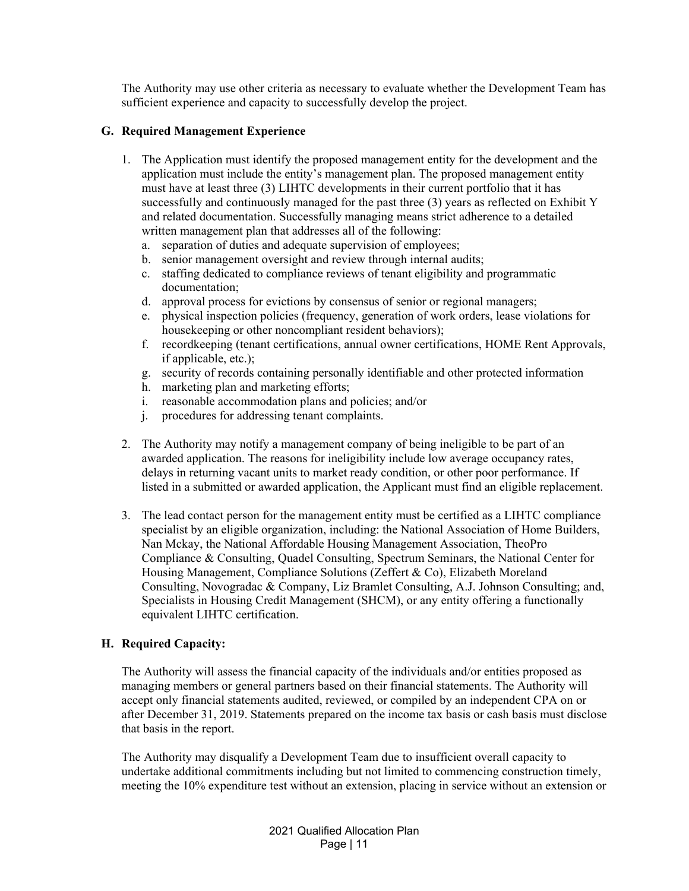The Authority may use other criteria as necessary to evaluate whether the Development Team has sufficient experience and capacity to successfully develop the project.

## **G. Required Management Experience**

- 1. The Application must identify the proposed management entity for the development and the application must include the entity's management plan. The proposed management entity must have at least three (3) LIHTC developments in their current portfolio that it has successfully and continuously managed for the past three (3) years as reflected on Exhibit Y and related documentation. Successfully managing means strict adherence to a detailed written management plan that addresses all of the following:
	- a. separation of duties and adequate supervision of employees;
	- b. senior management oversight and review through internal audits;
	- c. staffing dedicated to compliance reviews of tenant eligibility and programmatic documentation;
	- d. approval process for evictions by consensus of senior or regional managers;
	- e. physical inspection policies (frequency, generation of work orders, lease violations for housekeeping or other noncompliant resident behaviors);
	- f. recordkeeping (tenant certifications, annual owner certifications, HOME Rent Approvals, if applicable, etc.);
	- g. security of records containing personally identifiable and other protected information
	- h. marketing plan and marketing efforts;
	- i. reasonable accommodation plans and policies; and/or
	- j. procedures for addressing tenant complaints.
- 2. The Authority may notify a management company of being ineligible to be part of an awarded application. The reasons for ineligibility include low average occupancy rates, delays in returning vacant units to market ready condition, or other poor performance. If listed in a submitted or awarded application, the Applicant must find an eligible replacement.
- 3. The lead contact person for the management entity must be certified as a LIHTC compliance specialist by an eligible organization, including: the National Association of Home Builders, Nan Mckay, the National Affordable Housing Management Association, TheoPro Compliance & Consulting, Quadel Consulting, Spectrum Seminars, the National Center for Housing Management, Compliance Solutions (Zeffert & Co), Elizabeth Moreland Consulting, Novogradac & Company, Liz Bramlet Consulting, A.J. Johnson Consulting; and, Specialists in Housing Credit Management (SHCM), or any entity offering a functionally equivalent LIHTC certification.

## **H. Required Capacity:**

The Authority will assess the financial capacity of the individuals and/or entities proposed as managing members or general partners based on their financial statements. The Authority will accept only financial statements audited, reviewed, or compiled by an independent CPA on or after December 31, 2019. Statements prepared on the income tax basis or cash basis must disclose that basis in the report.

The Authority may disqualify a Development Team due to insufficient overall capacity to undertake additional commitments including but not limited to commencing construction timely, meeting the 10% expenditure test without an extension, placing in service without an extension or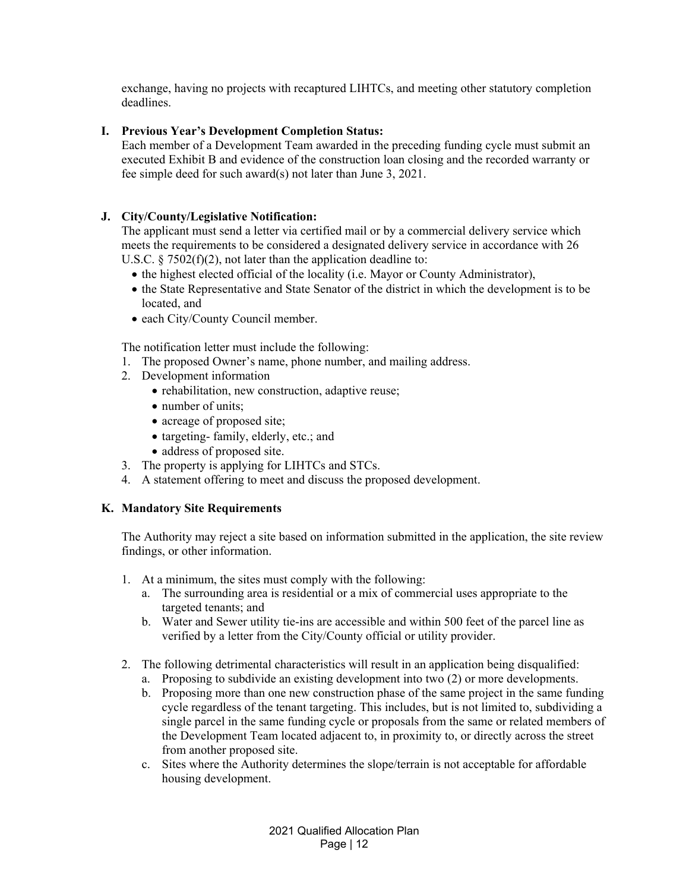exchange, having no projects with recaptured LIHTCs, and meeting other statutory completion deadlines.

## **I. Previous Year's Development Completion Status:**

Each member of a Development Team awarded in the preceding funding cycle must submit an executed Exhibit B and evidence of the construction loan closing and the recorded warranty or fee simple deed for such award(s) not later than June 3, 2021.

## **J. City/County/Legislative Notification:**

The applicant must send a letter via certified mail or by a commercial delivery service which meets the requirements to be considered a designated delivery service in accordance with 26 U.S.C.  $\S 7502(f)(2)$ , not later than the application deadline to:

- the highest elected official of the locality (i.e. Mayor or County Administrator),
- the State Representative and State Senator of the district in which the development is to be located, and
- each City/County Council member.

The notification letter must include the following:

- 1. The proposed Owner's name, phone number, and mailing address.
- 2. Development information
	- rehabilitation, new construction, adaptive reuse;
	- number of units:
	- acreage of proposed site;
	- targeting- family, elderly, etc.; and
	- address of proposed site.
- 3. The property is applying for LIHTCs and STCs.
- 4. A statement offering to meet and discuss the proposed development.

## **K. Mandatory Site Requirements**

The Authority may reject a site based on information submitted in the application, the site review findings, or other information.

- 1. At a minimum, the sites must comply with the following:
	- a. The surrounding area is residential or a mix of commercial uses appropriate to the targeted tenants; and
	- b. Water and Sewer utility tie-ins are accessible and within 500 feet of the parcel line as verified by a letter from the City/County official or utility provider.
- 2. The following detrimental characteristics will result in an application being disqualified:
	- a. Proposing to subdivide an existing development into two (2) or more developments.
	- b. Proposing more than one new construction phase of the same project in the same funding cycle regardless of the tenant targeting. This includes, but is not limited to, subdividing a single parcel in the same funding cycle or proposals from the same or related members of the Development Team located adjacent to, in proximity to, or directly across the street from another proposed site.
	- c. Sites where the Authority determines the slope/terrain is not acceptable for affordable housing development.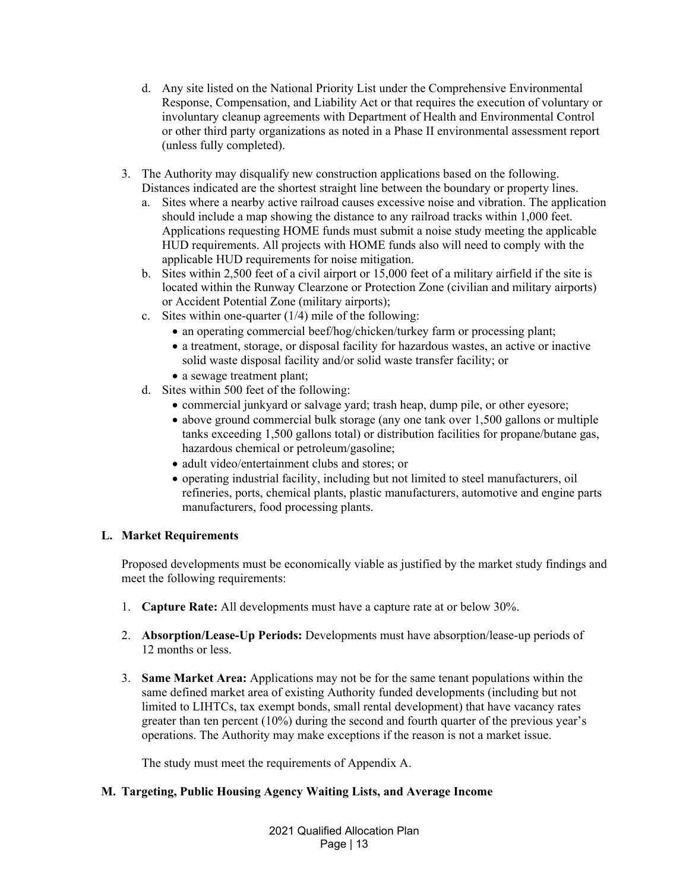- d. Any site listed on the National Priority List under the Comprehensive Environmental Response, Compensation, and Liability Act or that requires the execution of voluntary or involuntary cleanup agreements with Department of Health and Environmental Control or other third party organizations as noted in a Phase II environmental assessment report (unless fully completed).
- 3. The Authority may disqualify new construction applications based on the following. Distances indicated are the shortest straight line between the boundary or property lines.
	- a. Sites where a nearby active railroad causes excessive noise and vibration. The application should include a map showing the distance to any railroad tracks within 1,000 feet. Applications requesting HOME funds must submit a noise study meeting the applicable HUD requirements. All projects with HOME funds also will need to comply with the applicable HUD requirements for noise mitigation.
	- b. Sites within 2,500 feet of a civil airport or 15,000 feet of a military airfield if the site is located within the Runway Clearzone or Protection Zone (civilian and military airports) or Accident Potential Zone (military airports);
	- c. Sites within one-quarter (1/4) mile of the following:
		- an operating commercial beef/hog/chicken/turkey farm or processing plant;
		- a treatment, storage, or disposal facility for hazardous wastes, an active or inactive solid waste disposal facility and/or solid waste transfer facility; or
		- a sewage treatment plant;
	- d. Sites within 500 feet of the following:
		- commercial junkyard or salvage yard; trash heap, dump pile, or other eyesore;
		- above ground commercial bulk storage (any one tank over 1,500 gallons or multiple tanks exceeding 1,500 gallons total) or distribution facilities for propane/butane gas, hazardous chemical or petroleum/gasoline;
		- adult video/entertainment clubs and stores; or
		- operating industrial facility, including but not limited to steel manufacturers, oil refineries, ports, chemical plants, plastic manufacturers, automotive and engine parts manufacturers, food processing plants.

## **L. Market Requirements**

Proposed developments must be economically viable as justified by the market study findings and meet the following requirements:

- 1. **Capture Rate:** All developments must have a capture rate at or below 30%.
- 2. **Absorption/Lease-Up Periods:** Developments must have absorption/lease-up periods of 12 months or less.
- 3. **Same Market Area:** Applications may not be for the same tenant populations within the same defined market area of existing Authority funded developments (including but not limited to LIHTCs, tax exempt bonds, small rental development) that have vacancy rates greater than ten percent (10%) during the second and fourth quarter of the previous year's operations. The Authority may make exceptions if the reason is not a market issue.

The study must meet the requirements of Appendix A.

## **M. Targeting, Public Housing Agency Waiting Lists, and Average Income**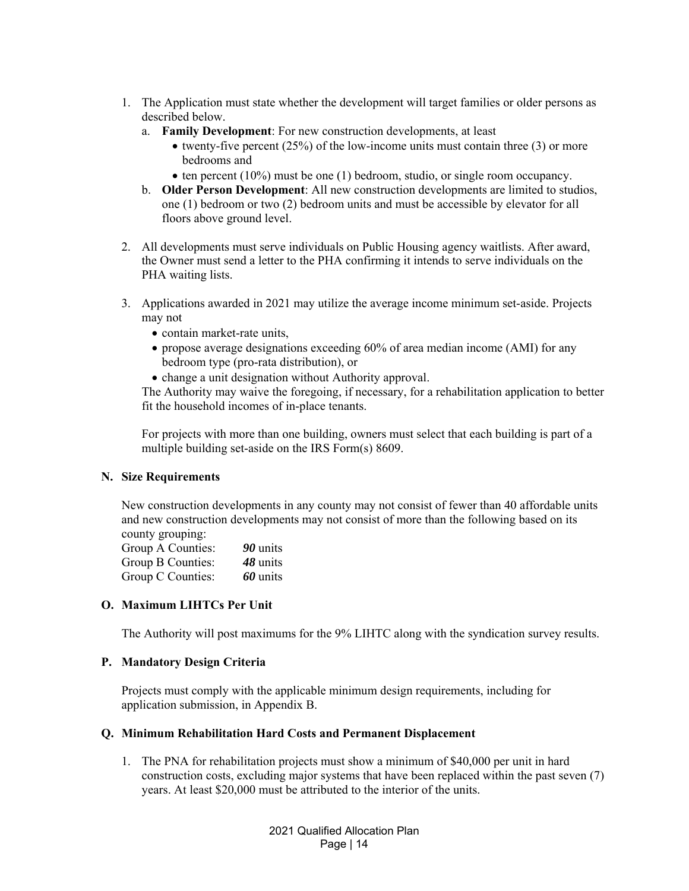- 1. The Application must state whether the development will target families or older persons as described below.
	- a. **Family Development**: For new construction developments, at least
		- twenty-five percent  $(25%)$  of the low-income units must contain three (3) or more bedrooms and
		- $\bullet$  ten percent (10%) must be one (1) bedroom, studio, or single room occupancy.
	- b. **Older Person Development**: All new construction developments are limited to studios, one (1) bedroom or two (2) bedroom units and must be accessible by elevator for all floors above ground level.
- 2. All developments must serve individuals on Public Housing agency waitlists. After award, the Owner must send a letter to the PHA confirming it intends to serve individuals on the PHA waiting lists.
- 3. Applications awarded in 2021 may utilize the average income minimum set-aside. Projects may not
	- contain market-rate units,
	- propose average designations exceeding 60% of area median income (AMI) for any bedroom type (pro-rata distribution), or
	- change a unit designation without Authority approval.

The Authority may waive the foregoing, if necessary, for a rehabilitation application to better fit the household incomes of in-place tenants.

For projects with more than one building, owners must select that each building is part of a multiple building set-aside on the IRS Form(s) 8609.

## **N. Size Requirements**

New construction developments in any county may not consist of fewer than 40 affordable units and new construction developments may not consist of more than the following based on its county grouping:

| Group A Counties: | 90 units |
|-------------------|----------|
| Group B Counties: | 48 units |
| Group C Counties: | 60 units |

## **O. Maximum LIHTCs Per Unit**

The Authority will post maximums for the 9% LIHTC along with the syndication survey results.

### **P. Mandatory Design Criteria**

Projects must comply with the applicable minimum design requirements, including for application submission, in Appendix B.

### **Q. Minimum Rehabilitation Hard Costs and Permanent Displacement**

1. The PNA for rehabilitation projects must show a minimum of \$40,000 per unit in hard construction costs, excluding major systems that have been replaced within the past seven (7) years. At least \$20,000 must be attributed to the interior of the units.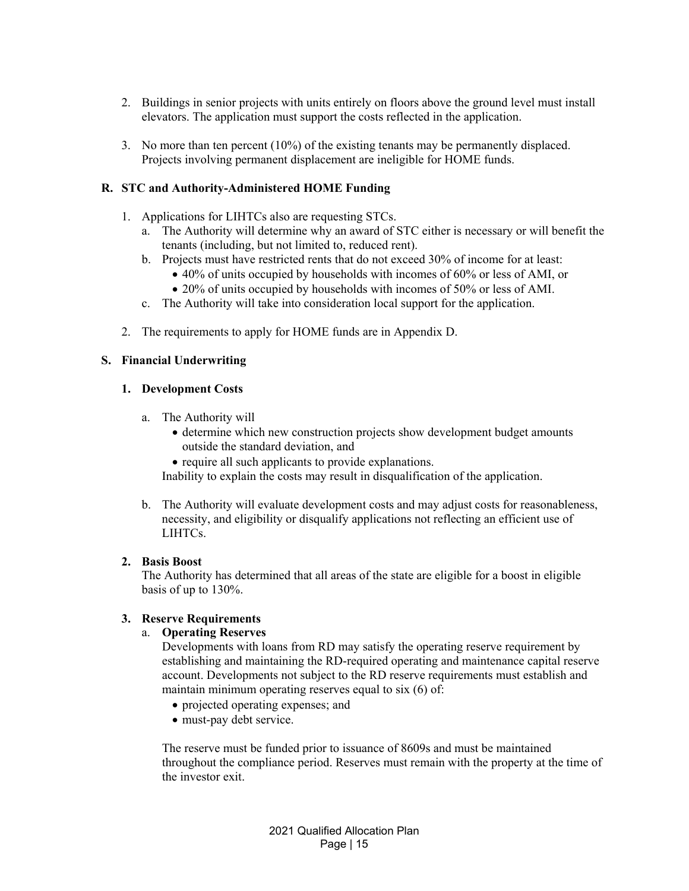- 2. Buildings in senior projects with units entirely on floors above the ground level must install elevators. The application must support the costs reflected in the application.
- 3. No more than ten percent (10%) of the existing tenants may be permanently displaced. Projects involving permanent displacement are ineligible for HOME funds.

## **R. STC and Authority-Administered HOME Funding**

- 1. Applications for LIHTCs also are requesting STCs.
	- a. The Authority will determine why an award of STC either is necessary or will benefit the tenants (including, but not limited to, reduced rent).
	- b. Projects must have restricted rents that do not exceed 30% of income for at least:
		- 40% of units occupied by households with incomes of 60% or less of AMI, or
		- 20% of units occupied by households with incomes of 50% or less of AMI.
	- c. The Authority will take into consideration local support for the application.
- 2. The requirements to apply for HOME funds are in Appendix D.

### **S. Financial Underwriting**

#### **1. Development Costs**

- a. The Authority will
	- determine which new construction projects show development budget amounts outside the standard deviation, and
	- require all such applicants to provide explanations.

Inability to explain the costs may result in disqualification of the application.

b. The Authority will evaluate development costs and may adjust costs for reasonableness, necessity, and eligibility or disqualify applications not reflecting an efficient use of LIHTCs.

### **2. Basis Boost**

The Authority has determined that all areas of the state are eligible for a boost in eligible basis of up to 130%.

## **3. Reserve Requirements**

### a. **Operating Reserves**

Developments with loans from RD may satisfy the operating reserve requirement by establishing and maintaining the RD-required operating and maintenance capital reserve account. Developments not subject to the RD reserve requirements must establish and maintain minimum operating reserves equal to six (6) of:

- projected operating expenses; and
- must-pay debt service.

The reserve must be funded prior to issuance of 8609s and must be maintained throughout the compliance period. Reserves must remain with the property at the time of the investor exit.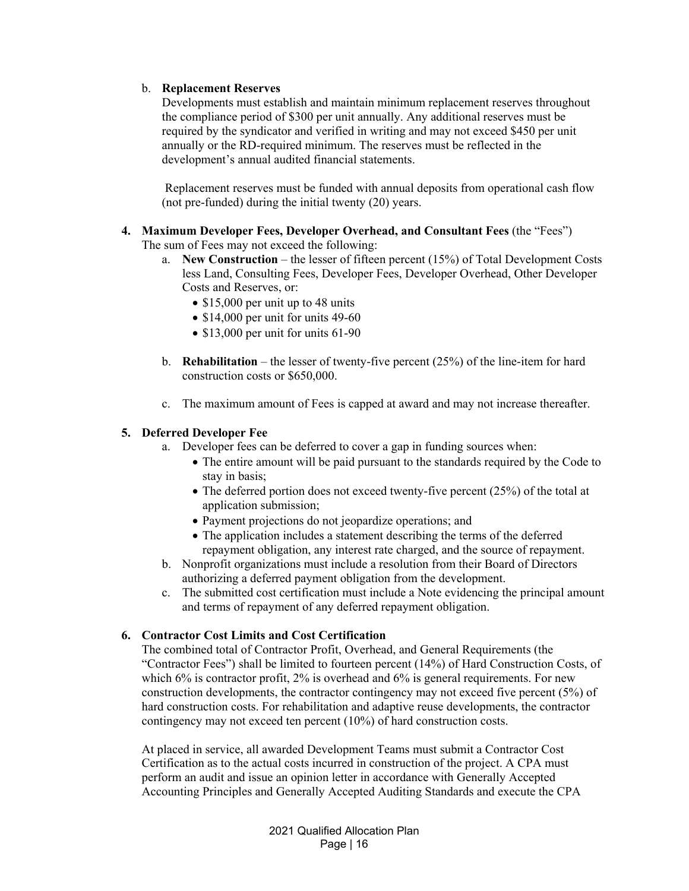## b. **Replacement Reserves**

Developments must establish and maintain minimum replacement reserves throughout the compliance period of \$300 per unit annually. Any additional reserves must be required by the syndicator and verified in writing and may not exceed \$450 per unit annually or the RD-required minimum. The reserves must be reflected in the development's annual audited financial statements.

 Replacement reserves must be funded with annual deposits from operational cash flow (not pre-funded) during the initial twenty (20) years.

- **4. Maximum Developer Fees, Developer Overhead, and Consultant Fees** (the "Fees") The sum of Fees may not exceed the following:
	- a. **New Construction** the lesser of fifteen percent (15%) of Total Development Costs less Land, Consulting Fees, Developer Fees, Developer Overhead, Other Developer Costs and Reserves, or:
		- $\bullet$  \$15,000 per unit up to 48 units
		- $\bullet$  \$14,000 per unit for units 49-60
		- $\bullet$  \$13,000 per unit for units 61-90
	- b. **Rehabilitation** the lesser of twenty-five percent (25%) of the line-item for hard construction costs or \$650,000.
	- c. The maximum amount of Fees is capped at award and may not increase thereafter.

## **5. Deferred Developer Fee**

- a. Developer fees can be deferred to cover a gap in funding sources when:
	- The entire amount will be paid pursuant to the standards required by the Code to stay in basis;
	- The deferred portion does not exceed twenty-five percent (25%) of the total at application submission;
	- Payment projections do not jeopardize operations; and
	- The application includes a statement describing the terms of the deferred repayment obligation, any interest rate charged, and the source of repayment.
- b. Nonprofit organizations must include a resolution from their Board of Directors authorizing a deferred payment obligation from the development.
- c. The submitted cost certification must include a Note evidencing the principal amount and terms of repayment of any deferred repayment obligation.

## **6. Contractor Cost Limits and Cost Certification**

The combined total of Contractor Profit, Overhead, and General Requirements (the "Contractor Fees") shall be limited to fourteen percent (14%) of Hard Construction Costs, of which  $6\%$  is contractor profit,  $2\%$  is overhead and  $6\%$  is general requirements. For new construction developments, the contractor contingency may not exceed five percent (5%) of hard construction costs. For rehabilitation and adaptive reuse developments, the contractor contingency may not exceed ten percent (10%) of hard construction costs.

At placed in service, all awarded Development Teams must submit a Contractor Cost Certification as to the actual costs incurred in construction of the project. A CPA must perform an audit and issue an opinion letter in accordance with Generally Accepted Accounting Principles and Generally Accepted Auditing Standards and execute the CPA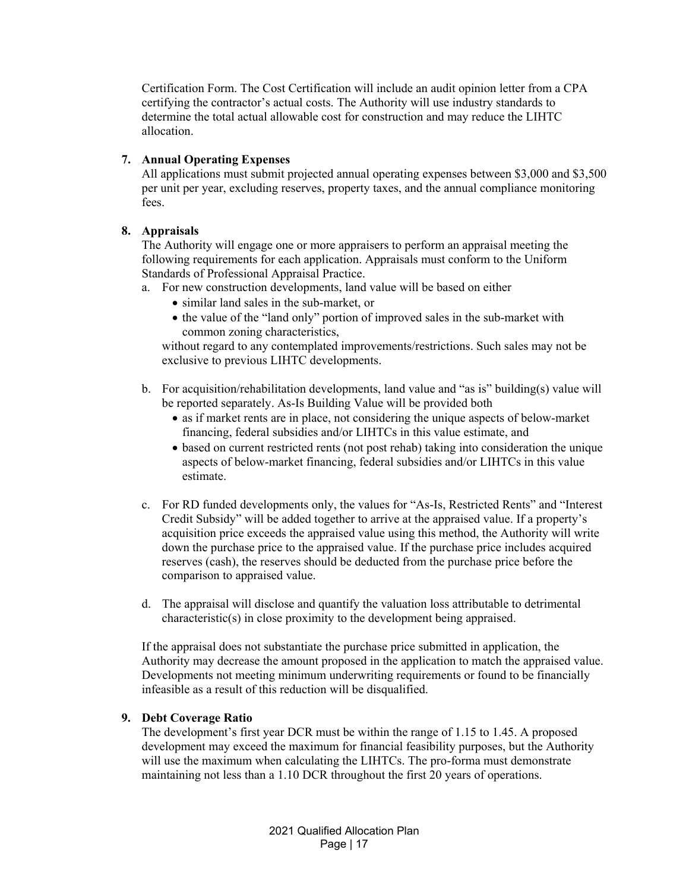Certification Form. The Cost Certification will include an audit opinion letter from a CPA certifying the contractor's actual costs. The Authority will use industry standards to determine the total actual allowable cost for construction and may reduce the LIHTC allocation.

### **7. Annual Operating Expenses**

All applications must submit projected annual operating expenses between \$3,000 and \$3,500 per unit per year, excluding reserves, property taxes, and the annual compliance monitoring fees.

## **8. Appraisals**

The Authority will engage one or more appraisers to perform an appraisal meeting the following requirements for each application. Appraisals must conform to the Uniform Standards of Professional Appraisal Practice.

- a. For new construction developments, land value will be based on either
	- similar land sales in the sub-market, or
	- the value of the "land only" portion of improved sales in the sub-market with common zoning characteristics,

without regard to any contemplated improvements/restrictions. Such sales may not be exclusive to previous LIHTC developments.

- b. For acquisition/rehabilitation developments, land value and "as is" building(s) value will be reported separately. As-Is Building Value will be provided both
	- as if market rents are in place, not considering the unique aspects of below-market financing, federal subsidies and/or LIHTCs in this value estimate, and
	- based on current restricted rents (not post rehab) taking into consideration the unique aspects of below-market financing, federal subsidies and/or LIHTCs in this value estimate.
- c. For RD funded developments only, the values for "As-Is, Restricted Rents" and "Interest Credit Subsidy" will be added together to arrive at the appraised value. If a property's acquisition price exceeds the appraised value using this method, the Authority will write down the purchase price to the appraised value. If the purchase price includes acquired reserves (cash), the reserves should be deducted from the purchase price before the comparison to appraised value.
- d. The appraisal will disclose and quantify the valuation loss attributable to detrimental characteristic(s) in close proximity to the development being appraised.

If the appraisal does not substantiate the purchase price submitted in application, the Authority may decrease the amount proposed in the application to match the appraised value. Developments not meeting minimum underwriting requirements or found to be financially infeasible as a result of this reduction will be disqualified.

### **9. Debt Coverage Ratio**

The development's first year DCR must be within the range of 1.15 to 1.45. A proposed development may exceed the maximum for financial feasibility purposes, but the Authority will use the maximum when calculating the LIHTCs. The pro-forma must demonstrate maintaining not less than a 1.10 DCR throughout the first 20 years of operations.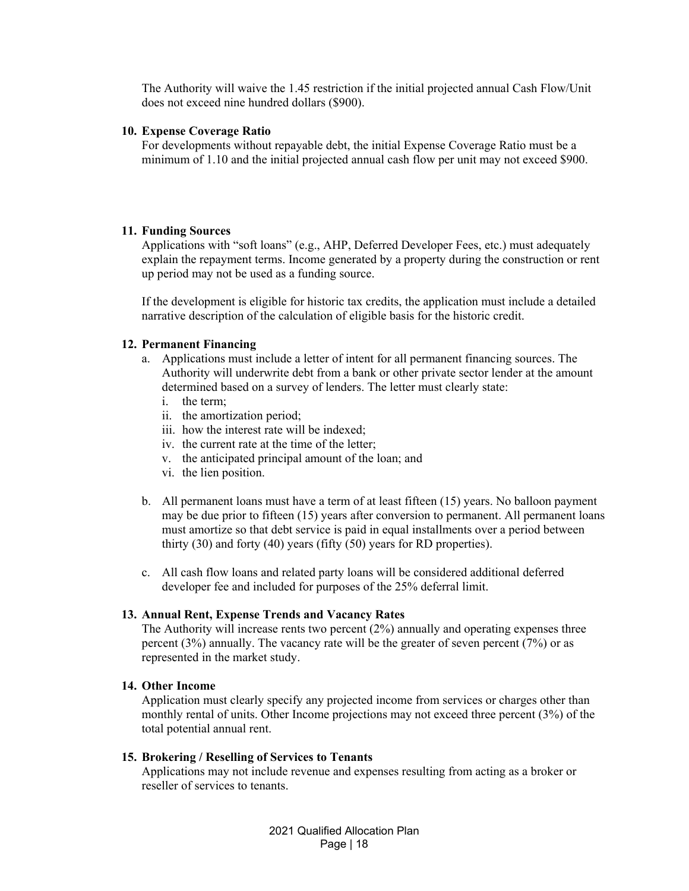The Authority will waive the 1.45 restriction if the initial projected annual Cash Flow/Unit does not exceed nine hundred dollars (\$900).

#### **10. Expense Coverage Ratio**

For developments without repayable debt, the initial Expense Coverage Ratio must be a minimum of 1.10 and the initial projected annual cash flow per unit may not exceed \$900.

#### **11. Funding Sources**

Applications with "soft loans" (e.g., AHP, Deferred Developer Fees, etc.) must adequately explain the repayment terms. Income generated by a property during the construction or rent up period may not be used as a funding source.

If the development is eligible for historic tax credits, the application must include a detailed narrative description of the calculation of eligible basis for the historic credit.

### **12. Permanent Financing**

- a. Applications must include a letter of intent for all permanent financing sources. The Authority will underwrite debt from a bank or other private sector lender at the amount determined based on a survey of lenders. The letter must clearly state:
	- i. the term;
	- ii. the amortization period;
	- iii. how the interest rate will be indexed;
	- iv. the current rate at the time of the letter;
	- v. the anticipated principal amount of the loan; and
	- vi. the lien position.
- b. All permanent loans must have a term of at least fifteen (15) years. No balloon payment may be due prior to fifteen (15) years after conversion to permanent. All permanent loans must amortize so that debt service is paid in equal installments over a period between thirty (30) and forty (40) years (fifty (50) years for RD properties).
- c. All cash flow loans and related party loans will be considered additional deferred developer fee and included for purposes of the 25% deferral limit.

#### **13. Annual Rent, Expense Trends and Vacancy Rates**

The Authority will increase rents two percent  $(2%)$  annually and operating expenses three percent (3%) annually. The vacancy rate will be the greater of seven percent (7%) or as represented in the market study.

### **14. Other Income**

Application must clearly specify any projected income from services or charges other than monthly rental of units. Other Income projections may not exceed three percent (3%) of the total potential annual rent.

#### **15. Brokering / Reselling of Services to Tenants**

Applications may not include revenue and expenses resulting from acting as a broker or reseller of services to tenants.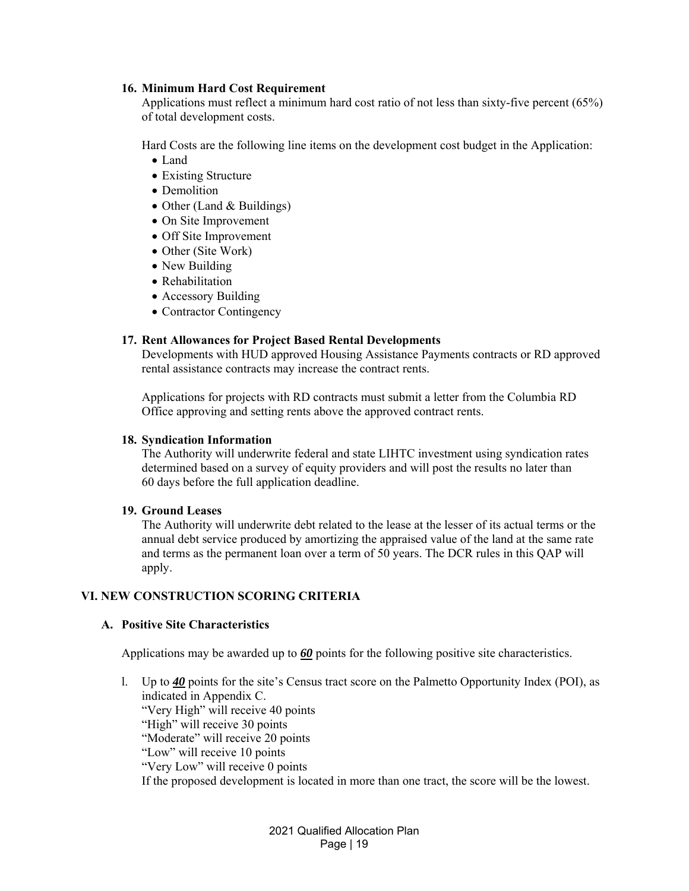### **16. Minimum Hard Cost Requirement**

Applications must reflect a minimum hard cost ratio of not less than sixty-five percent (65%) of total development costs.

Hard Costs are the following line items on the development cost budget in the Application:

- Land
- Existing Structure
- Demolition
- Other (Land & Buildings)
- On Site Improvement
- Off Site Improvement
- Other (Site Work)
- New Building
- Rehabilitation
- Accessory Building
- Contractor Contingency

### **17. Rent Allowances for Project Based Rental Developments**

Developments with HUD approved Housing Assistance Payments contracts or RD approved rental assistance contracts may increase the contract rents.

Applications for projects with RD contracts must submit a letter from the Columbia RD Office approving and setting rents above the approved contract rents.

#### **18. Syndication Information**

The Authority will underwrite federal and state LIHTC investment using syndication rates determined based on a survey of equity providers and will post the results no later than 60 days before the full application deadline.

### **19. Ground Leases**

The Authority will underwrite debt related to the lease at the lesser of its actual terms or the annual debt service produced by amortizing the appraised value of the land at the same rate and terms as the permanent loan over a term of 50 years. The DCR rules in this QAP will apply.

### **VI. NEW CONSTRUCTION SCORING CRITERIA**

### **A. Positive Site Characteristics**

Applications may be awarded up to *60* points for the following positive site characteristics.

l. Up to *40* points for the site's Census tract score on the Palmetto Opportunity Index (POI), as indicated in Appendix C. "Very High" will receive 40 points "High" will receive 30 points "Moderate" will receive 20 points "Low" will receive 10 points "Very Low" will receive 0 points If the proposed development is located in more than one tract, the score will be the lowest.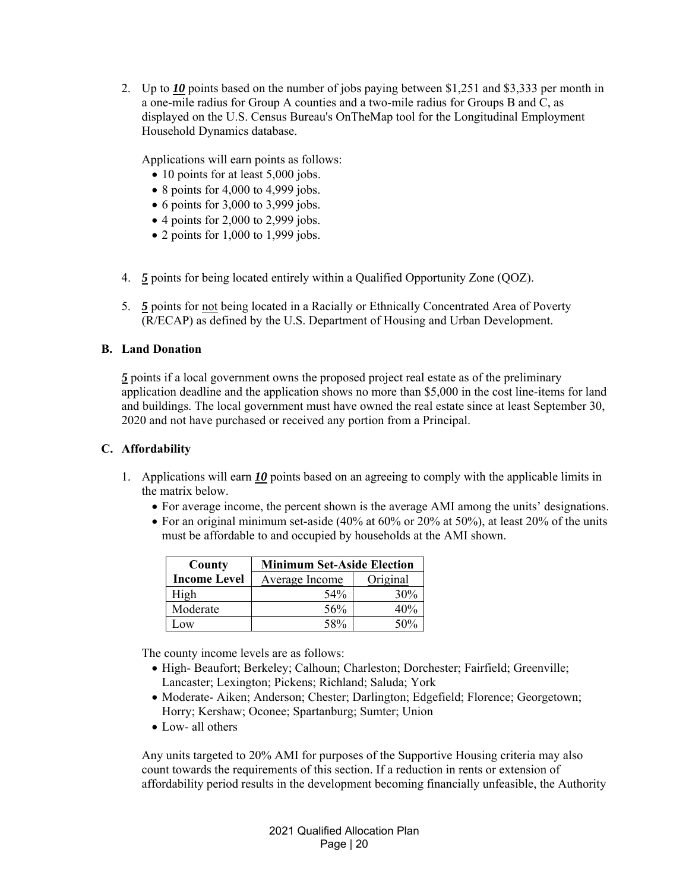2. Up to *10* points based on the number of jobs paying between \$1,251 and \$3,333 per month in a one-mile radius for Group A counties and a two-mile radius for Groups B and C, as displayed on the U.S. Census Bureau's OnTheMap tool for the Longitudinal Employment Household Dynamics database.

Applications will earn points as follows:

- 10 points for at least 5,000 jobs.
- $\bullet$  8 points for 4,000 to 4,999 jobs.
- $\bullet$  6 points for 3,000 to 3,999 jobs.
- $\bullet$  4 points for 2,000 to 2,999 jobs.
- $\bullet$  2 points for 1,000 to 1,999 jobs.
- 4. *5* points for being located entirely within a Qualified Opportunity Zone (QOZ).
- 5. *5* points for not being located in a Racially or Ethnically Concentrated Area of Poverty (R/ECAP) as defined by the U.S. Department of Housing and Urban Development.

## **B. Land Donation**

*5* points if a local government owns the proposed project real estate as of the preliminary application deadline and the application shows no more than \$5,000 in the cost line-items for land and buildings. The local government must have owned the real estate since at least September 30, 2020 and not have purchased or received any portion from a Principal.

### **C. Affordability**

- 1. Applications will earn *10* points based on an agreeing to comply with the applicable limits in the matrix below.
	- For average income, the percent shown is the average AMI among the units' designations.
	- For an original minimum set-aside (40% at 60% or 20% at 50%), at least 20% of the units must be affordable to and occupied by households at the AMI shown.

| County              | <b>Minimum Set-Aside Election</b> |          |
|---------------------|-----------------------------------|----------|
| <b>Income Level</b> | <b>Average Income</b>             | Original |
| High                | 54%                               | 30%      |
| Moderate            | 56%                               | 40%      |
| Low                 | 58%                               | 50%      |

The county income levels are as follows:

- High- Beaufort; Berkeley; Calhoun; Charleston; Dorchester; Fairfield; Greenville; Lancaster; Lexington; Pickens; Richland; Saluda; York
- Moderate- Aiken; Anderson; Chester; Darlington; Edgefield; Florence; Georgetown; Horry; Kershaw; Oconee; Spartanburg; Sumter; Union
- Low- all others

Any units targeted to 20% AMI for purposes of the Supportive Housing criteria may also count towards the requirements of this section. If a reduction in rents or extension of affordability period results in the development becoming financially unfeasible, the Authority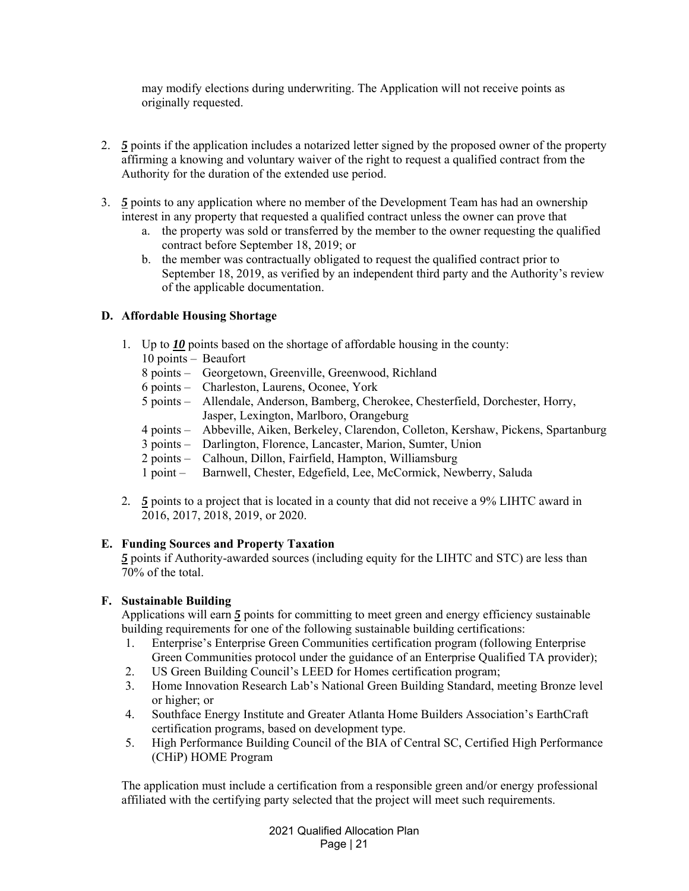may modify elections during underwriting. The Application will not receive points as originally requested.

- 2. *5* points if the application includes a notarized letter signed by the proposed owner of the property affirming a knowing and voluntary waiver of the right to request a qualified contract from the Authority for the duration of the extended use period.
- 3. *5* points to any application where no member of the Development Team has had an ownership interest in any property that requested a qualified contract unless the owner can prove that
	- a. the property was sold or transferred by the member to the owner requesting the qualified contract before September 18, 2019; or
	- b. the member was contractually obligated to request the qualified contract prior to September 18, 2019, as verified by an independent third party and the Authority's review of the applicable documentation.

## **D. Affordable Housing Shortage**

- 1. Up to *10* points based on the shortage of affordable housing in the county:
	- 10 points Beaufort
	- 8 points Georgetown, Greenville, Greenwood, Richland
	- 6 points Charleston, Laurens, Oconee, York
	- 5 points Allendale, Anderson, Bamberg, Cherokee, Chesterfield, Dorchester, Horry, Jasper, Lexington, Marlboro, Orangeburg
	- 4 points Abbeville, Aiken, Berkeley, Clarendon, Colleton, Kershaw, Pickens, Spartanburg
	- 3 points Darlington, Florence, Lancaster, Marion, Sumter, Union
	- 2 points Calhoun, Dillon, Fairfield, Hampton, Williamsburg
	- 1 point Barnwell, Chester, Edgefield, Lee, McCormick, Newberry, Saluda
- 2*. 5* points to a project that is located in a county that did not receive a 9% LIHTC award in 2016, 2017, 2018, 2019, or 2020.

### **E. Funding Sources and Property Taxation**

*5* points if Authority-awarded sources (including equity for the LIHTC and STC) are less than 70% of the total.

## **F. Sustainable Building**

Applications will earn 5 points for committing to meet green and energy efficiency sustainable building requirements for one of the following sustainable building certifications:

- 1. Enterprise's Enterprise Green Communities certification program (following Enterprise Green Communities protocol under the guidance of an Enterprise Qualified TA provider);
- 2. US Green Building Council's LEED for Homes certification program;
- 3. Home Innovation Research Lab's National Green Building Standard, meeting Bronze level or higher; or
- 4. Southface Energy Institute and Greater Atlanta Home Builders Association's EarthCraft certification programs, based on development type.
- 5. High Performance Building Council of the BIA of Central SC, Certified High Performance (CHiP) HOME Program

The application must include a certification from a responsible green and/or energy professional affiliated with the certifying party selected that the project will meet such requirements.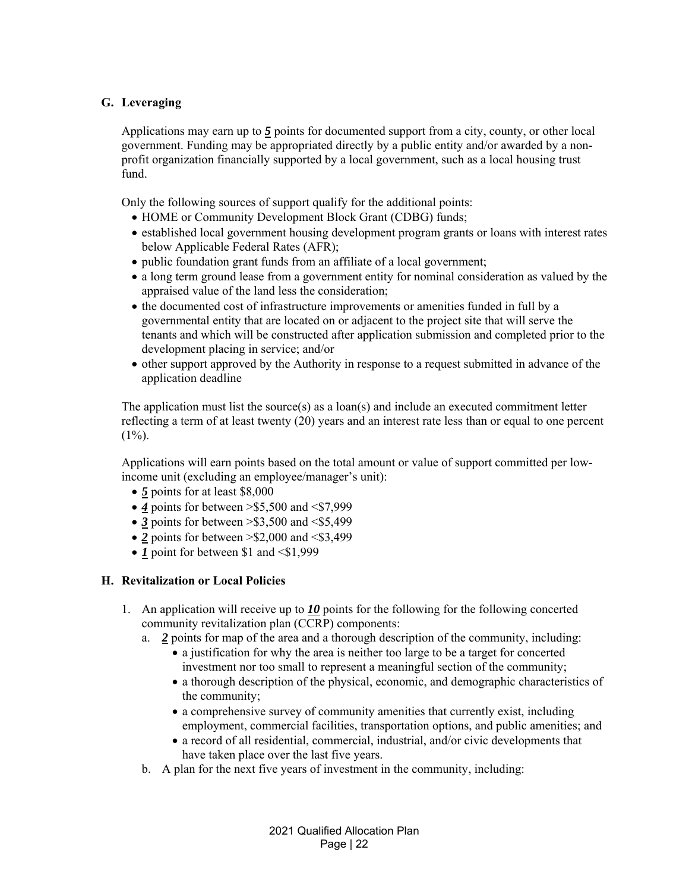## **G. Leveraging**

Applications may earn up to *5* points for documented support from a city, county, or other local government. Funding may be appropriated directly by a public entity and/or awarded by a nonprofit organization financially supported by a local government, such as a local housing trust fund.

Only the following sources of support qualify for the additional points:

- HOME or Community Development Block Grant (CDBG) funds;
- established local government housing development program grants or loans with interest rates below Applicable Federal Rates (AFR);
- public foundation grant funds from an affiliate of a local government;
- a long term ground lease from a government entity for nominal consideration as valued by the appraised value of the land less the consideration;
- the documented cost of infrastructure improvements or amenities funded in full by a governmental entity that are located on or adjacent to the project site that will serve the tenants and which will be constructed after application submission and completed prior to the development placing in service; and/or
- other support approved by the Authority in response to a request submitted in advance of the application deadline

The application must list the source(s) as a loan(s) and include an executed commitment letter reflecting a term of at least twenty (20) years and an interest rate less than or equal to one percent  $(1\%)$ .

Applications will earn points based on the total amount or value of support committed per lowincome unit (excluding an employee/manager's unit):

- *5* points for at least \$8,000
- *4* points for between >\$5,500 and <\$7,999
- $\bullet$  3 points for between  $>$ \$3,500 and  $\le$ \$5,499
- $\bullet$  2 points for between  $> $2,000$  and  $< $3,499$
- *1* point for between \$1 and <\$1,999

## **H. Revitalization or Local Policies**

- 1. An application will receive up to *10* points for the following for the following concerted community revitalization plan (CCRP) components:
	- a. *2* points for map of the area and a thorough description of the community, including:
		- a justification for why the area is neither too large to be a target for concerted investment nor too small to represent a meaningful section of the community;
		- a thorough description of the physical, economic, and demographic characteristics of the community;
		- a comprehensive survey of community amenities that currently exist, including employment, commercial facilities, transportation options, and public amenities; and
		- a record of all residential, commercial, industrial, and/or civic developments that have taken place over the last five years.
	- b. A plan for the next five years of investment in the community, including: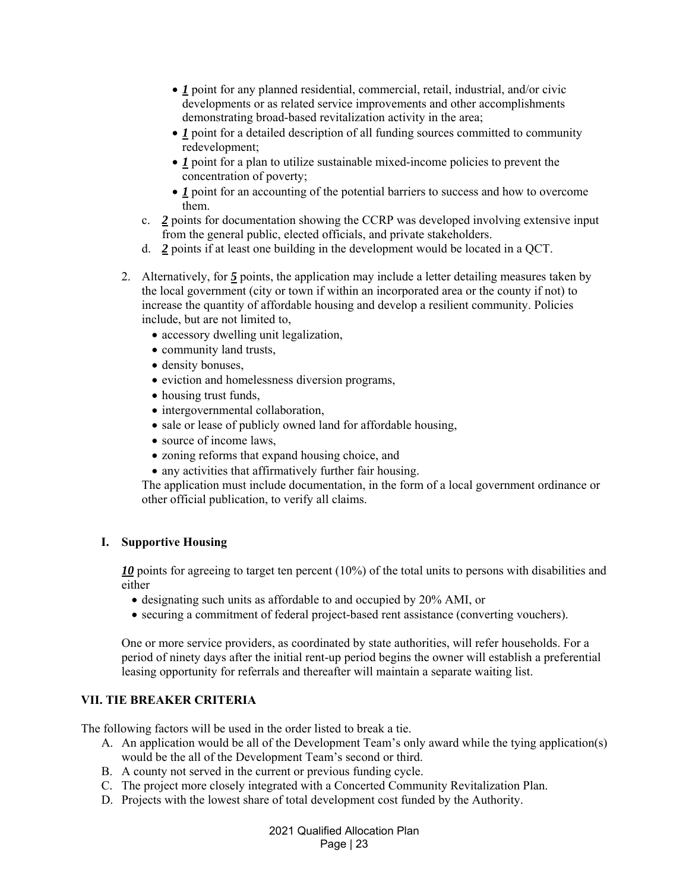- *1* point for any planned residential, commercial, retail, industrial, and/or civic developments or as related service improvements and other accomplishments demonstrating broad-based revitalization activity in the area;
- *1* point for a detailed description of all funding sources committed to community redevelopment;
- *1* point for a plan to utilize sustainable mixed-income policies to prevent the concentration of poverty;
- *1* point for an accounting of the potential barriers to success and how to overcome them.
- c. *2* points for documentation showing the CCRP was developed involving extensive input from the general public, elected officials, and private stakeholders.
- d. *2* points if at least one building in the development would be located in a QCT.
- 2. Alternatively, for *5* points, the application may include a letter detailing measures taken by the local government (city or town if within an incorporated area or the county if not) to increase the quantity of affordable housing and develop a resilient community. Policies include, but are not limited to,
	- accessory dwelling unit legalization,
	- community land trusts,
	- density bonuses,
	- eviction and homelessness diversion programs,
	- housing trust funds,
	- intergovernmental collaboration,
	- sale or lease of publicly owned land for affordable housing,
	- source of income laws,
	- zoning reforms that expand housing choice, and
	- any activities that affirmatively further fair housing.

The application must include documentation, in the form of a local government ordinance or other official publication, to verify all claims.

### **I. Supportive Housing**

10 points for agreeing to target ten percent (10%) of the total units to persons with disabilities and either

- designating such units as affordable to and occupied by 20% AMI, or
- securing a commitment of federal project-based rent assistance (converting vouchers).

One or more service providers, as coordinated by state authorities, will refer households. For a period of ninety days after the initial rent-up period begins the owner will establish a preferential leasing opportunity for referrals and thereafter will maintain a separate waiting list.

### **VII. TIE BREAKER CRITERIA**

The following factors will be used in the order listed to break a tie.

- A. An application would be all of the Development Team's only award while the tying application(s) would be the all of the Development Team's second or third.
- B. A county not served in the current or previous funding cycle.
- C. The project more closely integrated with a Concerted Community Revitalization Plan.
- D. Projects with the lowest share of total development cost funded by the Authority.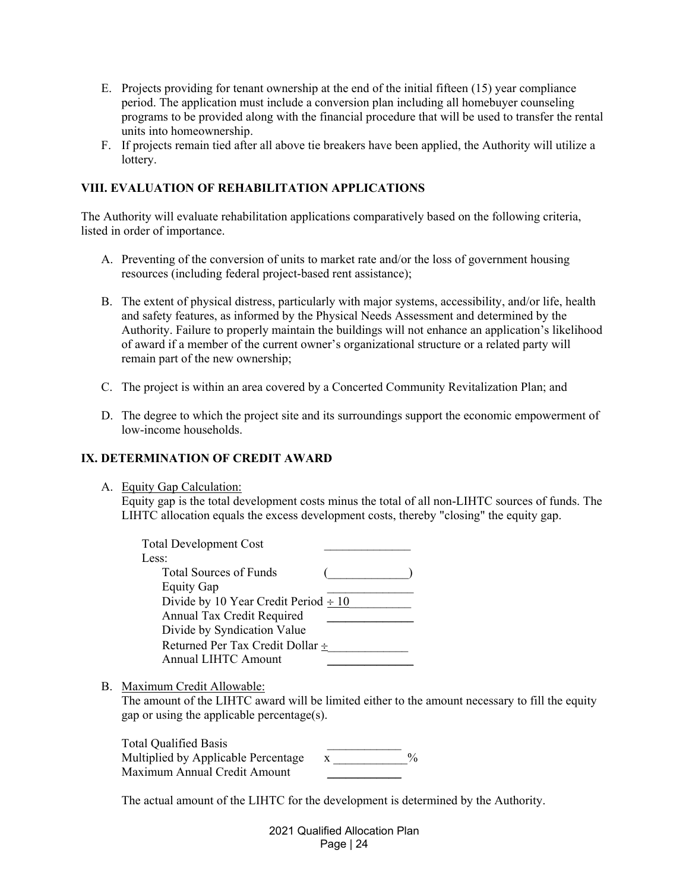- E. Projects providing for tenant ownership at the end of the initial fifteen (15) year compliance period. The application must include a conversion plan including all homebuyer counseling programs to be provided along with the financial procedure that will be used to transfer the rental units into homeownership.
- F. If projects remain tied after all above tie breakers have been applied, the Authority will utilize a lottery.

## **VIII. EVALUATION OF REHABILITATION APPLICATIONS**

The Authority will evaluate rehabilitation applications comparatively based on the following criteria, listed in order of importance.

- A. Preventing of the conversion of units to market rate and/or the loss of government housing resources (including federal project-based rent assistance);
- B. The extent of physical distress, particularly with major systems, accessibility, and/or life, health and safety features, as informed by the Physical Needs Assessment and determined by the Authority. Failure to properly maintain the buildings will not enhance an application's likelihood of award if a member of the current owner's organizational structure or a related party will remain part of the new ownership;
- C. The project is within an area covered by a Concerted Community Revitalization Plan; and
- D. The degree to which the project site and its surroundings support the economic empowerment of low-income households.

### **IX. DETERMINATION OF CREDIT AWARD**

A. Equity Gap Calculation:

Equity gap is the total development costs minus the total of all non-LIHTC sources of funds. The LIHTC allocation equals the excess development costs, thereby "closing" the equity gap.

| <b>Total Development Cost</b>             |  |
|-------------------------------------------|--|
| Less:                                     |  |
| <b>Total Sources of Funds</b>             |  |
| <b>Equity Gap</b>                         |  |
| Divide by 10 Year Credit Period $\div 10$ |  |
| Annual Tax Credit Required                |  |
| Divide by Syndication Value               |  |
| Returned Per Tax Credit Dollar ÷          |  |
| <b>Annual LIHTC Amount</b>                |  |

B. Maximum Credit Allowable:

The amount of the LIHTC award will be limited either to the amount necessary to fill the equity gap or using the applicable percentage(s).

| <b>Total Qualified Basis</b>        |               |
|-------------------------------------|---------------|
| Multiplied by Applicable Percentage | $\frac{0}{0}$ |
| Maximum Annual Credit Amount        |               |

The actual amount of the LIHTC for the development is determined by the Authority.

|            | 2021 Qualified Allocation Plan |
|------------|--------------------------------|
| Page $ 24$ |                                |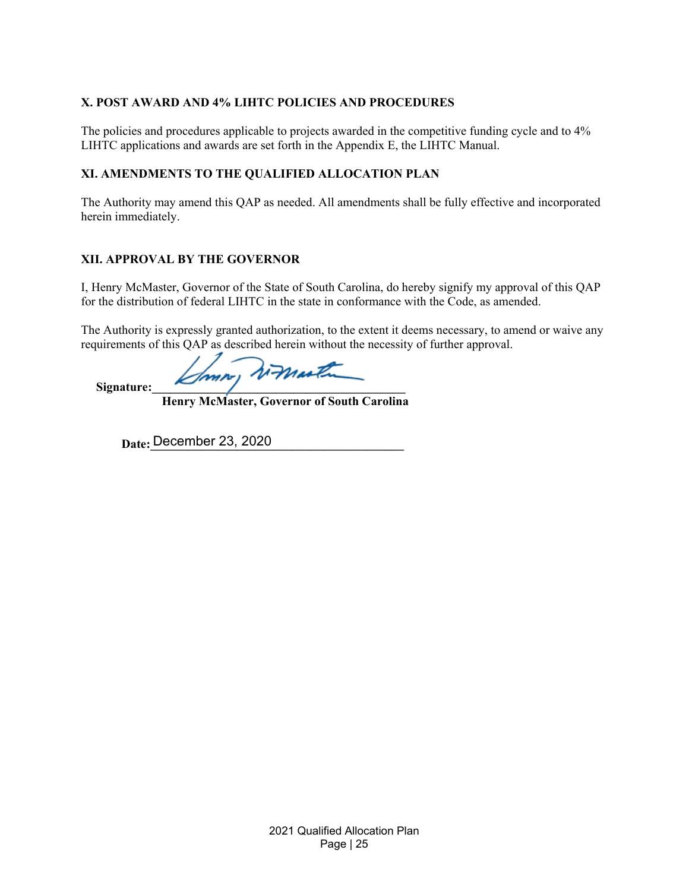# **X. POST AWARD AND 4% LIHTC POLICIES AND PROCEDURES**

The policies and procedures applicable to projects awarded in the competitive funding cycle and to 4% LIHTC applications and awards are set forth in the Appendix E, the LIHTC Manual.

# **XI. AMENDMENTS TO THE QUALIFIED ALLOCATION PLAN**

The Authority may amend this QAP as needed. All amendments shall be fully effective and incorporated herein immediately.

# **XII. APPROVAL BY THE GOVERNOR**

I, Henry McMaster, Governor of the State of South Carolina, do hereby signify my approval of this QAP for the distribution of federal LIHTC in the state in conformance with the Code, as amended.

The Authority is expressly granted authorization, to the extent it deems necessary, to amend or waive any requirements of this QAP as described herein without the necessity of further approval.

mon, romartin

 **Henry McMaster, Governor of South Carolina** 

**Date: December 23, 2020** 

Signature: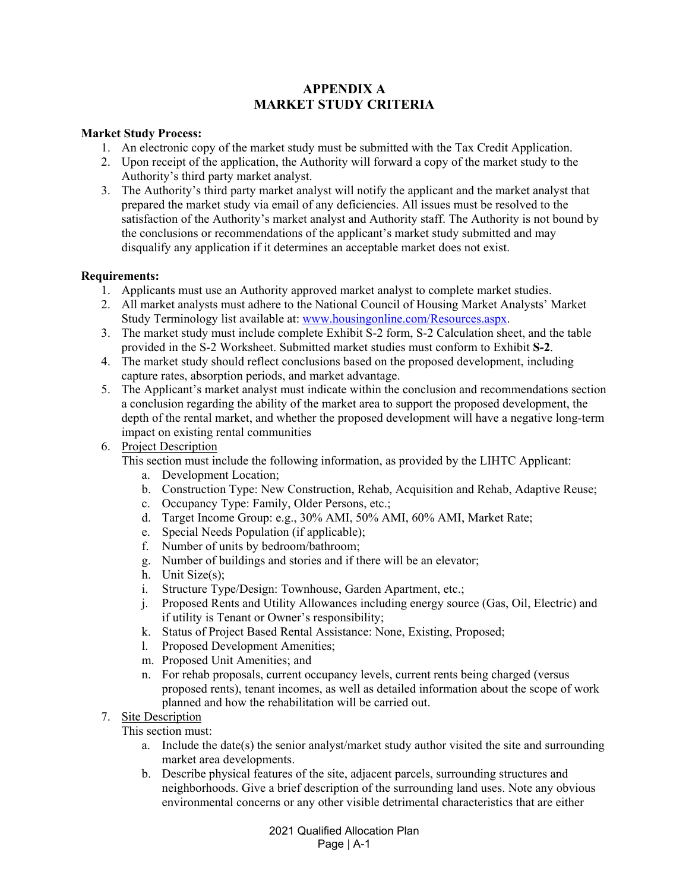# **APPENDIX A MARKET STUDY CRITERIA**

## **Market Study Process:**

- 1. An electronic copy of the market study must be submitted with the Tax Credit Application.
- 2. Upon receipt of the application, the Authority will forward a copy of the market study to the Authority's third party market analyst.
- 3. The Authority's third party market analyst will notify the applicant and the market analyst that prepared the market study via email of any deficiencies. All issues must be resolved to the satisfaction of the Authority's market analyst and Authority staff. The Authority is not bound by the conclusions or recommendations of the applicant's market study submitted and may disqualify any application if it determines an acceptable market does not exist.

## **Requirements:**

- 1. Applicants must use an Authority approved market analyst to complete market studies.
- 2. All market analysts must adhere to the National Council of Housing Market Analysts' Market Study Terminology list available at: www.housingonline.com/Resources.aspx.
- 3. The market study must include complete Exhibit S-2 form, S-2 Calculation sheet, and the table provided in the S-2 Worksheet. Submitted market studies must conform to Exhibit **S-2**.
- 4. The market study should reflect conclusions based on the proposed development, including capture rates, absorption periods, and market advantage.
- 5. The Applicant's market analyst must indicate within the conclusion and recommendations section a conclusion regarding the ability of the market area to support the proposed development, the depth of the rental market, and whether the proposed development will have a negative long-term impact on existing rental communities
- 6. Project Description

This section must include the following information, as provided by the LIHTC Applicant:

- a. Development Location;
- b. Construction Type: New Construction, Rehab, Acquisition and Rehab, Adaptive Reuse;
- c. Occupancy Type: Family, Older Persons, etc.;
- d. Target Income Group: e.g., 30% AMI, 50% AMI, 60% AMI, Market Rate;
- e. Special Needs Population (if applicable);
- f. Number of units by bedroom/bathroom;
- g. Number of buildings and stories and if there will be an elevator;
- h. Unit Size(s);
- i. Structure Type/Design: Townhouse, Garden Apartment, etc.;
- j. Proposed Rents and Utility Allowances including energy source (Gas, Oil, Electric) and if utility is Tenant or Owner's responsibility;
- k. Status of Project Based Rental Assistance: None, Existing, Proposed;
- l. Proposed Development Amenities;
- m. Proposed Unit Amenities; and
- n. For rehab proposals, current occupancy levels, current rents being charged (versus proposed rents), tenant incomes, as well as detailed information about the scope of work planned and how the rehabilitation will be carried out.
- 7. Site Description

This section must:

- a. Include the date(s) the senior analyst/market study author visited the site and surrounding market area developments.
- b. Describe physical features of the site, adjacent parcels, surrounding structures and neighborhoods. Give a brief description of the surrounding land uses. Note any obvious environmental concerns or any other visible detrimental characteristics that are either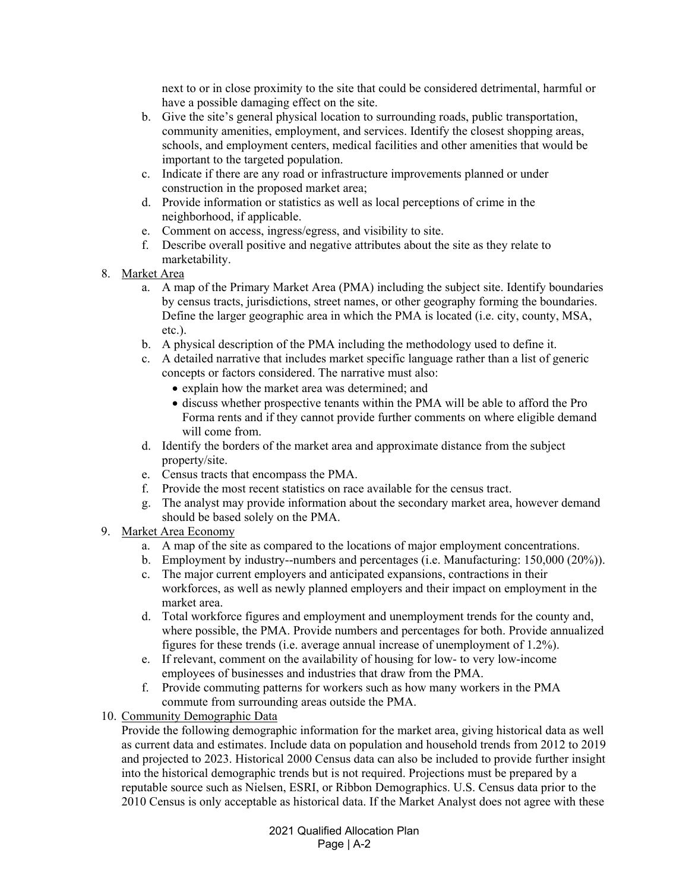next to or in close proximity to the site that could be considered detrimental, harmful or have a possible damaging effect on the site.

- b. Give the site's general physical location to surrounding roads, public transportation, community amenities, employment, and services. Identify the closest shopping areas, schools, and employment centers, medical facilities and other amenities that would be important to the targeted population.
- c. Indicate if there are any road or infrastructure improvements planned or under construction in the proposed market area;
- d. Provide information or statistics as well as local perceptions of crime in the neighborhood, if applicable.
- e. Comment on access, ingress/egress, and visibility to site.
- f. Describe overall positive and negative attributes about the site as they relate to marketability.
- 8. Market Area
	- a. A map of the Primary Market Area (PMA) including the subject site. Identify boundaries by census tracts, jurisdictions, street names, or other geography forming the boundaries. Define the larger geographic area in which the PMA is located (i.e. city, county, MSA, etc.).
	- b. A physical description of the PMA including the methodology used to define it.
	- c. A detailed narrative that includes market specific language rather than a list of generic concepts or factors considered. The narrative must also:
		- explain how the market area was determined; and
		- discuss whether prospective tenants within the PMA will be able to afford the Pro Forma rents and if they cannot provide further comments on where eligible demand will come from.
	- d. Identify the borders of the market area and approximate distance from the subject property/site.
	- e. Census tracts that encompass the PMA.
	- f. Provide the most recent statistics on race available for the census tract.
	- g. The analyst may provide information about the secondary market area, however demand should be based solely on the PMA.
- 9. Market Area Economy
	- a. A map of the site as compared to the locations of major employment concentrations.
	- b. Employment by industry--numbers and percentages (i.e. Manufacturing: 150,000 (20%)).
	- c. The major current employers and anticipated expansions, contractions in their workforces, as well as newly planned employers and their impact on employment in the market area.
	- d. Total workforce figures and employment and unemployment trends for the county and, where possible, the PMA. Provide numbers and percentages for both. Provide annualized figures for these trends (i.e. average annual increase of unemployment of 1.2%).
	- e. If relevant, comment on the availability of housing for low- to very low-income employees of businesses and industries that draw from the PMA.
	- f. Provide commuting patterns for workers such as how many workers in the PMA commute from surrounding areas outside the PMA.
- 10. Community Demographic Data

Provide the following demographic information for the market area, giving historical data as well as current data and estimates. Include data on population and household trends from 2012 to 2019 and projected to 2023. Historical 2000 Census data can also be included to provide further insight into the historical demographic trends but is not required. Projections must be prepared by a reputable source such as Nielsen, ESRI, or Ribbon Demographics. U.S. Census data prior to the 2010 Census is only acceptable as historical data. If the Market Analyst does not agree with these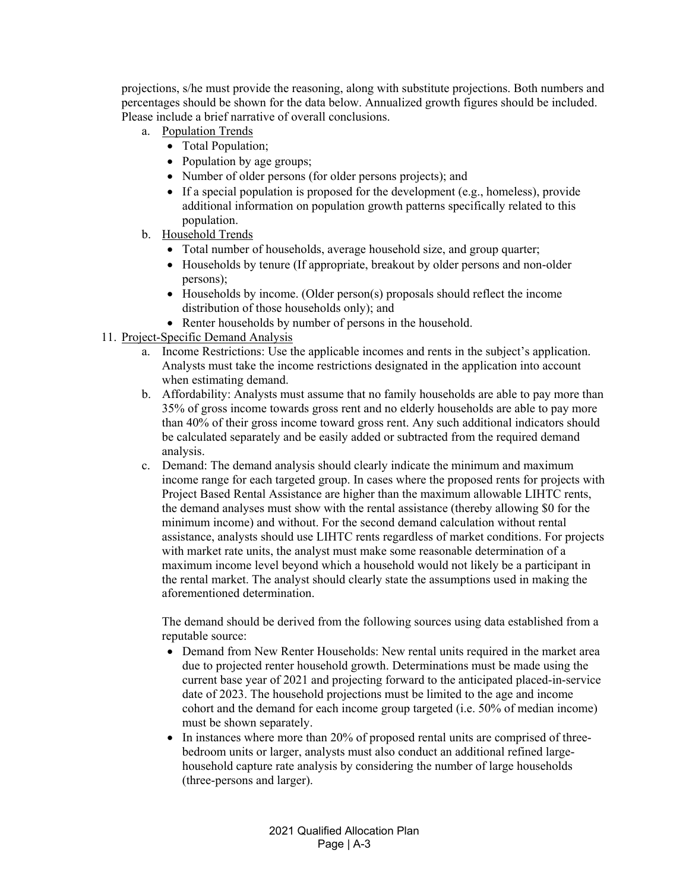projections, s/he must provide the reasoning, along with substitute projections. Both numbers and percentages should be shown for the data below. Annualized growth figures should be included. Please include a brief narrative of overall conclusions.

- a. Population Trends
	- Total Population;
	- Population by age groups;
	- Number of older persons (for older persons projects); and
	- If a special population is proposed for the development (e.g., homeless), provide additional information on population growth patterns specifically related to this population.
- b. Household Trends
	- Total number of households, average household size, and group quarter;
	- Households by tenure (If appropriate, breakout by older persons and non-older persons);
	- Households by income. (Older person(s) proposals should reflect the income distribution of those households only); and
	- Renter households by number of persons in the household.
- 11. Project-Specific Demand Analysis
	- a. Income Restrictions: Use the applicable incomes and rents in the subject's application. Analysts must take the income restrictions designated in the application into account when estimating demand.
	- b. Affordability: Analysts must assume that no family households are able to pay more than 35% of gross income towards gross rent and no elderly households are able to pay more than 40% of their gross income toward gross rent. Any such additional indicators should be calculated separately and be easily added or subtracted from the required demand analysis.
	- c. Demand: The demand analysis should clearly indicate the minimum and maximum income range for each targeted group. In cases where the proposed rents for projects with Project Based Rental Assistance are higher than the maximum allowable LIHTC rents, the demand analyses must show with the rental assistance (thereby allowing \$0 for the minimum income) and without. For the second demand calculation without rental assistance, analysts should use LIHTC rents regardless of market conditions. For projects with market rate units, the analyst must make some reasonable determination of a maximum income level beyond which a household would not likely be a participant in the rental market. The analyst should clearly state the assumptions used in making the aforementioned determination.

The demand should be derived from the following sources using data established from a reputable source:

- Demand from New Renter Households: New rental units required in the market area due to projected renter household growth. Determinations must be made using the current base year of 2021 and projecting forward to the anticipated placed-in-service date of 2023. The household projections must be limited to the age and income cohort and the demand for each income group targeted (i.e. 50% of median income) must be shown separately.
- In instances where more than 20% of proposed rental units are comprised of threebedroom units or larger, analysts must also conduct an additional refined largehousehold capture rate analysis by considering the number of large households (three-persons and larger).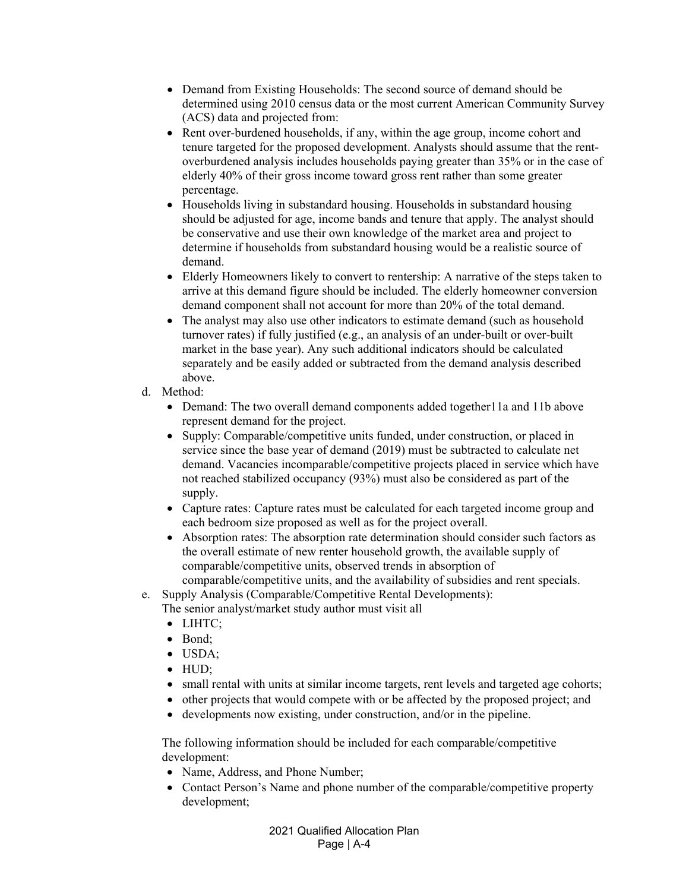- Demand from Existing Households: The second source of demand should be determined using 2010 census data or the most current American Community Survey (ACS) data and projected from:
- Rent over-burdened households, if any, within the age group, income cohort and tenure targeted for the proposed development. Analysts should assume that the rentoverburdened analysis includes households paying greater than 35% or in the case of elderly 40% of their gross income toward gross rent rather than some greater percentage.
- Households living in substandard housing. Households in substandard housing should be adjusted for age, income bands and tenure that apply. The analyst should be conservative and use their own knowledge of the market area and project to determine if households from substandard housing would be a realistic source of demand.
- Elderly Homeowners likely to convert to rentership: A narrative of the steps taken to arrive at this demand figure should be included. The elderly homeowner conversion demand component shall not account for more than 20% of the total demand.
- The analyst may also use other indicators to estimate demand (such as household turnover rates) if fully justified (e.g., an analysis of an under-built or over-built market in the base year). Any such additional indicators should be calculated separately and be easily added or subtracted from the demand analysis described above.
- d. Method:
	- Demand: The two overall demand components added together 11a and 11b above represent demand for the project.
	- Supply: Comparable/competitive units funded, under construction, or placed in service since the base year of demand (2019) must be subtracted to calculate net demand. Vacancies incomparable/competitive projects placed in service which have not reached stabilized occupancy (93%) must also be considered as part of the supply.
	- Capture rates: Capture rates must be calculated for each targeted income group and each bedroom size proposed as well as for the project overall.
	- Absorption rates: The absorption rate determination should consider such factors as the overall estimate of new renter household growth, the available supply of comparable/competitive units, observed trends in absorption of comparable/competitive units, and the availability of subsidies and rent specials.
- e. Supply Analysis (Comparable/Competitive Rental Developments):
	- The senior analyst/market study author must visit all
		- LIHTC:
		- Bond:
		- USDA;
		- $\bullet$  HUD:
		- small rental with units at similar income targets, rent levels and targeted age cohorts;
		- other projects that would compete with or be affected by the proposed project; and
		- developments now existing, under construction, and/or in the pipeline.

The following information should be included for each comparable/competitive development:

- Name, Address, and Phone Number;
- Contact Person's Name and phone number of the comparable/competitive property development;

2021 Qualified Allocation Plan Page | A-4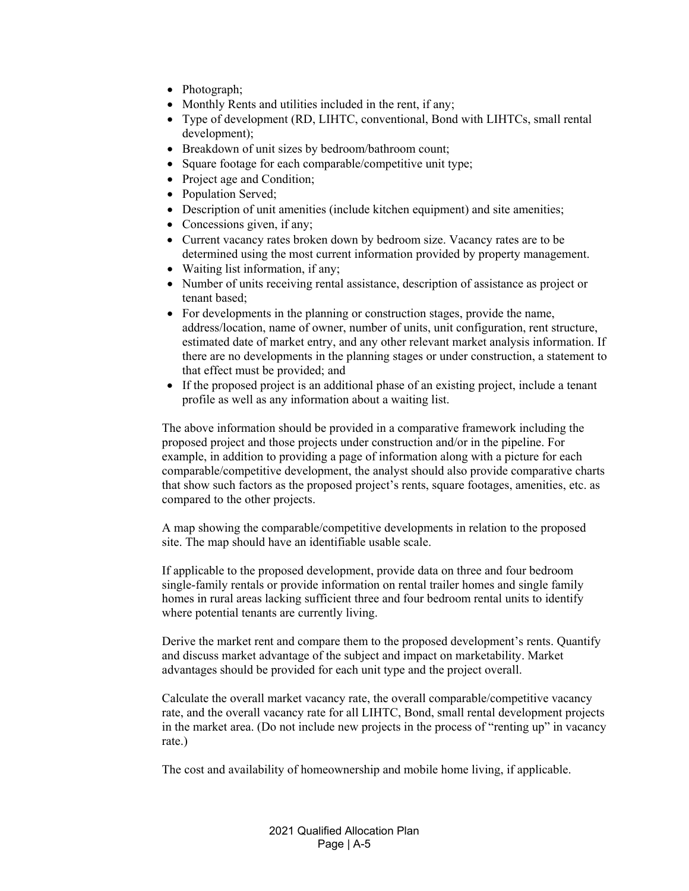- Photograph;
- Monthly Rents and utilities included in the rent, if any;
- Type of development (RD, LIHTC, conventional, Bond with LIHTCs, small rental development);
- Breakdown of unit sizes by bedroom/bathroom count;
- Square footage for each comparable/competitive unit type;
- Project age and Condition;
- Population Served;
- Description of unit amenities (include kitchen equipment) and site amenities;
- Concessions given, if any;
- Current vacancy rates broken down by bedroom size. Vacancy rates are to be determined using the most current information provided by property management.
- Waiting list information, if any;
- Number of units receiving rental assistance, description of assistance as project or tenant based;
- For developments in the planning or construction stages, provide the name, address/location, name of owner, number of units, unit configuration, rent structure, estimated date of market entry, and any other relevant market analysis information. If there are no developments in the planning stages or under construction, a statement to that effect must be provided; and
- If the proposed project is an additional phase of an existing project, include a tenant profile as well as any information about a waiting list.

The above information should be provided in a comparative framework including the proposed project and those projects under construction and/or in the pipeline. For example, in addition to providing a page of information along with a picture for each comparable/competitive development, the analyst should also provide comparative charts that show such factors as the proposed project's rents, square footages, amenities, etc. as compared to the other projects.

A map showing the comparable/competitive developments in relation to the proposed site. The map should have an identifiable usable scale.

If applicable to the proposed development, provide data on three and four bedroom single-family rentals or provide information on rental trailer homes and single family homes in rural areas lacking sufficient three and four bedroom rental units to identify where potential tenants are currently living.

Derive the market rent and compare them to the proposed development's rents. Quantify and discuss market advantage of the subject and impact on marketability. Market advantages should be provided for each unit type and the project overall.

Calculate the overall market vacancy rate, the overall comparable/competitive vacancy rate, and the overall vacancy rate for all LIHTC, Bond, small rental development projects in the market area. (Do not include new projects in the process of "renting up" in vacancy rate.)

The cost and availability of homeownership and mobile home living, if applicable.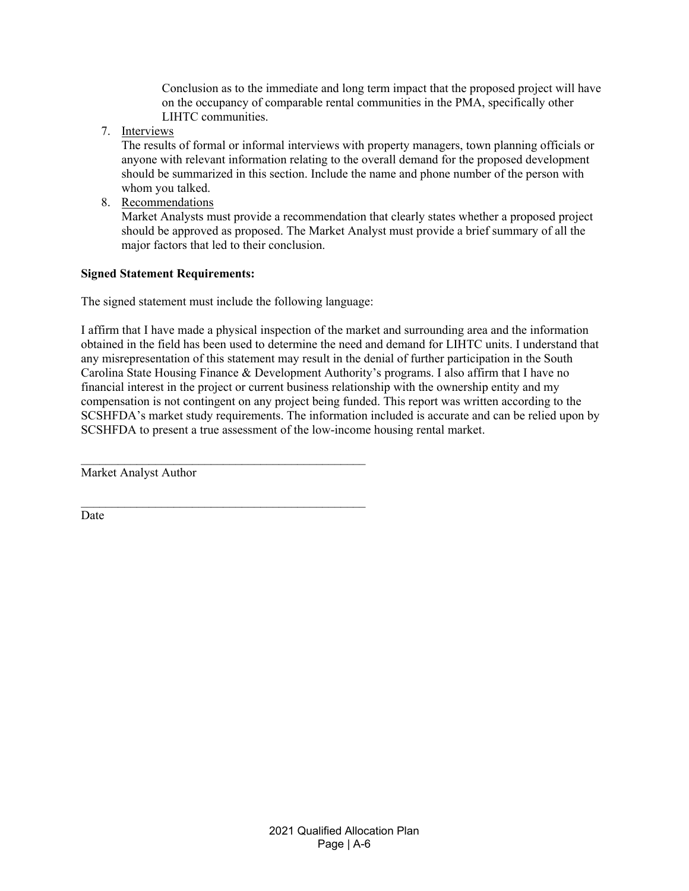Conclusion as to the immediate and long term impact that the proposed project will have on the occupancy of comparable rental communities in the PMA, specifically other LIHTC communities.

7. Interviews

The results of formal or informal interviews with property managers, town planning officials or anyone with relevant information relating to the overall demand for the proposed development should be summarized in this section. Include the name and phone number of the person with whom you talked.

8. Recommendations

Market Analysts must provide a recommendation that clearly states whether a proposed project should be approved as proposed. The Market Analyst must provide a brief summary of all the major factors that led to their conclusion.

## **Signed Statement Requirements:**

The signed statement must include the following language:

 $\mathcal{L}_\text{max}$  and the contract of the contract of the contract of the contract of the contract of the contract of the contract of the contract of the contract of the contract of the contract of the contract of the contrac

I affirm that I have made a physical inspection of the market and surrounding area and the information obtained in the field has been used to determine the need and demand for LIHTC units. I understand that any misrepresentation of this statement may result in the denial of further participation in the South Carolina State Housing Finance & Development Authority's programs. I also affirm that I have no financial interest in the project or current business relationship with the ownership entity and my compensation is not contingent on any project being funded. This report was written according to the SCSHFDA's market study requirements. The information included is accurate and can be relied upon by SCSHFDA to present a true assessment of the low-income housing rental market.

Market Analyst Author

**Date**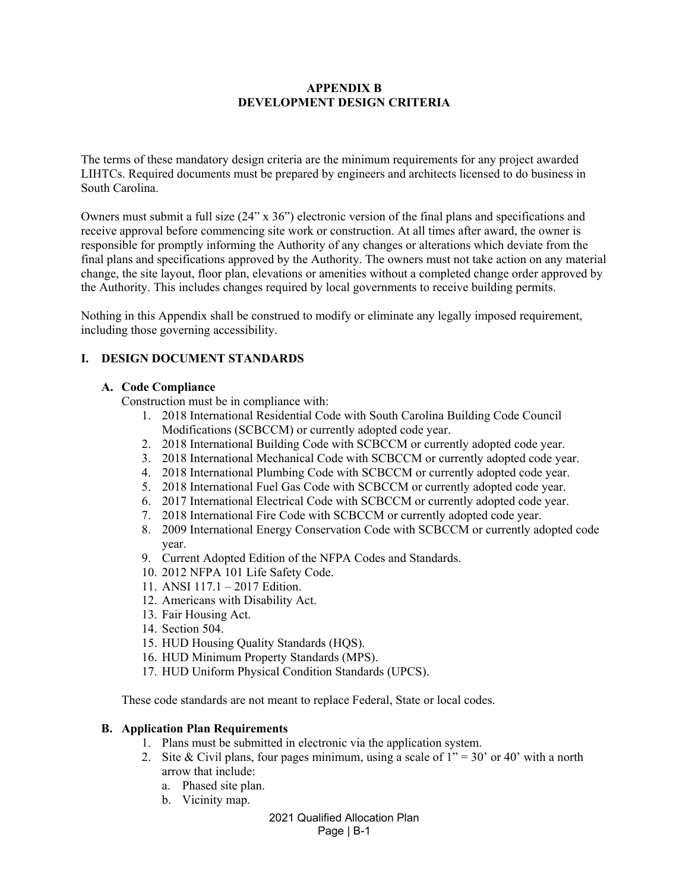### **APPENDIX B DEVELOPMENT DESIGN CRITERIA**

The terms of these mandatory design criteria are the minimum requirements for any project awarded LIHTCs. Required documents must be prepared by engineers and architects licensed to do business in South Carolina.

Owners must submit a full size (24" x 36") electronic version of the final plans and specifications and receive approval before commencing site work or construction. At all times after award, the owner is responsible for promptly informing the Authority of any changes or alterations which deviate from the final plans and specifications approved by the Authority. The owners must not take action on any material change, the site layout, floor plan, elevations or amenities without a completed change order approved by the Authority. This includes changes required by local governments to receive building permits.

Nothing in this Appendix shall be construed to modify or eliminate any legally imposed requirement, including those governing accessibility.

## **I. DESIGN DOCUMENT STANDARDS**

### **A. Code Compliance**

Construction must be in compliance with:

- 1. 2018 International Residential Code with South Carolina Building Code Council Modifications (SCBCCM) or currently adopted code year.
- 2. 2018 International Building Code with SCBCCM or currently adopted code year.
- 3. 2018 International Mechanical Code with SCBCCM or currently adopted code year.
- 4. 2018 International Plumbing Code with SCBCCM or currently adopted code year.
- 5. 2018 International Fuel Gas Code with SCBCCM or currently adopted code year.
- 6. 2017 International Electrical Code with SCBCCM or currently adopted code year.
- 7. 2018 International Fire Code with SCBCCM or currently adopted code year.
- 8. 2009 International Energy Conservation Code with SCBCCM or currently adopted code year.
- 9. Current Adopted Edition of the NFPA Codes and Standards.
- 10. 2012 NFPA 101 Life Safety Code.
- 11. ANSI 117.1 2017 Edition.
- 12. Americans with Disability Act.
- 13. Fair Housing Act.
- 14. Section 504.
- 15. HUD Housing Quality Standards (HQS).
- 16. HUD Minimum Property Standards (MPS).
- 17. HUD Uniform Physical Condition Standards (UPCS).

These code standards are not meant to replace Federal, State or local codes.

#### **B. Application Plan Requirements**

- 1. Plans must be submitted in electronic via the application system.
- 2. Site & Civil plans, four pages minimum, using a scale of  $1" = 30'$  or 40' with a north arrow that include:
	- a. Phased site plan.
	- b. Vicinity map.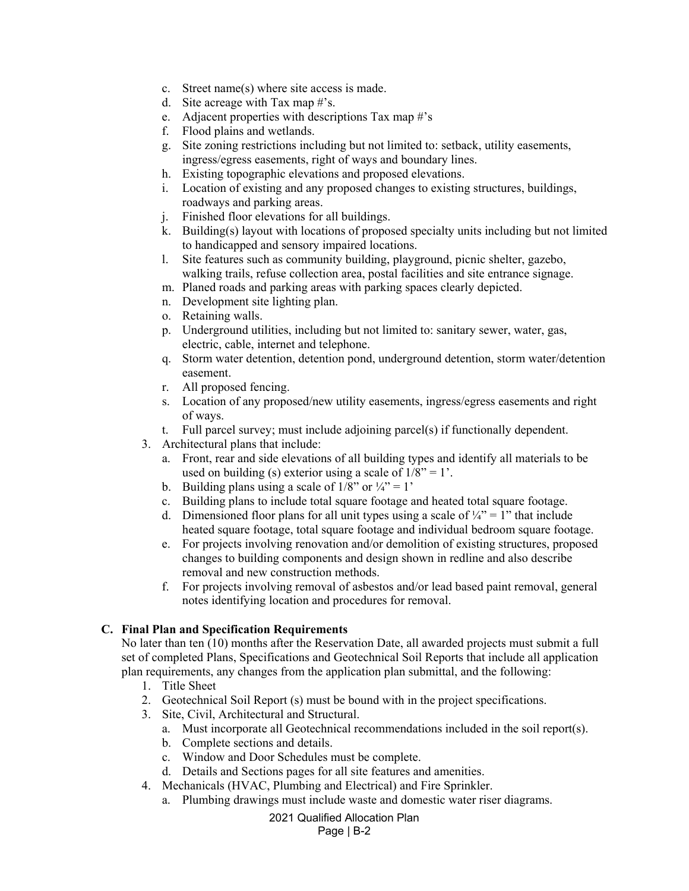- c. Street name(s) where site access is made.
- d. Site acreage with Tax map #'s.
- e. Adjacent properties with descriptions Tax map  $\#$ 's
- f. Flood plains and wetlands.
- g. Site zoning restrictions including but not limited to: setback, utility easements, ingress/egress easements, right of ways and boundary lines.
- h. Existing topographic elevations and proposed elevations.
- i. Location of existing and any proposed changes to existing structures, buildings, roadways and parking areas.
- j. Finished floor elevations for all buildings.
- k. Building(s) layout with locations of proposed specialty units including but not limited to handicapped and sensory impaired locations.
- l. Site features such as community building, playground, picnic shelter, gazebo, walking trails, refuse collection area, postal facilities and site entrance signage.
- m. Planed roads and parking areas with parking spaces clearly depicted.
- n. Development site lighting plan.
- o. Retaining walls.
- p. Underground utilities, including but not limited to: sanitary sewer, water, gas, electric, cable, internet and telephone.
- q. Storm water detention, detention pond, underground detention, storm water/detention easement.
- r. All proposed fencing.
- s. Location of any proposed/new utility easements, ingress/egress easements and right of ways.
- t. Full parcel survey; must include adjoining parcel(s) if functionally dependent.
- 3. Architectural plans that include:
	- a. Front, rear and side elevations of all building types and identify all materials to be used on building (s) exterior using a scale of  $1/8$ " = 1'.
	- b. Building plans using a scale of  $1/8$ " or  $\frac{1}{4}$ " = 1'
	- c. Building plans to include total square footage and heated total square footage.
	- d. Dimensioned floor plans for all unit types using a scale of  $\frac{1}{4}$ " = 1" that include heated square footage, total square footage and individual bedroom square footage.
	- e. For projects involving renovation and/or demolition of existing structures, proposed changes to building components and design shown in redline and also describe removal and new construction methods.
	- f. For projects involving removal of asbestos and/or lead based paint removal, general notes identifying location and procedures for removal.

## **C. Final Plan and Specification Requirements**

No later than ten (10) months after the Reservation Date, all awarded projects must submit a full set of completed Plans, Specifications and Geotechnical Soil Reports that include all application plan requirements, any changes from the application plan submittal, and the following:

- 1. Title Sheet
- 2. Geotechnical Soil Report (s) must be bound with in the project specifications.
- 3. Site, Civil, Architectural and Structural.
	- a. Must incorporate all Geotechnical recommendations included in the soil report(s).
	- b. Complete sections and details.
	- c. Window and Door Schedules must be complete.
	- d. Details and Sections pages for all site features and amenities.
- 4. Mechanicals (HVAC, Plumbing and Electrical) and Fire Sprinkler.
	- a. Plumbing drawings must include waste and domestic water riser diagrams.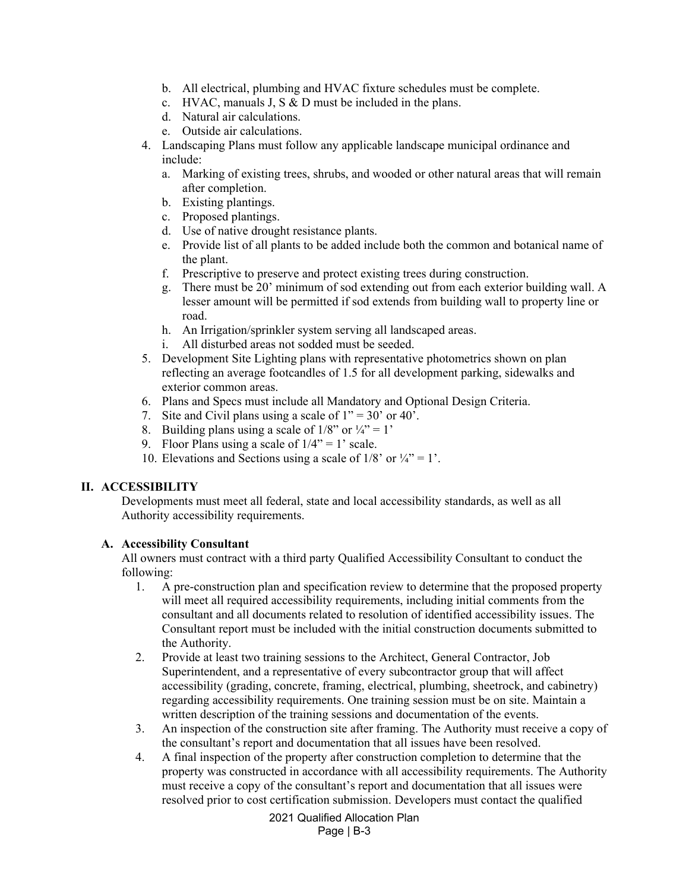- b. All electrical, plumbing and HVAC fixture schedules must be complete.
- c. HVAC, manuals J, S & D must be included in the plans.
- d. Natural air calculations.
- e. Outside air calculations.
- 4. Landscaping Plans must follow any applicable landscape municipal ordinance and include:
	- a. Marking of existing trees, shrubs, and wooded or other natural areas that will remain after completion.
	- b. Existing plantings.
	- c. Proposed plantings.
	- d. Use of native drought resistance plants.
	- e. Provide list of all plants to be added include both the common and botanical name of the plant.
	- f. Prescriptive to preserve and protect existing trees during construction.
	- g. There must be 20' minimum of sod extending out from each exterior building wall. A lesser amount will be permitted if sod extends from building wall to property line or road.
	- h. An Irrigation/sprinkler system serving all landscaped areas.
	- i. All disturbed areas not sodded must be seeded.
- 5. Development Site Lighting plans with representative photometrics shown on plan reflecting an average footcandles of 1.5 for all development parking, sidewalks and exterior common areas.
- 6. Plans and Specs must include all Mandatory and Optional Design Criteria.
- 7. Site and Civil plans using a scale of  $1'' = 30'$  or 40'.
- 8. Building plans using a scale of  $1/8$ " or  $\frac{1}{4}$ " = 1'
- 9. Floor Plans using a scale of  $1/4$ " = 1' scale.
- 10. Elevations and Sections using a scale of  $1/8$ ' or  $\frac{1}{4}$ ' = 1'.

#### **II. ACCESSIBILITY**

Developments must meet all federal, state and local accessibility standards, as well as all Authority accessibility requirements.

#### **A. Accessibility Consultant**

All owners must contract with a third party Qualified Accessibility Consultant to conduct the following:

- 1. A pre-construction plan and specification review to determine that the proposed property will meet all required accessibility requirements, including initial comments from the consultant and all documents related to resolution of identified accessibility issues. The Consultant report must be included with the initial construction documents submitted to the Authority.
- 2. Provide at least two training sessions to the Architect, General Contractor, Job Superintendent, and a representative of every subcontractor group that will affect accessibility (grading, concrete, framing, electrical, plumbing, sheetrock, and cabinetry) regarding accessibility requirements. One training session must be on site. Maintain a written description of the training sessions and documentation of the events.
- 3. An inspection of the construction site after framing. The Authority must receive a copy of the consultant's report and documentation that all issues have been resolved.
- 4. A final inspection of the property after construction completion to determine that the property was constructed in accordance with all accessibility requirements. The Authority must receive a copy of the consultant's report and documentation that all issues were resolved prior to cost certification submission. Developers must contact the qualified

2021 Qualified Allocation Plan Page | B-3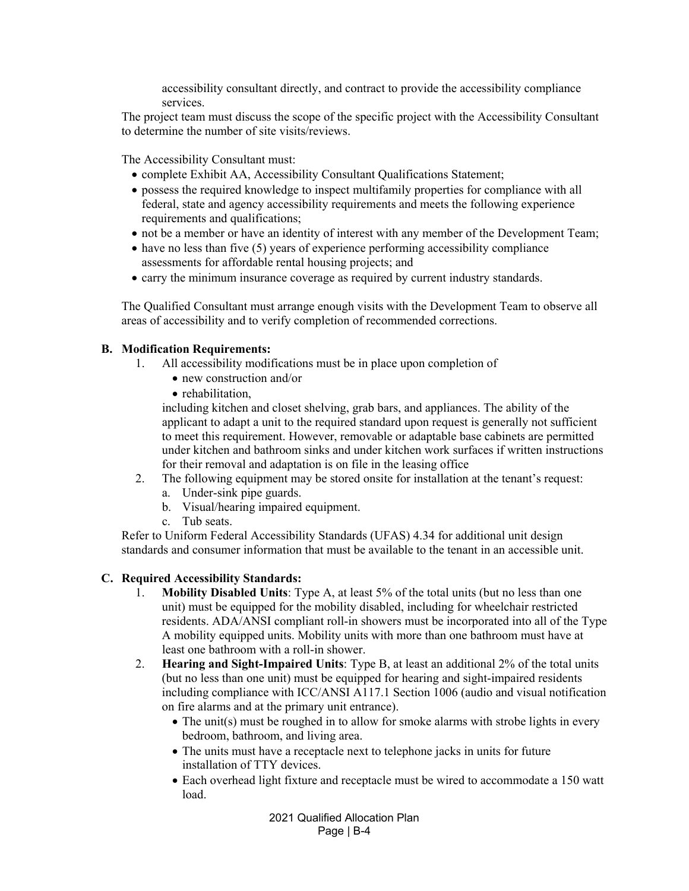accessibility consultant directly, and contract to provide the accessibility compliance services.

The project team must discuss the scope of the specific project with the Accessibility Consultant to determine the number of site visits/reviews.

The Accessibility Consultant must:

- complete Exhibit AA, Accessibility Consultant Qualifications Statement;
- possess the required knowledge to inspect multifamily properties for compliance with all federal, state and agency accessibility requirements and meets the following experience requirements and qualifications;
- not be a member or have an identity of interest with any member of the Development Team;
- $\bullet$  have no less than five (5) years of experience performing accessibility compliance assessments for affordable rental housing projects; and
- carry the minimum insurance coverage as required by current industry standards.

The Qualified Consultant must arrange enough visits with the Development Team to observe all areas of accessibility and to verify completion of recommended corrections.

#### **B. Modification Requirements:**

- 1. All accessibility modifications must be in place upon completion of
	- new construction and/or
	- rehabilitation.

including kitchen and closet shelving, grab bars, and appliances. The ability of the applicant to adapt a unit to the required standard upon request is generally not sufficient to meet this requirement. However, removable or adaptable base cabinets are permitted under kitchen and bathroom sinks and under kitchen work surfaces if written instructions for their removal and adaptation is on file in the leasing office

- 2. The following equipment may be stored onsite for installation at the tenant's request:
	- a. Under-sink pipe guards.
	- b. Visual/hearing impaired equipment.
	- c. Tub seats.

Refer to Uniform Federal Accessibility Standards (UFAS) 4.34 for additional unit design standards and consumer information that must be available to the tenant in an accessible unit.

#### **C. Required Accessibility Standards:**

- 1. **Mobility Disabled Units**: Type A, at least 5% of the total units (but no less than one unit) must be equipped for the mobility disabled, including for wheelchair restricted residents. ADA/ANSI compliant roll-in showers must be incorporated into all of the Type A mobility equipped units. Mobility units with more than one bathroom must have at least one bathroom with a roll-in shower.
- 2. **Hearing and Sight-Impaired Units**: Type B, at least an additional 2% of the total units (but no less than one unit) must be equipped for hearing and sight-impaired residents including compliance with ICC/ANSI A117.1 Section 1006 (audio and visual notification on fire alarms and at the primary unit entrance).
	- The unit(s) must be roughed in to allow for smoke alarms with strobe lights in every bedroom, bathroom, and living area.
	- The units must have a receptacle next to telephone jacks in units for future installation of TTY devices.
	- Each overhead light fixture and receptacle must be wired to accommodate a 150 watt load.

2021 Qualified Allocation Plan Page | B-4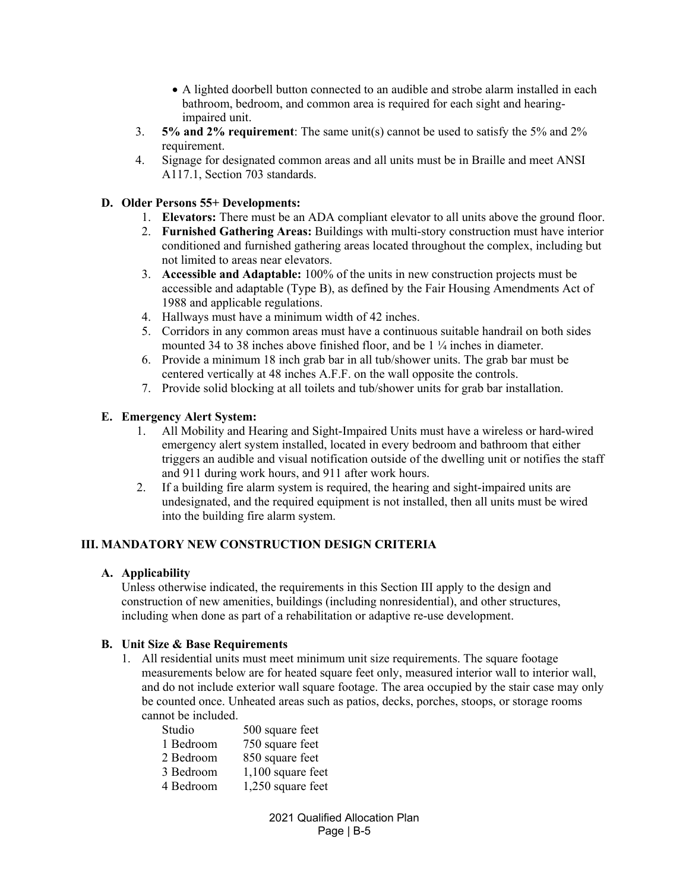- A lighted doorbell button connected to an audible and strobe alarm installed in each bathroom, bedroom, and common area is required for each sight and hearingimpaired unit.
- 3. **5% and 2% requirement**: The same unit(s) cannot be used to satisfy the 5% and 2% requirement.
- 4. Signage for designated common areas and all units must be in Braille and meet ANSI A117.1, Section 703 standards.

## **D. Older Persons 55+ Developments:**

- 1. **Elevators:** There must be an ADA compliant elevator to all units above the ground floor.
- 2. **Furnished Gathering Areas:** Buildings with multi-story construction must have interior conditioned and furnished gathering areas located throughout the complex, including but not limited to areas near elevators.
- 3. **Accessible and Adaptable:** 100% of the units in new construction projects must be accessible and adaptable (Type B), as defined by the Fair Housing Amendments Act of 1988 and applicable regulations.
- 4. Hallways must have a minimum width of 42 inches.
- 5. Corridors in any common areas must have a continuous suitable handrail on both sides mounted 34 to 38 inches above finished floor, and be 1 ¼ inches in diameter.
- 6. Provide a minimum 18 inch grab bar in all tub/shower units. The grab bar must be centered vertically at 48 inches A.F.F. on the wall opposite the controls.
- 7. Provide solid blocking at all toilets and tub/shower units for grab bar installation.

## **E. Emergency Alert System:**

- 1. All Mobility and Hearing and Sight-Impaired Units must have a wireless or hard-wired emergency alert system installed, located in every bedroom and bathroom that either triggers an audible and visual notification outside of the dwelling unit or notifies the staff and 911 during work hours, and 911 after work hours.
- 2. If a building fire alarm system is required, the hearing and sight-impaired units are undesignated, and the required equipment is not installed, then all units must be wired into the building fire alarm system.

## **III. MANDATORY NEW CONSTRUCTION DESIGN CRITERIA**

## **A. Applicability**

Unless otherwise indicated, the requirements in this Section III apply to the design and construction of new amenities, buildings (including nonresidential), and other structures, including when done as part of a rehabilitation or adaptive re-use development.

## **B. Unit Size & Base Requirements**

1. All residential units must meet minimum unit size requirements. The square footage measurements below are for heated square feet only, measured interior wall to interior wall, and do not include exterior wall square footage. The area occupied by the stair case may only be counted once. Unheated areas such as patios, decks, porches, stoops, or storage rooms cannot be included.

| Studio    | 500 square feet     |
|-----------|---------------------|
| 1 Bedroom | 750 square feet     |
| 2 Bedroom | 850 square feet     |
| 3 Bedroom | $1,100$ square feet |
| 4 Bedroom | 1,250 square feet   |
|           |                     |

2021 Qualified Allocation Plan Page | B-5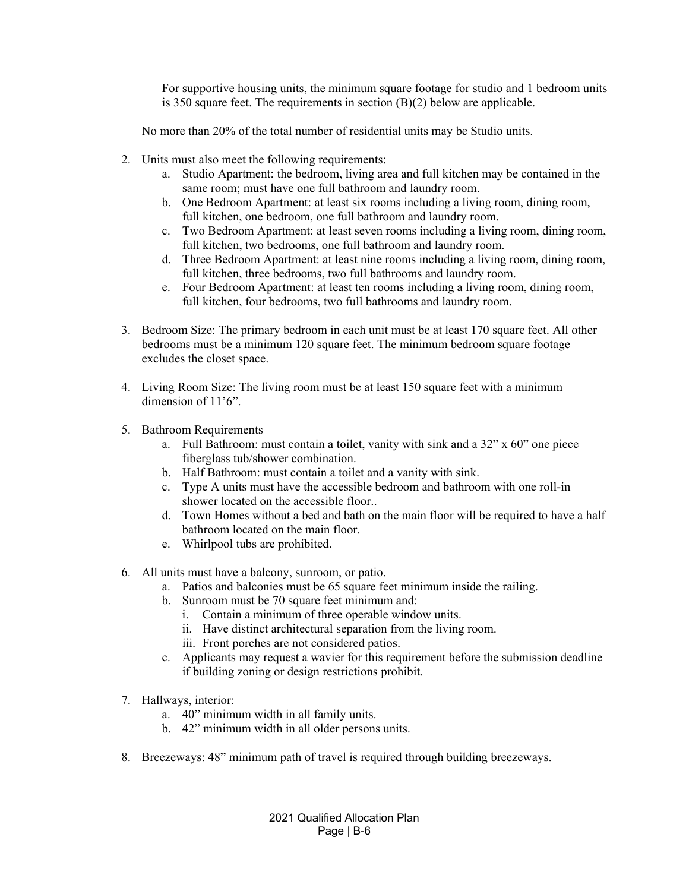For supportive housing units, the minimum square footage for studio and 1 bedroom units is 350 square feet. The requirements in section (B)(2) below are applicable.

No more than 20% of the total number of residential units may be Studio units.

- 2. Units must also meet the following requirements:
	- a. Studio Apartment: the bedroom, living area and full kitchen may be contained in the same room; must have one full bathroom and laundry room.
	- b. One Bedroom Apartment: at least six rooms including a living room, dining room, full kitchen, one bedroom, one full bathroom and laundry room.
	- c. Two Bedroom Apartment: at least seven rooms including a living room, dining room, full kitchen, two bedrooms, one full bathroom and laundry room.
	- d. Three Bedroom Apartment: at least nine rooms including a living room, dining room, full kitchen, three bedrooms, two full bathrooms and laundry room.
	- e. Four Bedroom Apartment: at least ten rooms including a living room, dining room, full kitchen, four bedrooms, two full bathrooms and laundry room.
- 3. Bedroom Size: The primary bedroom in each unit must be at least 170 square feet. All other bedrooms must be a minimum 120 square feet. The minimum bedroom square footage excludes the closet space.
- 4. Living Room Size: The living room must be at least 150 square feet with a minimum dimension of 11'6".
- 5. Bathroom Requirements
	- a. Full Bathroom: must contain a toilet, vanity with sink and a 32" x 60" one piece fiberglass tub/shower combination.
	- b. Half Bathroom: must contain a toilet and a vanity with sink.
	- c. Type A units must have the accessible bedroom and bathroom with one roll-in shower located on the accessible floor..
	- d. Town Homes without a bed and bath on the main floor will be required to have a half bathroom located on the main floor.
	- e. Whirlpool tubs are prohibited.
- 6. All units must have a balcony, sunroom, or patio.
	- a. Patios and balconies must be 65 square feet minimum inside the railing.
	- b. Sunroom must be 70 square feet minimum and:
		- i. Contain a minimum of three operable window units.
		- ii. Have distinct architectural separation from the living room.
		- iii. Front porches are not considered patios.
	- c. Applicants may request a wavier for this requirement before the submission deadline if building zoning or design restrictions prohibit.
- 7. Hallways, interior:
	- a. 40" minimum width in all family units.
	- b. 42" minimum width in all older persons units.
- 8. Breezeways: 48" minimum path of travel is required through building breezeways.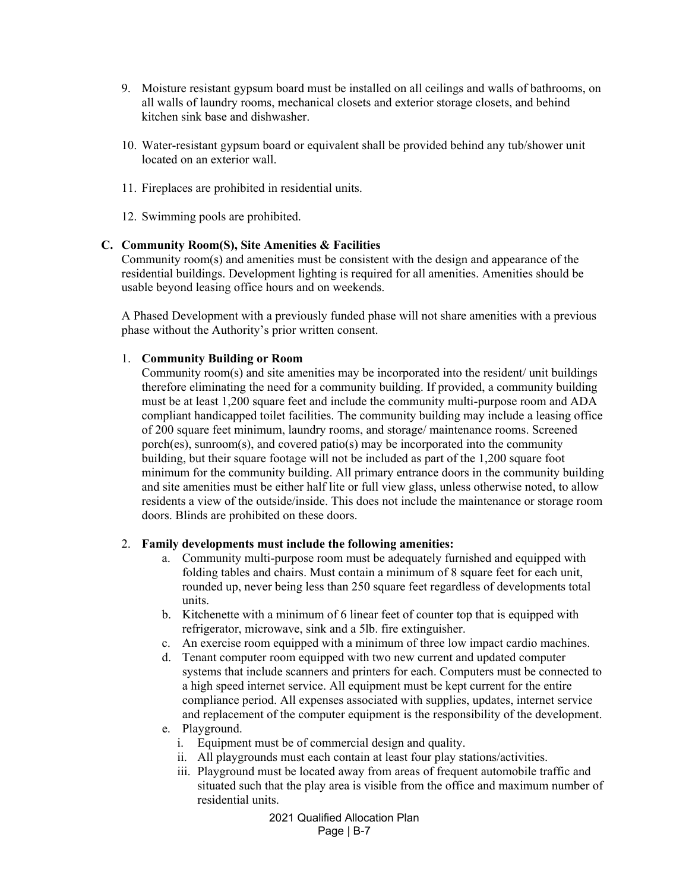- 9. Moisture resistant gypsum board must be installed on all ceilings and walls of bathrooms, on all walls of laundry rooms, mechanical closets and exterior storage closets, and behind kitchen sink base and dishwasher.
- 10. Water-resistant gypsum board or equivalent shall be provided behind any tub/shower unit located on an exterior wall.
- 11. Fireplaces are prohibited in residential units.
- 12. Swimming pools are prohibited.

#### **C. Community Room(S), Site Amenities & Facilities**

Community room(s) and amenities must be consistent with the design and appearance of the residential buildings. Development lighting is required for all amenities. Amenities should be usable beyond leasing office hours and on weekends.

A Phased Development with a previously funded phase will not share amenities with a previous phase without the Authority's prior written consent.

#### 1. **Community Building or Room**

Community room(s) and site amenities may be incorporated into the resident/ unit buildings therefore eliminating the need for a community building. If provided, a community building must be at least 1,200 square feet and include the community multi-purpose room and ADA compliant handicapped toilet facilities. The community building may include a leasing office of 200 square feet minimum, laundry rooms, and storage/ maintenance rooms. Screened porch(es), sunroom(s), and covered patio(s) may be incorporated into the community building, but their square footage will not be included as part of the 1,200 square foot minimum for the community building. All primary entrance doors in the community building and site amenities must be either half lite or full view glass, unless otherwise noted, to allow residents a view of the outside/inside. This does not include the maintenance or storage room doors. Blinds are prohibited on these doors.

#### 2. **Family developments must include the following amenities:**

- a. Community multi-purpose room must be adequately furnished and equipped with folding tables and chairs. Must contain a minimum of 8 square feet for each unit, rounded up, never being less than 250 square feet regardless of developments total units.
- b. Kitchenette with a minimum of 6 linear feet of counter top that is equipped with refrigerator, microwave, sink and a 5lb. fire extinguisher.
- c. An exercise room equipped with a minimum of three low impact cardio machines.
- d. Tenant computer room equipped with two new current and updated computer systems that include scanners and printers for each. Computers must be connected to a high speed internet service. All equipment must be kept current for the entire compliance period. All expenses associated with supplies, updates, internet service and replacement of the computer equipment is the responsibility of the development.
- e. Playground.
	- i. Equipment must be of commercial design and quality.
	- ii. All playgrounds must each contain at least four play stations/activities.
	- iii. Playground must be located away from areas of frequent automobile traffic and situated such that the play area is visible from the office and maximum number of residential units.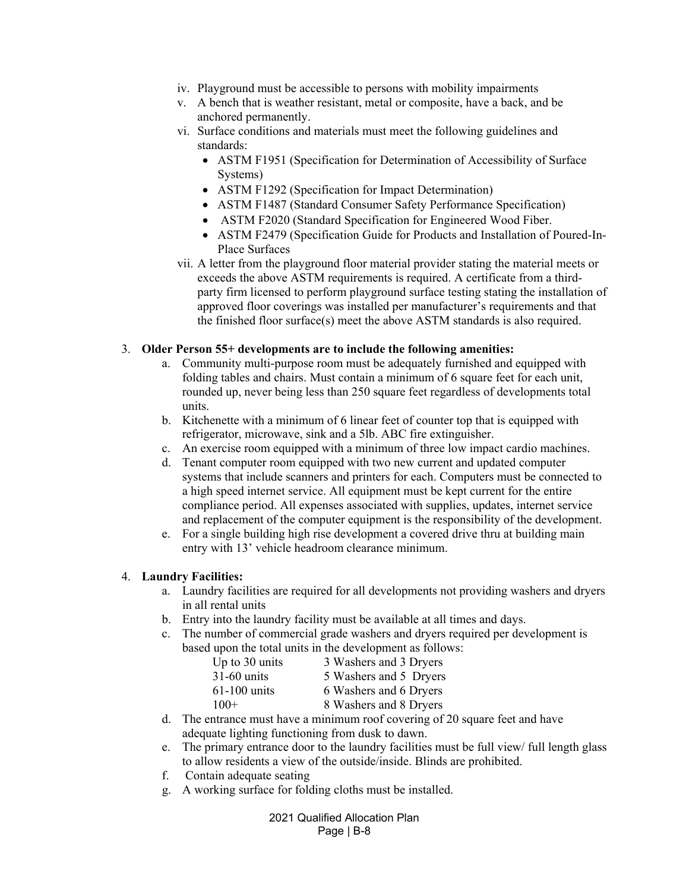- iv. Playground must be accessible to persons with mobility impairments
- v. A bench that is weather resistant, metal or composite, have a back, and be anchored permanently.
- vi. Surface conditions and materials must meet the following guidelines and standards:
	- ASTM F1951 (Specification for Determination of Accessibility of Surface Systems)
	- ASTM F1292 (Specification for Impact Determination)
	- ASTM F1487 (Standard Consumer Safety Performance Specification)
	- ASTM F2020 (Standard Specification for Engineered Wood Fiber.
	- ASTM F2479 (Specification Guide for Products and Installation of Poured-In-Place Surfaces
- vii. A letter from the playground floor material provider stating the material meets or exceeds the above ASTM requirements is required. A certificate from a thirdparty firm licensed to perform playground surface testing stating the installation of approved floor coverings was installed per manufacturer's requirements and that the finished floor surface(s) meet the above ASTM standards is also required.

### 3. **Older Person 55+ developments are to include the following amenities:**

- a. Community multi-purpose room must be adequately furnished and equipped with folding tables and chairs. Must contain a minimum of 6 square feet for each unit, rounded up, never being less than 250 square feet regardless of developments total units.
- b. Kitchenette with a minimum of 6 linear feet of counter top that is equipped with refrigerator, microwave, sink and a 5lb. ABC fire extinguisher.
- c. An exercise room equipped with a minimum of three low impact cardio machines.
- d. Tenant computer room equipped with two new current and updated computer systems that include scanners and printers for each. Computers must be connected to a high speed internet service. All equipment must be kept current for the entire compliance period. All expenses associated with supplies, updates, internet service and replacement of the computer equipment is the responsibility of the development.
- e. For a single building high rise development a covered drive thru at building main entry with 13' vehicle headroom clearance minimum.

#### 4. **Laundry Facilities:**

- a. Laundry facilities are required for all developments not providing washers and dryers in all rental units
- b. Entry into the laundry facility must be available at all times and days.
- c. The number of commercial grade washers and dryers required per development is based upon the total units in the development as follows:

| Up to 30 units | 3 Washers and 3 Dryers |
|----------------|------------------------|
| $31-60$ units  | 5 Washers and 5 Dryers |
| $61-100$ units | 6 Washers and 6 Dryers |
| $100+$         | 8 Washers and 8 Dryers |

- d. The entrance must have a minimum roof covering of 20 square feet and have adequate lighting functioning from dusk to dawn.
- e. The primary entrance door to the laundry facilities must be full view/ full length glass to allow residents a view of the outside/inside. Blinds are prohibited.
- f. Contain adequate seating
- g. A working surface for folding cloths must be installed.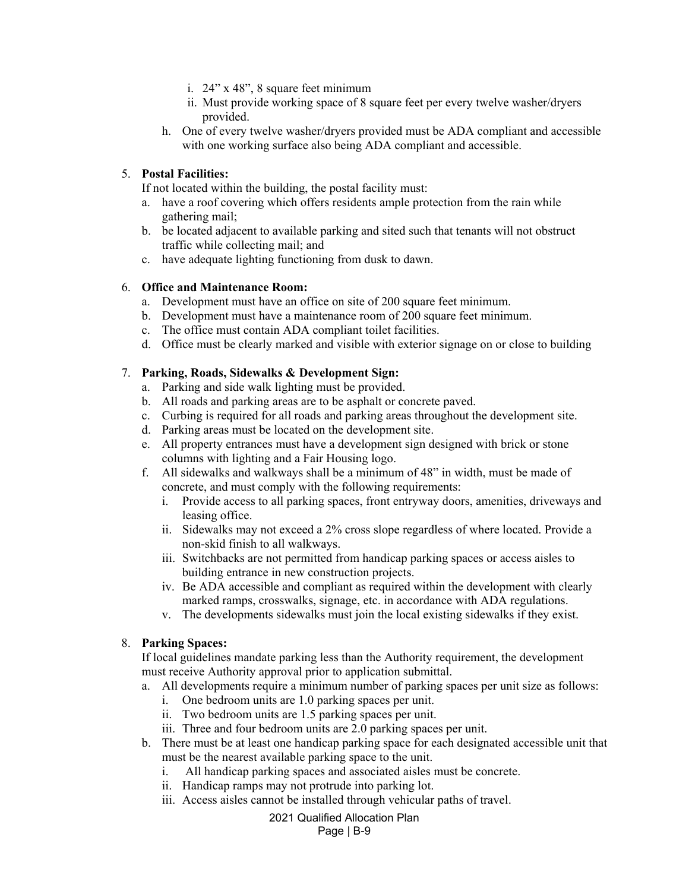- i. 24" x 48", 8 square feet minimum
- ii. Must provide working space of 8 square feet per every twelve washer/dryers provided.
- h. One of every twelve washer/dryers provided must be ADA compliant and accessible with one working surface also being ADA compliant and accessible.

### 5. **Postal Facilities:**

If not located within the building, the postal facility must:

- a. have a roof covering which offers residents ample protection from the rain while gathering mail;
- b. be located adjacent to available parking and sited such that tenants will not obstruct traffic while collecting mail; and
- c. have adequate lighting functioning from dusk to dawn.

### 6. **Office and Maintenance Room:**

- a. Development must have an office on site of 200 square feet minimum.
- b. Development must have a maintenance room of 200 square feet minimum.
- c. The office must contain ADA compliant toilet facilities.
- d. Office must be clearly marked and visible with exterior signage on or close to building

### 7. **Parking, Roads, Sidewalks & Development Sign:**

- a. Parking and side walk lighting must be provided.
- b. All roads and parking areas are to be asphalt or concrete paved.
- c. Curbing is required for all roads and parking areas throughout the development site.
- d. Parking areas must be located on the development site.
- e. All property entrances must have a development sign designed with brick or stone columns with lighting and a Fair Housing logo.
- f. All sidewalks and walkways shall be a minimum of 48" in width, must be made of concrete, and must comply with the following requirements:
	- i. Provide access to all parking spaces, front entryway doors, amenities, driveways and leasing office.
	- ii. Sidewalks may not exceed a 2% cross slope regardless of where located. Provide a non-skid finish to all walkways.
	- iii. Switchbacks are not permitted from handicap parking spaces or access aisles to building entrance in new construction projects.
	- iv. Be ADA accessible and compliant as required within the development with clearly marked ramps, crosswalks, signage, etc. in accordance with ADA regulations.
	- v. The developments sidewalks must join the local existing sidewalks if they exist.

## 8. **Parking Spaces:**

If local guidelines mandate parking less than the Authority requirement, the development must receive Authority approval prior to application submittal.

- a. All developments require a minimum number of parking spaces per unit size as follows:
	- i. One bedroom units are 1.0 parking spaces per unit.
	- ii. Two bedroom units are 1.5 parking spaces per unit.
	- iii. Three and four bedroom units are 2.0 parking spaces per unit.
- b. There must be at least one handicap parking space for each designated accessible unit that must be the nearest available parking space to the unit.
	- i. All handicap parking spaces and associated aisles must be concrete.
	- ii. Handicap ramps may not protrude into parking lot.
	- iii. Access aisles cannot be installed through vehicular paths of travel.

### 2021 Qualified Allocation Plan

#### Page | B-9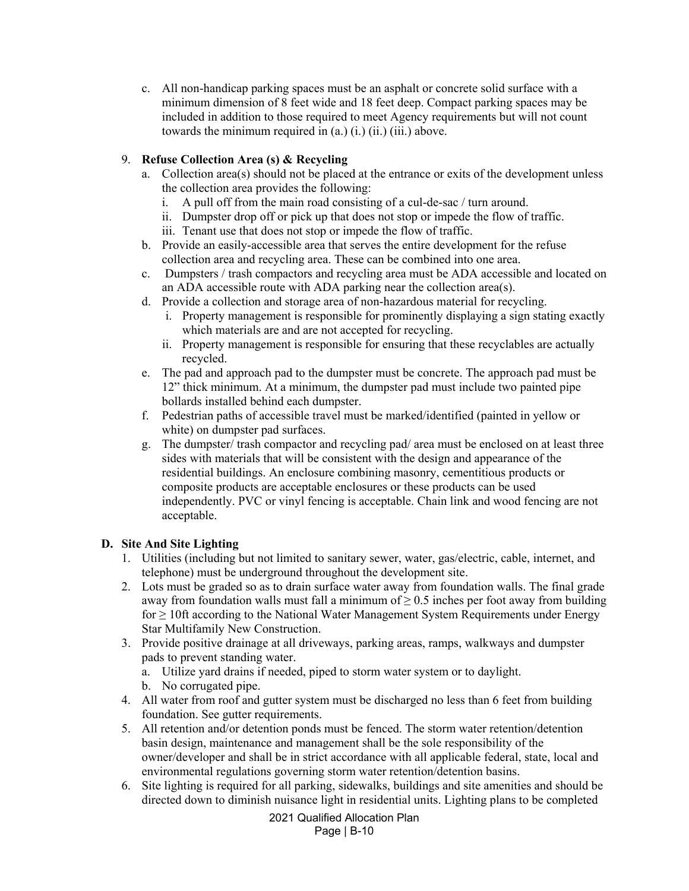c. All non-handicap parking spaces must be an asphalt or concrete solid surface with a minimum dimension of 8 feet wide and 18 feet deep. Compact parking spaces may be included in addition to those required to meet Agency requirements but will not count towards the minimum required in  $(a)$   $(i)$ ,  $(ii)$ ,  $(iii)$ , above.

## 9. **Refuse Collection Area (s) & Recycling**

- a. Collection area(s) should not be placed at the entrance or exits of the development unless the collection area provides the following:
	- i. A pull off from the main road consisting of a cul-de-sac / turn around.
	- ii. Dumpster drop off or pick up that does not stop or impede the flow of traffic.
	- iii. Tenant use that does not stop or impede the flow of traffic.
- b. Provide an easily-accessible area that serves the entire development for the refuse collection area and recycling area. These can be combined into one area.
- c. Dumpsters / trash compactors and recycling area must be ADA accessible and located on an ADA accessible route with ADA parking near the collection area(s).
- d. Provide a collection and storage area of non-hazardous material for recycling.
	- i. Property management is responsible for prominently displaying a sign stating exactly which materials are and are not accepted for recycling.
	- ii. Property management is responsible for ensuring that these recyclables are actually recycled.
- e. The pad and approach pad to the dumpster must be concrete. The approach pad must be 12" thick minimum. At a minimum, the dumpster pad must include two painted pipe bollards installed behind each dumpster.
- f. Pedestrian paths of accessible travel must be marked/identified (painted in yellow or white) on dumpster pad surfaces.
- g. The dumpster/ trash compactor and recycling pad/ area must be enclosed on at least three sides with materials that will be consistent with the design and appearance of the residential buildings. An enclosure combining masonry, cementitious products or composite products are acceptable enclosures or these products can be used independently. PVC or vinyl fencing is acceptable. Chain link and wood fencing are not acceptable.

## **D. Site And Site Lighting**

- 1. Utilities (including but not limited to sanitary sewer, water, gas/electric, cable, internet, and telephone) must be underground throughout the development site.
- 2. Lots must be graded so as to drain surface water away from foundation walls. The final grade away from foundation walls must fall a minimum of  $\geq 0.5$  inches per foot away from building  $for \geq 10$ ft according to the National Water Management System Requirements under Energy Star Multifamily New Construction.
- 3. Provide positive drainage at all driveways, parking areas, ramps, walkways and dumpster pads to prevent standing water.
	- a. Utilize yard drains if needed, piped to storm water system or to daylight.
	- b. No corrugated pipe.
- 4. All water from roof and gutter system must be discharged no less than 6 feet from building foundation. See gutter requirements.
- 5. All retention and/or detention ponds must be fenced. The storm water retention/detention basin design, maintenance and management shall be the sole responsibility of the owner/developer and shall be in strict accordance with all applicable federal, state, local and environmental regulations governing storm water retention/detention basins.
- 6. Site lighting is required for all parking, sidewalks, buildings and site amenities and should be directed down to diminish nuisance light in residential units. Lighting plans to be completed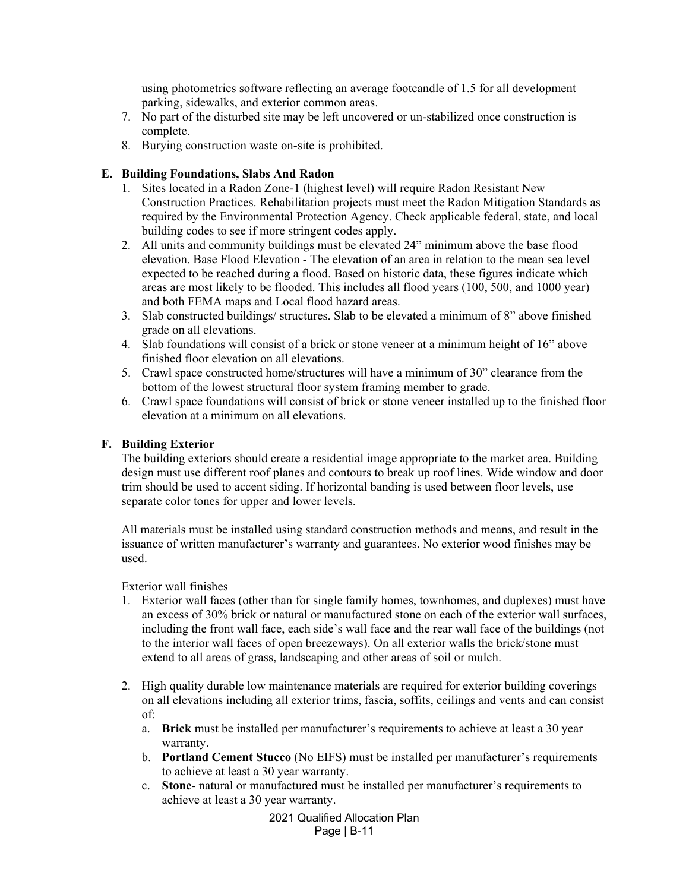using photometrics software reflecting an average footcandle of 1.5 for all development parking, sidewalks, and exterior common areas.

- 7. No part of the disturbed site may be left uncovered or un-stabilized once construction is complete.
- 8. Burying construction waste on-site is prohibited.

### **E. Building Foundations, Slabs And Radon**

- 1. Sites located in a Radon Zone-1 (highest level) will require Radon Resistant New Construction Practices. Rehabilitation projects must meet the Radon Mitigation Standards as required by the Environmental Protection Agency. Check applicable federal, state, and local building codes to see if more stringent codes apply.
- 2. All units and community buildings must be elevated 24" minimum above the base flood elevation. Base Flood Elevation - The elevation of an area in relation to the mean sea level expected to be reached during a flood. Based on historic data, these figures indicate which areas are most likely to be flooded. This includes all flood years (100, 500, and 1000 year) and both FEMA maps and Local flood hazard areas.
- 3. Slab constructed buildings/ structures. Slab to be elevated a minimum of 8" above finished grade on all elevations.
- 4. Slab foundations will consist of a brick or stone veneer at a minimum height of 16" above finished floor elevation on all elevations.
- 5. Crawl space constructed home/structures will have a minimum of 30" clearance from the bottom of the lowest structural floor system framing member to grade.
- 6. Crawl space foundations will consist of brick or stone veneer installed up to the finished floor elevation at a minimum on all elevations.

#### **F. Building Exterior**

The building exteriors should create a residential image appropriate to the market area. Building design must use different roof planes and contours to break up roof lines. Wide window and door trim should be used to accent siding. If horizontal banding is used between floor levels, use separate color tones for upper and lower levels.

All materials must be installed using standard construction methods and means, and result in the issuance of written manufacturer's warranty and guarantees. No exterior wood finishes may be used.

#### Exterior wall finishes

- 1. Exterior wall faces (other than for single family homes, townhomes, and duplexes) must have an excess of 30% brick or natural or manufactured stone on each of the exterior wall surfaces, including the front wall face, each side's wall face and the rear wall face of the buildings (not to the interior wall faces of open breezeways). On all exterior walls the brick/stone must extend to all areas of grass, landscaping and other areas of soil or mulch.
- 2. High quality durable low maintenance materials are required for exterior building coverings on all elevations including all exterior trims, fascia, soffits, ceilings and vents and can consist of:
	- a. **Brick** must be installed per manufacturer's requirements to achieve at least a 30 year warranty.
	- b. **Portland Cement Stucco** (No EIFS) must be installed per manufacturer's requirements to achieve at least a 30 year warranty.
	- c. **Stone** natural or manufactured must be installed per manufacturer's requirements to achieve at least a 30 year warranty.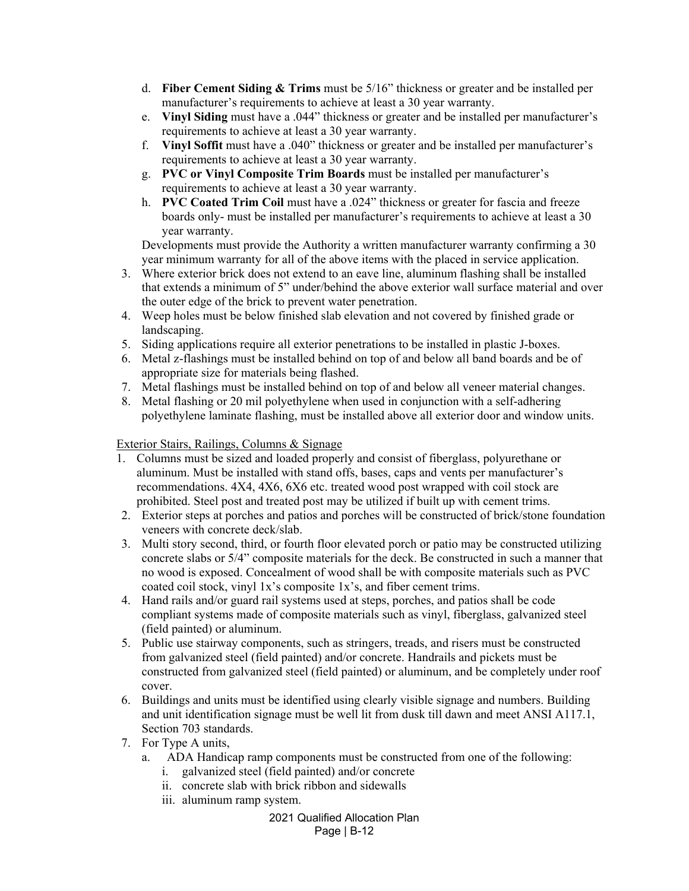- d. **Fiber Cement Siding & Trims** must be 5/16" thickness or greater and be installed per manufacturer's requirements to achieve at least a 30 year warranty.
- e. **Vinyl Siding** must have a .044" thickness or greater and be installed per manufacturer's requirements to achieve at least a 30 year warranty.
- f. **Vinyl Soffit** must have a .040" thickness or greater and be installed per manufacturer's requirements to achieve at least a 30 year warranty.
- g. **PVC or Vinyl Composite Trim Boards** must be installed per manufacturer's requirements to achieve at least a 30 year warranty.
- h. **PVC Coated Trim Coil** must have a .024" thickness or greater for fascia and freeze boards only- must be installed per manufacturer's requirements to achieve at least a 30 year warranty.

Developments must provide the Authority a written manufacturer warranty confirming a 30 year minimum warranty for all of the above items with the placed in service application.

- 3. Where exterior brick does not extend to an eave line, aluminum flashing shall be installed that extends a minimum of 5" under/behind the above exterior wall surface material and over the outer edge of the brick to prevent water penetration.
- 4. Weep holes must be below finished slab elevation and not covered by finished grade or landscaping.
- 5. Siding applications require all exterior penetrations to be installed in plastic J-boxes.
- 6. Metal z-flashings must be installed behind on top of and below all band boards and be of appropriate size for materials being flashed.
- 7. Metal flashings must be installed behind on top of and below all veneer material changes.
- 8. Metal flashing or 20 mil polyethylene when used in conjunction with a self-adhering polyethylene laminate flashing, must be installed above all exterior door and window units.

# Exterior Stairs, Railings, Columns & Signage

- 1. Columns must be sized and loaded properly and consist of fiberglass, polyurethane or aluminum. Must be installed with stand offs, bases, caps and vents per manufacturer's recommendations. 4X4, 4X6, 6X6 etc. treated wood post wrapped with coil stock are prohibited. Steel post and treated post may be utilized if built up with cement trims.
- 2. Exterior steps at porches and patios and porches will be constructed of brick/stone foundation veneers with concrete deck/slab.
- 3. Multi story second, third, or fourth floor elevated porch or patio may be constructed utilizing concrete slabs or 5/4" composite materials for the deck. Be constructed in such a manner that no wood is exposed. Concealment of wood shall be with composite materials such as PVC coated coil stock, vinyl 1x's composite 1x's, and fiber cement trims.
- 4. Hand rails and/or guard rail systems used at steps, porches, and patios shall be code compliant systems made of composite materials such as vinyl, fiberglass, galvanized steel (field painted) or aluminum.
- 5. Public use stairway components, such as stringers, treads, and risers must be constructed from galvanized steel (field painted) and/or concrete. Handrails and pickets must be constructed from galvanized steel (field painted) or aluminum, and be completely under roof cover.
- 6. Buildings and units must be identified using clearly visible signage and numbers. Building and unit identification signage must be well lit from dusk till dawn and meet ANSI A117.1, Section 703 standards.
- 7. For Type A units,
	- a. ADA Handicap ramp components must be constructed from one of the following:
		- i. galvanized steel (field painted) and/or concrete
		- ii. concrete slab with brick ribbon and sidewalls
		- iii. aluminum ramp system.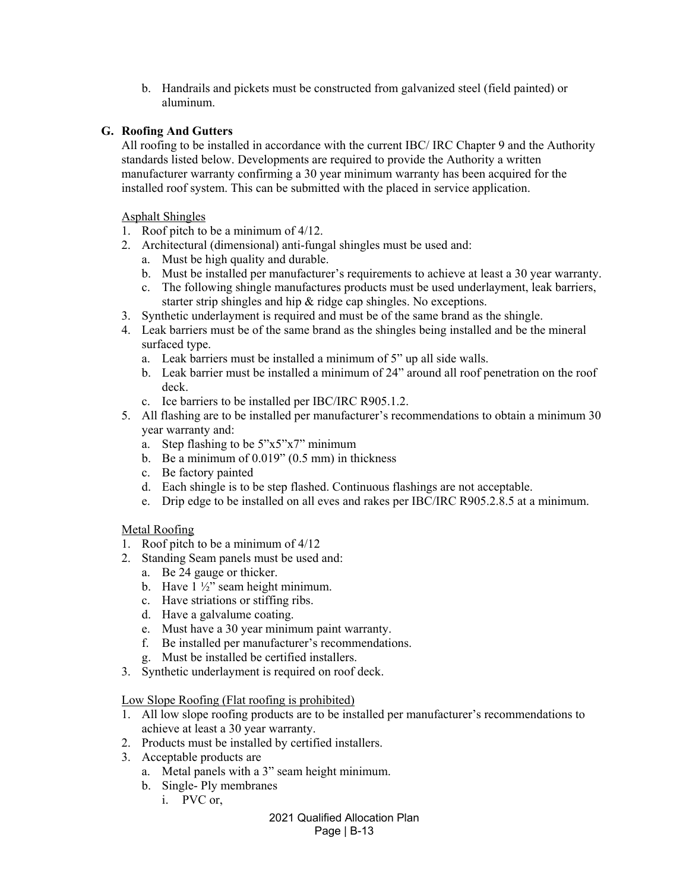b. Handrails and pickets must be constructed from galvanized steel (field painted) or aluminum.

## **G. Roofing And Gutters**

All roofing to be installed in accordance with the current IBC/ IRC Chapter 9 and the Authority standards listed below. Developments are required to provide the Authority a written manufacturer warranty confirming a 30 year minimum warranty has been acquired for the installed roof system. This can be submitted with the placed in service application.

#### Asphalt Shingles

- 1. Roof pitch to be a minimum of 4/12.
- 2. Architectural (dimensional) anti-fungal shingles must be used and:
	- a. Must be high quality and durable.
	- b. Must be installed per manufacturer's requirements to achieve at least a 30 year warranty.
	- c. The following shingle manufactures products must be used underlayment, leak barriers, starter strip shingles and hip & ridge cap shingles. No exceptions.
- 3. Synthetic underlayment is required and must be of the same brand as the shingle.
- 4. Leak barriers must be of the same brand as the shingles being installed and be the mineral surfaced type.
	- a. Leak barriers must be installed a minimum of 5" up all side walls.
	- b. Leak barrier must be installed a minimum of 24" around all roof penetration on the roof deck.
	- c. Ice barriers to be installed per IBC/IRC R905.1.2.
- 5. All flashing are to be installed per manufacturer's recommendations to obtain a minimum 30 year warranty and:
	- a. Step flashing to be 5"x5"x7" minimum
	- b. Be a minimum of 0.019" (0.5 mm) in thickness
	- c. Be factory painted
	- d. Each shingle is to be step flashed. Continuous flashings are not acceptable.
	- e. Drip edge to be installed on all eves and rakes per IBC/IRC R905.2.8.5 at a minimum.

## Metal Roofing

- 1. Roof pitch to be a minimum of 4/12
- 2. Standing Seam panels must be used and:
	- a. Be 24 gauge or thicker.
	- b. Have 1 ½" seam height minimum.
	- c. Have striations or stiffing ribs.
	- d. Have a galvalume coating.
	- e. Must have a 30 year minimum paint warranty.
	- f. Be installed per manufacturer's recommendations.
	- g. Must be installed be certified installers.
- 3. Synthetic underlayment is required on roof deck.

#### Low Slope Roofing (Flat roofing is prohibited)

- 1. All low slope roofing products are to be installed per manufacturer's recommendations to achieve at least a 30 year warranty.
- 2. Products must be installed by certified installers.
- 3. Acceptable products are
	- a. Metal panels with a 3" seam height minimum.
	- b. Single- Ply membranes
		- i. PVC or,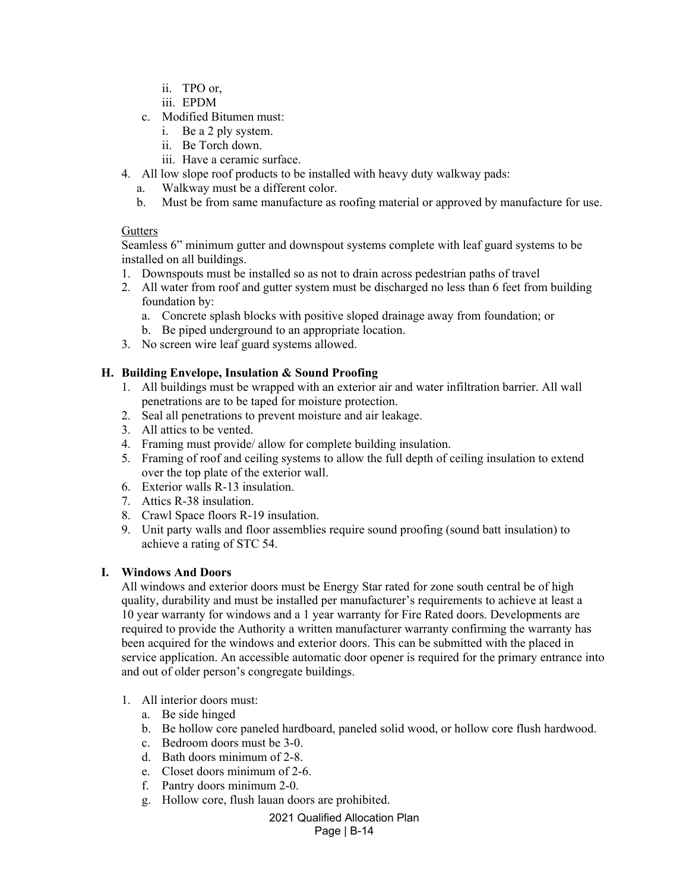- ii. TPO or,
- iii. EPDM
- c. Modified Bitumen must:
	- i. Be a 2 ply system.
	- ii. Be Torch down.
	- iii. Have a ceramic surface.
- 4. All low slope roof products to be installed with heavy duty walkway pads:
	- a. Walkway must be a different color.
	- b. Must be from same manufacture as roofing material or approved by manufacture for use.

### **Gutters**

Seamless 6" minimum gutter and downspout systems complete with leaf guard systems to be installed on all buildings.

- 1. Downspouts must be installed so as not to drain across pedestrian paths of travel
- 2. All water from roof and gutter system must be discharged no less than 6 feet from building foundation by:
	- a. Concrete splash blocks with positive sloped drainage away from foundation; or
	- b. Be piped underground to an appropriate location.
- 3. No screen wire leaf guard systems allowed.

## **H. Building Envelope, Insulation & Sound Proofing**

- 1. All buildings must be wrapped with an exterior air and water infiltration barrier. All wall penetrations are to be taped for moisture protection.
- 2. Seal all penetrations to prevent moisture and air leakage.
- 3. All attics to be vented.
- 4. Framing must provide/ allow for complete building insulation.
- 5. Framing of roof and ceiling systems to allow the full depth of ceiling insulation to extend over the top plate of the exterior wall.
- 6. Exterior walls R-13 insulation.
- 7. Attics R-38 insulation.
- 8. Crawl Space floors R-19 insulation.
- 9. Unit party walls and floor assemblies require sound proofing (sound batt insulation) to achieve a rating of STC 54.

## **I. Windows And Doors**

All windows and exterior doors must be Energy Star rated for zone south central be of high quality, durability and must be installed per manufacturer's requirements to achieve at least a 10 year warranty for windows and a 1 year warranty for Fire Rated doors. Developments are required to provide the Authority a written manufacturer warranty confirming the warranty has been acquired for the windows and exterior doors. This can be submitted with the placed in service application. An accessible automatic door opener is required for the primary entrance into and out of older person's congregate buildings.

- 1. All interior doors must:
	- a. Be side hinged
	- b. Be hollow core paneled hardboard, paneled solid wood, or hollow core flush hardwood.
	- c. Bedroom doors must be 3-0.
	- d. Bath doors minimum of 2-8.
	- e. Closet doors minimum of 2-6.
	- f. Pantry doors minimum 2-0.
	- g. Hollow core, flush lauan doors are prohibited.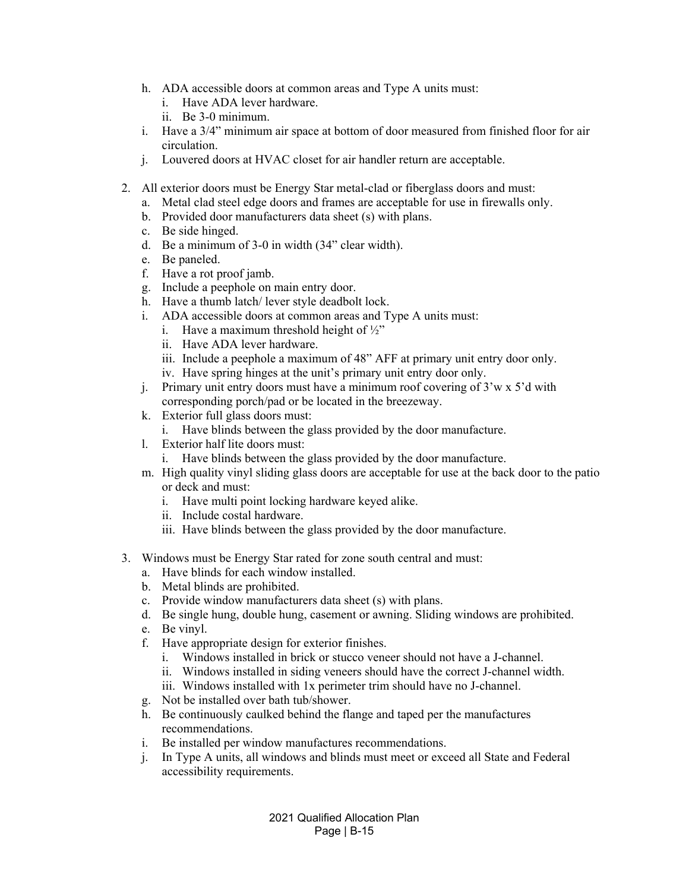- h. ADA accessible doors at common areas and Type A units must:
	- i. Have ADA lever hardware.
	- ii. Be 3-0 minimum.
- i. Have a 3/4" minimum air space at bottom of door measured from finished floor for air circulation.
- j. Louvered doors at HVAC closet for air handler return are acceptable.
- 2. All exterior doors must be Energy Star metal-clad or fiberglass doors and must:
	- a. Metal clad steel edge doors and frames are acceptable for use in firewalls only.
	- b. Provided door manufacturers data sheet (s) with plans.
	- c. Be side hinged.
	- d. Be a minimum of 3-0 in width (34" clear width).
	- e. Be paneled.
	- f. Have a rot proof jamb.
	- g. Include a peephole on main entry door.
	- h. Have a thumb latch/ lever style deadbolt lock.
	- i. ADA accessible doors at common areas and Type A units must:
		- i. Have a maximum threshold height of  $\frac{1}{2}$ "
		- ii. Have ADA lever hardware.
		- iii. Include a peephole a maximum of 48" AFF at primary unit entry door only.
		- iv. Have spring hinges at the unit's primary unit entry door only.
	- j. Primary unit entry doors must have a minimum roof covering of 3'w x 5'd with corresponding porch/pad or be located in the breezeway.
	- k. Exterior full glass doors must:
		- i. Have blinds between the glass provided by the door manufacture.
	- l. Exterior half lite doors must:
		- i. Have blinds between the glass provided by the door manufacture.
	- m. High quality vinyl sliding glass doors are acceptable for use at the back door to the patio or deck and must:
		- i. Have multi point locking hardware keyed alike.
		- ii. Include costal hardware.
		- iii. Have blinds between the glass provided by the door manufacture.
- 3. Windows must be Energy Star rated for zone south central and must:
	- a. Have blinds for each window installed.
	- b. Metal blinds are prohibited.
	- c. Provide window manufacturers data sheet (s) with plans.
	- d. Be single hung, double hung, casement or awning. Sliding windows are prohibited.
	- e. Be vinyl.
	- f. Have appropriate design for exterior finishes.
		- i. Windows installed in brick or stucco veneer should not have a J-channel.
		- ii. Windows installed in siding veneers should have the correct J-channel width.
		- iii. Windows installed with 1x perimeter trim should have no J-channel.
	- g. Not be installed over bath tub/shower.
	- h. Be continuously caulked behind the flange and taped per the manufactures recommendations.
	- i. Be installed per window manufactures recommendations.
	- j. In Type A units, all windows and blinds must meet or exceed all State and Federal accessibility requirements.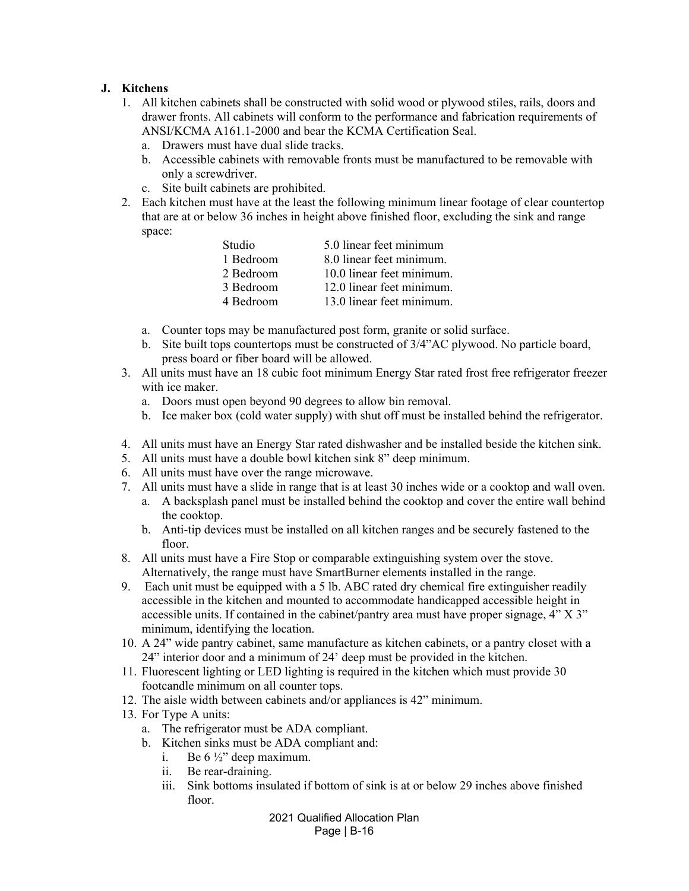## **J. Kitchens**

- 1. All kitchen cabinets shall be constructed with solid wood or plywood stiles, rails, doors and drawer fronts. All cabinets will conform to the performance and fabrication requirements of ANSI/KCMA A161.1-2000 and bear the KCMA Certification Seal.
	- a. Drawers must have dual slide tracks.
	- b. Accessible cabinets with removable fronts must be manufactured to be removable with only a screwdriver.
	- c. Site built cabinets are prohibited.
- 2. Each kitchen must have at the least the following minimum linear footage of clear countertop that are at or below 36 inches in height above finished floor, excluding the sink and range space:

| Studio    | 5.0 linear feet minimum   |
|-----------|---------------------------|
| 1 Bedroom | 8.0 linear feet minimum.  |
| 2 Bedroom | 10.0 linear feet minimum. |
| 3 Bedroom | 12.0 linear feet minimum. |
| 4 Bedroom | 13.0 linear feet minimum. |

- a. Counter tops may be manufactured post form, granite or solid surface.
- b. Site built tops countertops must be constructed of 3/4"AC plywood. No particle board, press board or fiber board will be allowed.
- 3. All units must have an 18 cubic foot minimum Energy Star rated frost free refrigerator freezer with ice maker.
	- a. Doors must open beyond 90 degrees to allow bin removal.
	- b. Ice maker box (cold water supply) with shut off must be installed behind the refrigerator.
- 4. All units must have an Energy Star rated dishwasher and be installed beside the kitchen sink.
- 5. All units must have a double bowl kitchen sink 8" deep minimum.
- 6. All units must have over the range microwave.
- 7. All units must have a slide in range that is at least 30 inches wide or a cooktop and wall oven.
	- a. A backsplash panel must be installed behind the cooktop and cover the entire wall behind the cooktop.
	- b. Anti-tip devices must be installed on all kitchen ranges and be securely fastened to the floor.
- 8. All units must have a Fire Stop or comparable extinguishing system over the stove. Alternatively, the range must have SmartBurner elements installed in the range.
- 9. Each unit must be equipped with a 5 lb. ABC rated dry chemical fire extinguisher readily accessible in the kitchen and mounted to accommodate handicapped accessible height in accessible units. If contained in the cabinet/pantry area must have proper signage, 4" X 3" minimum, identifying the location.
- 10. A 24" wide pantry cabinet, same manufacture as kitchen cabinets, or a pantry closet with a 24" interior door and a minimum of 24' deep must be provided in the kitchen.
- 11. Fluorescent lighting or LED lighting is required in the kitchen which must provide 30 footcandle minimum on all counter tops.
- 12. The aisle width between cabinets and/or appliances is 42" minimum.
- 13. For Type A units:
	- a. The refrigerator must be ADA compliant.
	- b. Kitchen sinks must be ADA compliant and:
		- i. Be  $6\frac{1}{2}$  deep maximum.
		- ii. Be rear-draining.
		- iii. Sink bottoms insulated if bottom of sink is at or below 29 inches above finished floor.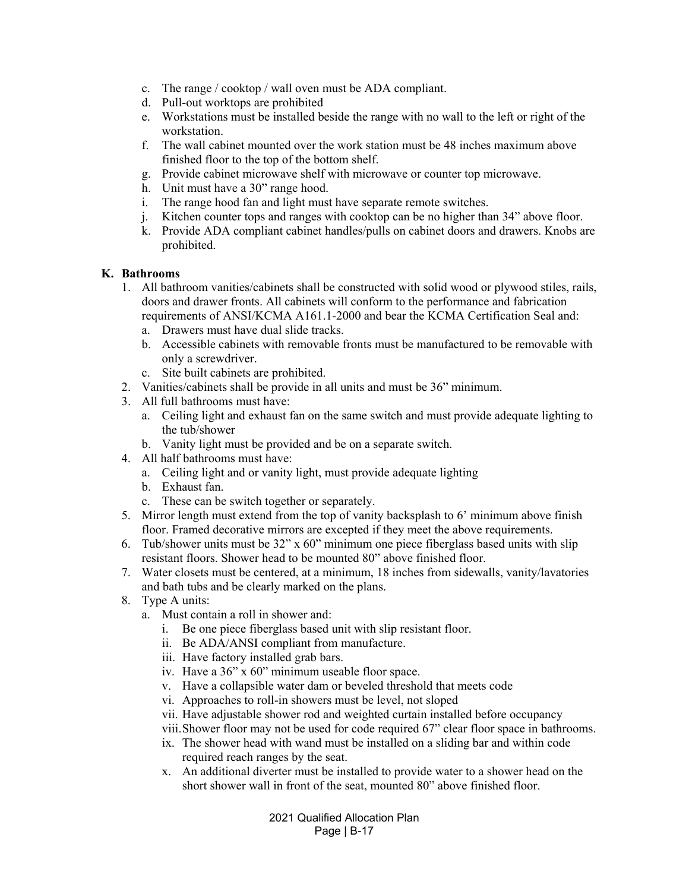- c. The range / cooktop / wall oven must be ADA compliant.
- d. Pull-out worktops are prohibited
- e. Workstations must be installed beside the range with no wall to the left or right of the workstation.
- f. The wall cabinet mounted over the work station must be 48 inches maximum above finished floor to the top of the bottom shelf.
- g. Provide cabinet microwave shelf with microwave or counter top microwave.
- h. Unit must have a 30" range hood.
- i. The range hood fan and light must have separate remote switches.
- j. Kitchen counter tops and ranges with cooktop can be no higher than 34" above floor.
- k. Provide ADA compliant cabinet handles/pulls on cabinet doors and drawers. Knobs are prohibited.

#### **K. Bathrooms**

- 1. All bathroom vanities/cabinets shall be constructed with solid wood or plywood stiles, rails, doors and drawer fronts. All cabinets will conform to the performance and fabrication requirements of ANSI/KCMA A161.1-2000 and bear the KCMA Certification Seal and:
	- a. Drawers must have dual slide tracks.
	- b. Accessible cabinets with removable fronts must be manufactured to be removable with only a screwdriver.
	- c. Site built cabinets are prohibited.
- 2. Vanities/cabinets shall be provide in all units and must be 36" minimum.
- 3. All full bathrooms must have:
	- a. Ceiling light and exhaust fan on the same switch and must provide adequate lighting to the tub/shower
	- b. Vanity light must be provided and be on a separate switch.
- 4. All half bathrooms must have:
	- a. Ceiling light and or vanity light, must provide adequate lighting
	- b. Exhaust fan.
	- c. These can be switch together or separately.
- 5. Mirror length must extend from the top of vanity backsplash to 6' minimum above finish floor. Framed decorative mirrors are excepted if they meet the above requirements.
- 6. Tub/shower units must be  $32'' \times 60''$  minimum one piece fiberglass based units with slip resistant floors. Shower head to be mounted 80" above finished floor.
- 7. Water closets must be centered, at a minimum, 18 inches from sidewalls, vanity/lavatories and bath tubs and be clearly marked on the plans.
- 8. Type A units:
	- a. Must contain a roll in shower and:
		- i. Be one piece fiberglass based unit with slip resistant floor.
		- ii. Be ADA/ANSI compliant from manufacture.
		- iii. Have factory installed grab bars.
		- iv. Have a 36" x 60" minimum useable floor space.
		- v. Have a collapsible water dam or beveled threshold that meets code
		- vi. Approaches to roll-in showers must be level, not sloped
		- vii. Have adjustable shower rod and weighted curtain installed before occupancy
		- viii.Shower floor may not be used for code required 67" clear floor space in bathrooms.
		- ix. The shower head with wand must be installed on a sliding bar and within code required reach ranges by the seat.
		- x. An additional diverter must be installed to provide water to a shower head on the short shower wall in front of the seat, mounted 80" above finished floor.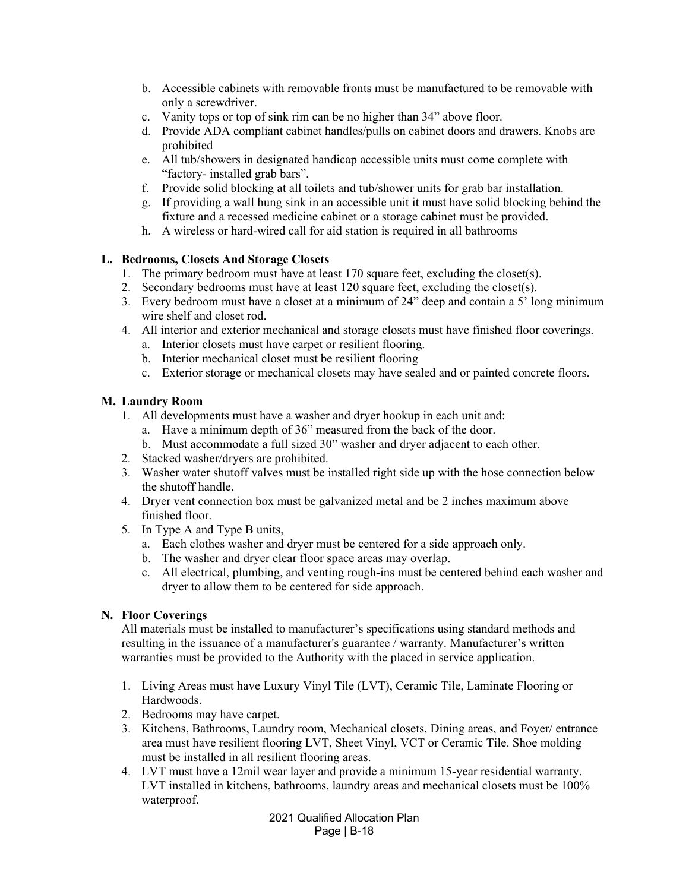- b. Accessible cabinets with removable fronts must be manufactured to be removable with only a screwdriver.
- c. Vanity tops or top of sink rim can be no higher than 34" above floor.
- d. Provide ADA compliant cabinet handles/pulls on cabinet doors and drawers. Knobs are prohibited
- e. All tub/showers in designated handicap accessible units must come complete with "factory- installed grab bars".
- f. Provide solid blocking at all toilets and tub/shower units for grab bar installation.
- g. If providing a wall hung sink in an accessible unit it must have solid blocking behind the fixture and a recessed medicine cabinet or a storage cabinet must be provided.
- h. A wireless or hard-wired call for aid station is required in all bathrooms

### **L. Bedrooms, Closets And Storage Closets**

- 1. The primary bedroom must have at least 170 square feet, excluding the closet(s).
- 2. Secondary bedrooms must have at least 120 square feet, excluding the closet(s).
- 3. Every bedroom must have a closet at a minimum of 24" deep and contain a 5' long minimum wire shelf and closet rod.
- 4. All interior and exterior mechanical and storage closets must have finished floor coverings.
	- a. Interior closets must have carpet or resilient flooring.
	- b. Interior mechanical closet must be resilient flooring
	- c. Exterior storage or mechanical closets may have sealed and or painted concrete floors.

### **M. Laundry Room**

- 1. All developments must have a washer and dryer hookup in each unit and:
	- a. Have a minimum depth of 36" measured from the back of the door.
	- b. Must accommodate a full sized 30" washer and dryer adjacent to each other.
- 2. Stacked washer/dryers are prohibited.
- 3. Washer water shutoff valves must be installed right side up with the hose connection below the shutoff handle.
- 4. Dryer vent connection box must be galvanized metal and be 2 inches maximum above finished floor.
- 5. In Type A and Type B units,
	- a. Each clothes washer and dryer must be centered for a side approach only.
	- b. The washer and dryer clear floor space areas may overlap.
	- c. All electrical, plumbing, and venting rough-ins must be centered behind each washer and dryer to allow them to be centered for side approach.

## **N. Floor Coverings**

All materials must be installed to manufacturer's specifications using standard methods and resulting in the issuance of a manufacturer's guarantee / warranty. Manufacturer's written warranties must be provided to the Authority with the placed in service application.

- 1. Living Areas must have Luxury Vinyl Tile (LVT), Ceramic Tile, Laminate Flooring or Hardwoods.
- 2. Bedrooms may have carpet.
- 3. Kitchens, Bathrooms, Laundry room, Mechanical closets, Dining areas, and Foyer/ entrance area must have resilient flooring LVT, Sheet Vinyl, VCT or Ceramic Tile. Shoe molding must be installed in all resilient flooring areas.
- 4. LVT must have a 12mil wear layer and provide a minimum 15-year residential warranty. LVT installed in kitchens, bathrooms, laundry areas and mechanical closets must be 100% waterproof.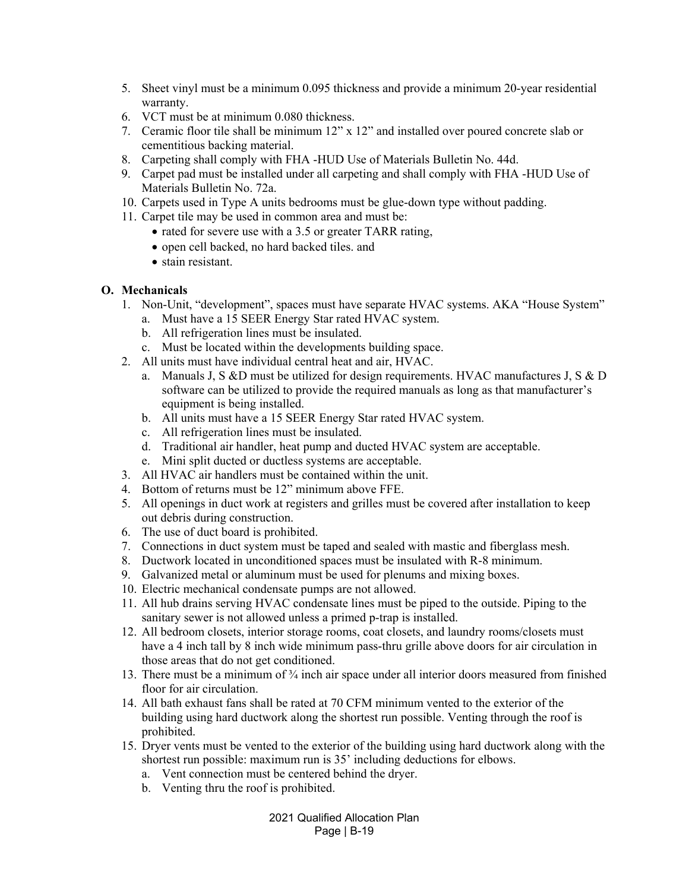- 5. Sheet vinyl must be a minimum 0.095 thickness and provide a minimum 20-year residential warranty.
- 6. VCT must be at minimum 0.080 thickness.
- 7. Ceramic floor tile shall be minimum 12" x 12" and installed over poured concrete slab or cementitious backing material.
- 8. Carpeting shall comply with FHA -HUD Use of Materials Bulletin No. 44d.
- 9. Carpet pad must be installed under all carpeting and shall comply with FHA -HUD Use of Materials Bulletin No. 72a.
- 10. Carpets used in Type A units bedrooms must be glue-down type without padding.
- 11. Carpet tile may be used in common area and must be:
	- rated for severe use with a 3.5 or greater TARR rating,
	- open cell backed, no hard backed tiles. and
	- stain resistant.

### **O. Mechanicals**

- 1. Non-Unit, "development", spaces must have separate HVAC systems. AKA "House System"
	- a. Must have a 15 SEER Energy Star rated HVAC system.
	- b. All refrigeration lines must be insulated.
	- c. Must be located within the developments building space.
- 2. All units must have individual central heat and air, HVAC.
	- a. Manuals J, S &D must be utilized for design requirements. HVAC manufactures J, S & D software can be utilized to provide the required manuals as long as that manufacturer's equipment is being installed.
	- b. All units must have a 15 SEER Energy Star rated HVAC system.
	- c. All refrigeration lines must be insulated.
	- d. Traditional air handler, heat pump and ducted HVAC system are acceptable.
	- e. Mini split ducted or ductless systems are acceptable.
- 3. All HVAC air handlers must be contained within the unit.
- 4. Bottom of returns must be 12" minimum above FFE.
- 5. All openings in duct work at registers and grilles must be covered after installation to keep out debris during construction.
- 6. The use of duct board is prohibited.
- 7. Connections in duct system must be taped and sealed with mastic and fiberglass mesh.
- 8. Ductwork located in unconditioned spaces must be insulated with R-8 minimum.
- 9. Galvanized metal or aluminum must be used for plenums and mixing boxes.
- 10. Electric mechanical condensate pumps are not allowed.
- 11. All hub drains serving HVAC condensate lines must be piped to the outside. Piping to the sanitary sewer is not allowed unless a primed p-trap is installed.
- 12. All bedroom closets, interior storage rooms, coat closets, and laundry rooms/closets must have a 4 inch tall by 8 inch wide minimum pass-thru grille above doors for air circulation in those areas that do not get conditioned.
- 13. There must be a minimum of  $\frac{3}{4}$  inch air space under all interior doors measured from finished floor for air circulation.
- 14. All bath exhaust fans shall be rated at 70 CFM minimum vented to the exterior of the building using hard ductwork along the shortest run possible. Venting through the roof is prohibited.
- 15. Dryer vents must be vented to the exterior of the building using hard ductwork along with the shortest run possible: maximum run is 35' including deductions for elbows.
	- a. Vent connection must be centered behind the dryer.
	- b. Venting thru the roof is prohibited.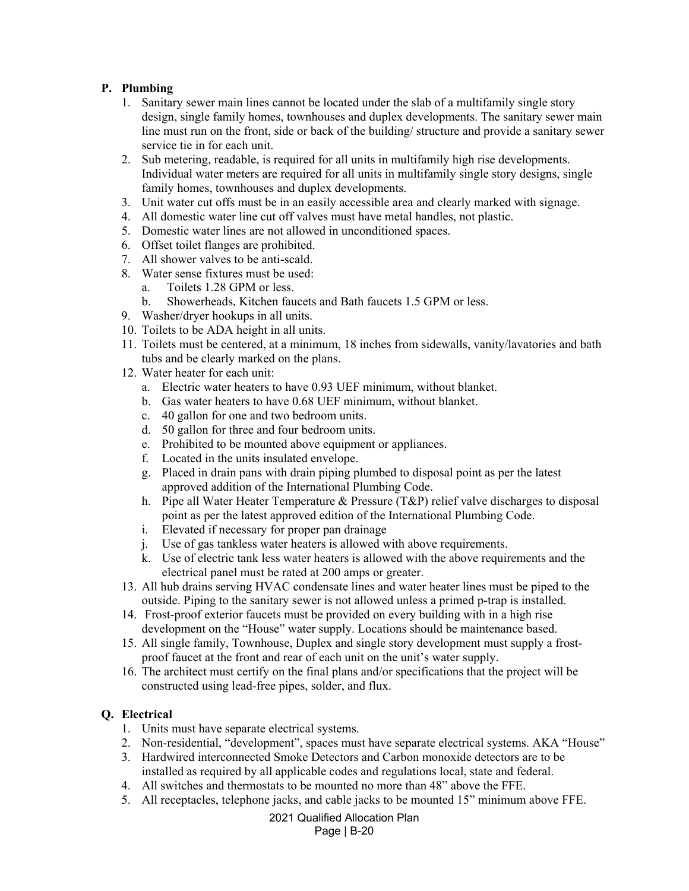# **P. Plumbing**

- 1. Sanitary sewer main lines cannot be located under the slab of a multifamily single story design, single family homes, townhouses and duplex developments. The sanitary sewer main line must run on the front, side or back of the building/ structure and provide a sanitary sewer service tie in for each unit.
- 2. Sub metering, readable, is required for all units in multifamily high rise developments. Individual water meters are required for all units in multifamily single story designs, single family homes, townhouses and duplex developments.
- 3. Unit water cut offs must be in an easily accessible area and clearly marked with signage.
- 4. All domestic water line cut off valves must have metal handles, not plastic.
- 5. Domestic water lines are not allowed in unconditioned spaces.
- 6. Offset toilet flanges are prohibited.
- 7. All shower valves to be anti-scald.
- 8. Water sense fixtures must be used:
	- a. Toilets 1.28 GPM or less.
	- b. Showerheads, Kitchen faucets and Bath faucets 1.5 GPM or less.
- 9. Washer/dryer hookups in all units.
- 10. Toilets to be ADA height in all units.
- 11. Toilets must be centered, at a minimum, 18 inches from sidewalls, vanity/lavatories and bath tubs and be clearly marked on the plans.
- 12. Water heater for each unit:
	- a. Electric water heaters to have 0.93 UEF minimum, without blanket.
	- b. Gas water heaters to have 0.68 UEF minimum, without blanket.
	- c. 40 gallon for one and two bedroom units.
	- d. 50 gallon for three and four bedroom units.
	- e. Prohibited to be mounted above equipment or appliances.
	- f. Located in the units insulated envelope.
	- g. Placed in drain pans with drain piping plumbed to disposal point as per the latest approved addition of the International Plumbing Code.
	- h. Pipe all Water Heater Temperature & Pressure (T&P) relief valve discharges to disposal point as per the latest approved edition of the International Plumbing Code.
	- i. Elevated if necessary for proper pan drainage
	- j. Use of gas tankless water heaters is allowed with above requirements.
	- k. Use of electric tank less water heaters is allowed with the above requirements and the electrical panel must be rated at 200 amps or greater.
- 13. All hub drains serving HVAC condensate lines and water heater lines must be piped to the outside. Piping to the sanitary sewer is not allowed unless a primed p-trap is installed.
- 14. Frost-proof exterior faucets must be provided on every building with in a high rise development on the "House" water supply. Locations should be maintenance based.
- 15. All single family, Townhouse, Duplex and single story development must supply a frostproof faucet at the front and rear of each unit on the unit's water supply.
- 16. The architect must certify on the final plans and/or specifications that the project will be constructed using lead-free pipes, solder, and flux.

# **Q. Electrical**

- 1. Units must have separate electrical systems.
- 2. Non-residential, "development", spaces must have separate electrical systems. AKA "House"
- 3. Hardwired interconnected Smoke Detectors and Carbon monoxide detectors are to be installed as required by all applicable codes and regulations local, state and federal.
- 4. All switches and thermostats to be mounted no more than 48" above the FFE.
- 5. All receptacles, telephone jacks, and cable jacks to be mounted 15" minimum above FFE.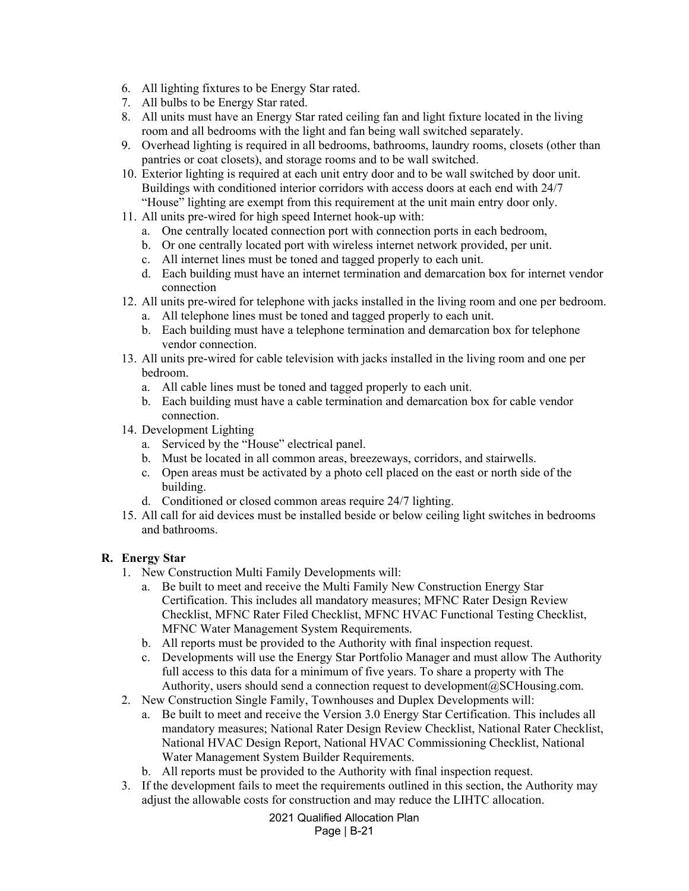- 6. All lighting fixtures to be Energy Star rated.
- 7. All bulbs to be Energy Star rated.
- 8. All units must have an Energy Star rated ceiling fan and light fixture located in the living room and all bedrooms with the light and fan being wall switched separately.
- 9. Overhead lighting is required in all bedrooms, bathrooms, laundry rooms, closets (other than pantries or coat closets), and storage rooms and to be wall switched.
- 10. Exterior lighting is required at each unit entry door and to be wall switched by door unit. Buildings with conditioned interior corridors with access doors at each end with 24/7 "House" lighting are exempt from this requirement at the unit main entry door only.
- 11. All units pre-wired for high speed Internet hook-up with:
	- a. One centrally located connection port with connection ports in each bedroom,
	- b. Or one centrally located port with wireless internet network provided, per unit.
	- c. All internet lines must be toned and tagged properly to each unit.
	- d. Each building must have an internet termination and demarcation box for internet vendor connection
- 12. All units pre-wired for telephone with jacks installed in the living room and one per bedroom.
	- a. All telephone lines must be toned and tagged properly to each unit.
	- b. Each building must have a telephone termination and demarcation box for telephone vendor connection.
- 13. All units pre-wired for cable television with jacks installed in the living room and one per bedroom.
	- a. All cable lines must be toned and tagged properly to each unit.
	- b. Each building must have a cable termination and demarcation box for cable vendor connection.
- 14. Development Lighting
	- a. Serviced by the "House" electrical panel.
	- b. Must be located in all common areas, breezeways, corridors, and stairwells.
	- c. Open areas must be activated by a photo cell placed on the east or north side of the building.
	- d. Conditioned or closed common areas require 24/7 lighting.
- 15. All call for aid devices must be installed beside or below ceiling light switches in bedrooms and bathrooms.

## **R. Energy Star**

- 1. New Construction Multi Family Developments will:
	- a. Be built to meet and receive the Multi Family New Construction Energy Star Certification. This includes all mandatory measures; MFNC Rater Design Review Checklist, MFNC Rater Filed Checklist, MFNC HVAC Functional Testing Checklist, MFNC Water Management System Requirements.
	- b. All reports must be provided to the Authority with final inspection request.
	- c. Developments will use the Energy Star Portfolio Manager and must allow The Authority full access to this data for a minimum of five years. To share a property with The Authority, users should send a connection request to development@SCHousing.com.
- 2. New Construction Single Family, Townhouses and Duplex Developments will:
	- a. Be built to meet and receive the Version 3.0 Energy Star Certification. This includes all mandatory measures; National Rater Design Review Checklist, National Rater Checklist, National HVAC Design Report, National HVAC Commissioning Checklist, National Water Management System Builder Requirements.
	- b. All reports must be provided to the Authority with final inspection request.
- 3. If the development fails to meet the requirements outlined in this section, the Authority may adjust the allowable costs for construction and may reduce the LIHTC allocation.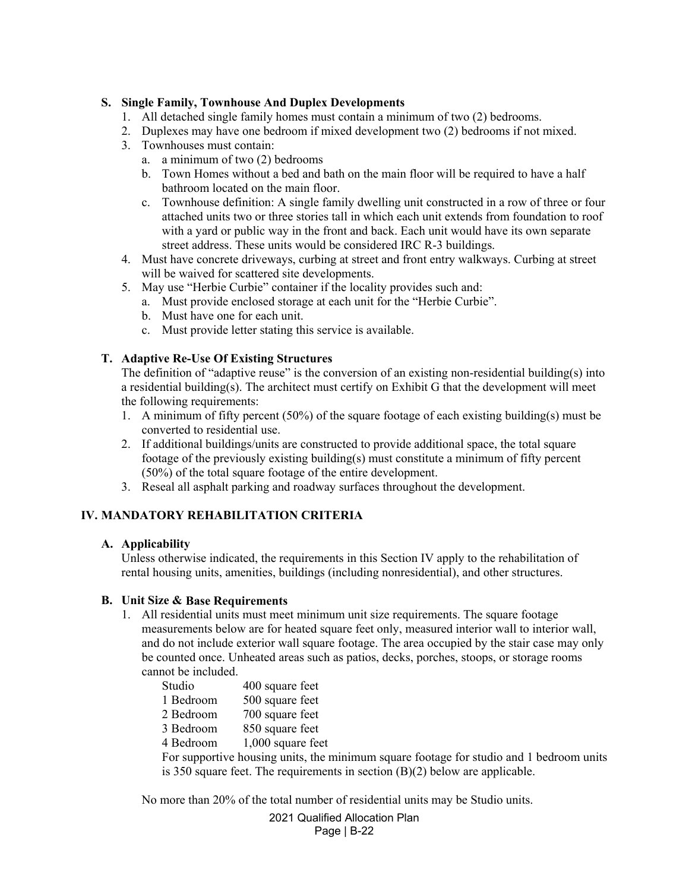### **S. Single Family, Townhouse And Duplex Developments**

- 1. All detached single family homes must contain a minimum of two (2) bedrooms.
- 2. Duplexes may have one bedroom if mixed development two (2) bedrooms if not mixed.
- 3. Townhouses must contain:
	- a. a minimum of two (2) bedrooms
	- b. Town Homes without a bed and bath on the main floor will be required to have a half bathroom located on the main floor.
	- c. Townhouse definition: A single family dwelling unit constructed in a row of three or four attached units two or three stories tall in which each unit extends from foundation to roof with a yard or public way in the front and back. Each unit would have its own separate street address. These units would be considered IRC R-3 buildings.
- 4. Must have concrete driveways, curbing at street and front entry walkways. Curbing at street will be waived for scattered site developments.
- 5. May use "Herbie Curbie" container if the locality provides such and:
	- a. Must provide enclosed storage at each unit for the "Herbie Curbie".
	- b. Must have one for each unit.
	- c. Must provide letter stating this service is available.

### **T. Adaptive Re-Use Of Existing Structures**

The definition of "adaptive reuse" is the conversion of an existing non-residential building(s) into a residential building(s). The architect must certify on Exhibit G that the development will meet the following requirements:

- 1. A minimum of fifty percent (50%) of the square footage of each existing building(s) must be converted to residential use.
- 2. If additional buildings/units are constructed to provide additional space, the total square footage of the previously existing building(s) must constitute a minimum of fifty percent (50%) of the total square footage of the entire development.
- 3. Reseal all asphalt parking and roadway surfaces throughout the development.

## **IV. MANDATORY REHABILITATION CRITERIA**

#### **A. Applicability**

Unless otherwise indicated, the requirements in this Section IV apply to the rehabilitation of rental housing units, amenities, buildings (including nonresidential), and other structures.

#### **B. Unit Size & Base Requirements**

1. All residential units must meet minimum unit size requirements. The square footage measurements below are for heated square feet only, measured interior wall to interior wall, and do not include exterior wall square footage. The area occupied by the stair case may only be counted once. Unheated areas such as patios, decks, porches, stoops, or storage rooms cannot be included.

| Studio                                                                                  | 400 square feet     |  |
|-----------------------------------------------------------------------------------------|---------------------|--|
| 1 Bedroom                                                                               | 500 square feet     |  |
| 2 Bedroom                                                                               | 700 square feet     |  |
| 3 Bedroom                                                                               | 850 square feet     |  |
| 4 Bedroom                                                                               | $1,000$ square feet |  |
| For supportive housing units, the minimum square footage for studio and 1 bedroom units |                     |  |
| is 350 square feet. The requirements in section $(B)(2)$ below are applicable.          |                     |  |
|                                                                                         |                     |  |

No more than 20% of the total number of residential units may be Studio units.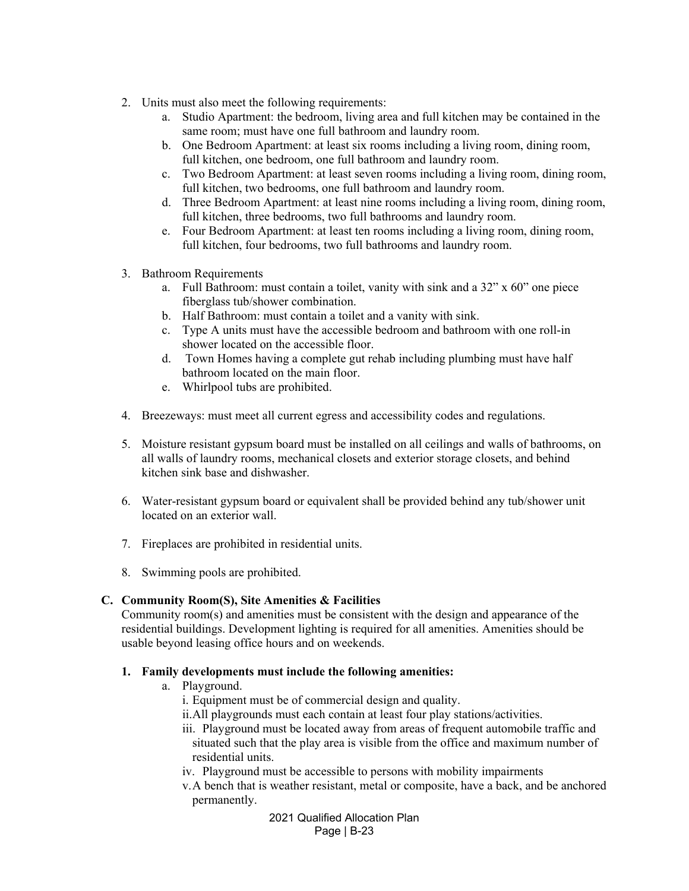- 2. Units must also meet the following requirements:
	- a. Studio Apartment: the bedroom, living area and full kitchen may be contained in the same room; must have one full bathroom and laundry room.
	- b. One Bedroom Apartment: at least six rooms including a living room, dining room, full kitchen, one bedroom, one full bathroom and laundry room.
	- c. Two Bedroom Apartment: at least seven rooms including a living room, dining room, full kitchen, two bedrooms, one full bathroom and laundry room.
	- d. Three Bedroom Apartment: at least nine rooms including a living room, dining room, full kitchen, three bedrooms, two full bathrooms and laundry room.
	- e. Four Bedroom Apartment: at least ten rooms including a living room, dining room, full kitchen, four bedrooms, two full bathrooms and laundry room.
- 3. Bathroom Requirements
	- a. Full Bathroom: must contain a toilet, vanity with sink and a  $32$ " x  $60$ " one piece fiberglass tub/shower combination.
	- b. Half Bathroom: must contain a toilet and a vanity with sink.
	- c. Type A units must have the accessible bedroom and bathroom with one roll-in shower located on the accessible floor.
	- d. Town Homes having a complete gut rehab including plumbing must have half bathroom located on the main floor.
	- e. Whirlpool tubs are prohibited.
- 4. Breezeways: must meet all current egress and accessibility codes and regulations.
- 5. Moisture resistant gypsum board must be installed on all ceilings and walls of bathrooms, on all walls of laundry rooms, mechanical closets and exterior storage closets, and behind kitchen sink base and dishwasher.
- 6. Water-resistant gypsum board or equivalent shall be provided behind any tub/shower unit located on an exterior wall.
- 7. Fireplaces are prohibited in residential units.
- 8. Swimming pools are prohibited.

## **C. Community Room(S), Site Amenities & Facilities**

Community room(s) and amenities must be consistent with the design and appearance of the residential buildings. Development lighting is required for all amenities. Amenities should be usable beyond leasing office hours and on weekends.

## **1. Family developments must include the following amenities:**

- a. Playground.
	- i. Equipment must be of commercial design and quality.
	- ii.All playgrounds must each contain at least four play stations/activities.
	- iii. Playground must be located away from areas of frequent automobile traffic and situated such that the play area is visible from the office and maximum number of residential units.
	- iv. Playground must be accessible to persons with mobility impairments
	- v.A bench that is weather resistant, metal or composite, have a back, and be anchored permanently.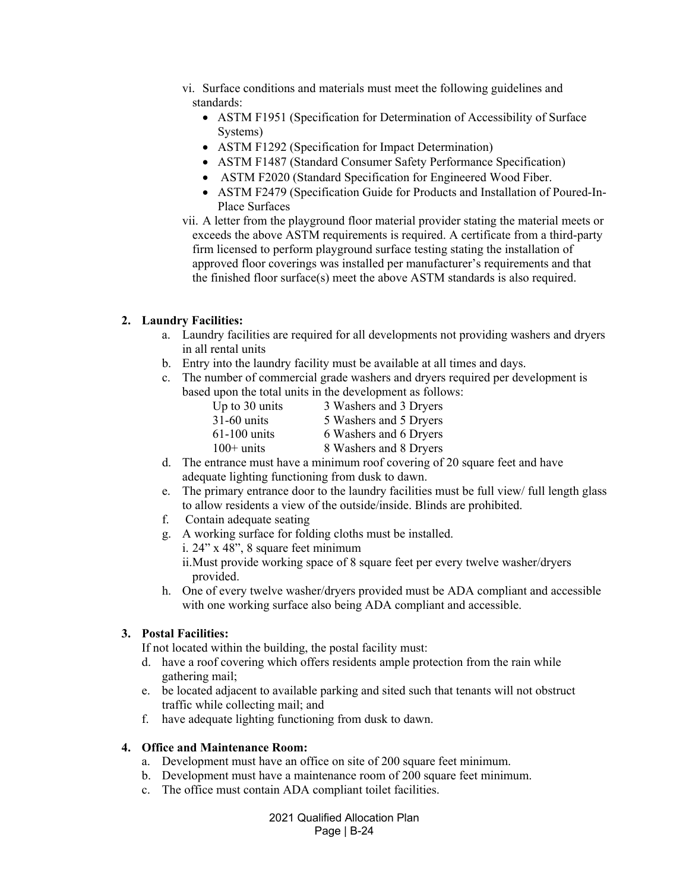- vi. Surface conditions and materials must meet the following guidelines and standards:
	- ASTM F1951 (Specification for Determination of Accessibility of Surface Systems)
	- ASTM F1292 (Specification for Impact Determination)
	- ASTM F1487 (Standard Consumer Safety Performance Specification)
	- ASTM F2020 (Standard Specification for Engineered Wood Fiber.
	- ASTM F2479 (Specification Guide for Products and Installation of Poured-In-Place Surfaces
- vii. A letter from the playground floor material provider stating the material meets or exceeds the above ASTM requirements is required. A certificate from a third-party firm licensed to perform playground surface testing stating the installation of approved floor coverings was installed per manufacturer's requirements and that the finished floor surface(s) meet the above ASTM standards is also required.

### **2. Laundry Facilities:**

- a. Laundry facilities are required for all developments not providing washers and dryers in all rental units
- b. Entry into the laundry facility must be available at all times and days.
- c. The number of commercial grade washers and dryers required per development is based upon the total units in the development as follows:

| 3 Washers and 3 Dryers |
|------------------------|
| 5 Washers and 5 Dryers |
| 6 Washers and 6 Dryers |
| 8 Washers and 8 Dryers |
|                        |

- d. The entrance must have a minimum roof covering of 20 square feet and have adequate lighting functioning from dusk to dawn.
- e. The primary entrance door to the laundry facilities must be full view/ full length glass to allow residents a view of the outside/inside. Blinds are prohibited.
- f. Contain adequate seating
- g. A working surface for folding cloths must be installed.
	- i. 24" x 48", 8 square feet minimum ii.Must provide working space of 8 square feet per every twelve washer/dryers provided.
- h. One of every twelve washer/dryers provided must be ADA compliant and accessible with one working surface also being ADA compliant and accessible.

## **3. Postal Facilities:**

If not located within the building, the postal facility must:

- d. have a roof covering which offers residents ample protection from the rain while gathering mail;
- e. be located adjacent to available parking and sited such that tenants will not obstruct traffic while collecting mail; and
- f. have adequate lighting functioning from dusk to dawn.

#### **4. Office and Maintenance Room:**

- a. Development must have an office on site of 200 square feet minimum.
- b. Development must have a maintenance room of 200 square feet minimum.
- c. The office must contain ADA compliant toilet facilities.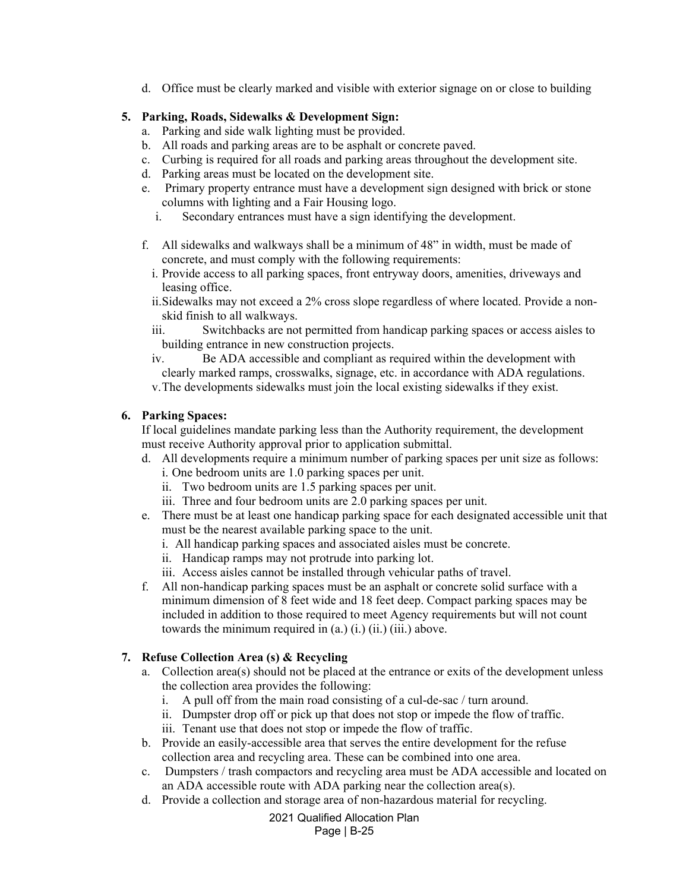d. Office must be clearly marked and visible with exterior signage on or close to building

## **5. Parking, Roads, Sidewalks & Development Sign:**

- a. Parking and side walk lighting must be provided.
- b. All roads and parking areas are to be asphalt or concrete paved.
- c. Curbing is required for all roads and parking areas throughout the development site.
- d. Parking areas must be located on the development site.
- e. Primary property entrance must have a development sign designed with brick or stone columns with lighting and a Fair Housing logo.
	- i. Secondary entrances must have a sign identifying the development.
- f. All sidewalks and walkways shall be a minimum of 48" in width, must be made of concrete, and must comply with the following requirements:
	- i. Provide access to all parking spaces, front entryway doors, amenities, driveways and leasing office.
	- ii.Sidewalks may not exceed a 2% cross slope regardless of where located. Provide a nonskid finish to all walkways.
	- iii. Switchbacks are not permitted from handicap parking spaces or access aisles to building entrance in new construction projects.
	- iv. Be ADA accessible and compliant as required within the development with clearly marked ramps, crosswalks, signage, etc. in accordance with ADA regulations.
	- v.The developments sidewalks must join the local existing sidewalks if they exist.

# **6. Parking Spaces:**

If local guidelines mandate parking less than the Authority requirement, the development must receive Authority approval prior to application submittal.

- d. All developments require a minimum number of parking spaces per unit size as follows:
	- i. One bedroom units are 1.0 parking spaces per unit.
	- ii. Two bedroom units are 1.5 parking spaces per unit.
	- iii. Three and four bedroom units are 2.0 parking spaces per unit.
- e. There must be at least one handicap parking space for each designated accessible unit that must be the nearest available parking space to the unit.
	- i. All handicap parking spaces and associated aisles must be concrete.
	- ii. Handicap ramps may not protrude into parking lot.
	- iii. Access aisles cannot be installed through vehicular paths of travel.
- f. All non-handicap parking spaces must be an asphalt or concrete solid surface with a minimum dimension of 8 feet wide and 18 feet deep. Compact parking spaces may be included in addition to those required to meet Agency requirements but will not count towards the minimum required in  $(a)$   $(i)$ ,  $(ii)$ ,  $(iii)$ , above.

# **7. Refuse Collection Area (s) & Recycling**

- a. Collection area(s) should not be placed at the entrance or exits of the development unless the collection area provides the following:
	- i. A pull off from the main road consisting of a cul-de-sac / turn around.
	- ii. Dumpster drop off or pick up that does not stop or impede the flow of traffic.
	- iii. Tenant use that does not stop or impede the flow of traffic.
- b. Provide an easily-accessible area that serves the entire development for the refuse collection area and recycling area. These can be combined into one area.
- c. Dumpsters / trash compactors and recycling area must be ADA accessible and located on an ADA accessible route with ADA parking near the collection area(s).
- d. Provide a collection and storage area of non-hazardous material for recycling.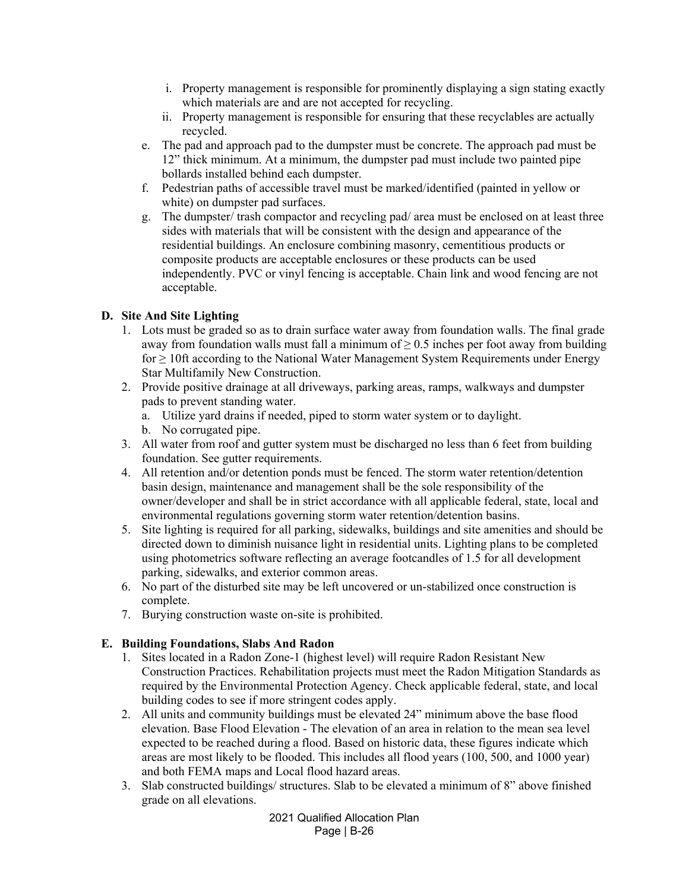- i. Property management is responsible for prominently displaying a sign stating exactly which materials are and are not accepted for recycling.
- ii. Property management is responsible for ensuring that these recyclables are actually recycled.
- e. The pad and approach pad to the dumpster must be concrete. The approach pad must be 12" thick minimum. At a minimum, the dumpster pad must include two painted pipe bollards installed behind each dumpster.
- f. Pedestrian paths of accessible travel must be marked/identified (painted in yellow or white) on dumpster pad surfaces.
- g. The dumpster/ trash compactor and recycling pad/ area must be enclosed on at least three sides with materials that will be consistent with the design and appearance of the residential buildings. An enclosure combining masonry, cementitious products or composite products are acceptable enclosures or these products can be used independently. PVC or vinyl fencing is acceptable. Chain link and wood fencing are not acceptable.

## **D. Site And Site Lighting**

- 1. Lots must be graded so as to drain surface water away from foundation walls. The final grade away from foundation walls must fall a minimum of  $\geq 0.5$  inches per foot away from building for ≥ 10ft according to the National Water Management System Requirements under Energy Star Multifamily New Construction.
- 2. Provide positive drainage at all driveways, parking areas, ramps, walkways and dumpster pads to prevent standing water.
	- a. Utilize yard drains if needed, piped to storm water system or to daylight.
	- b. No corrugated pipe.
- 3. All water from roof and gutter system must be discharged no less than 6 feet from building foundation. See gutter requirements.
- 4. All retention and/or detention ponds must be fenced. The storm water retention/detention basin design, maintenance and management shall be the sole responsibility of the owner/developer and shall be in strict accordance with all applicable federal, state, local and environmental regulations governing storm water retention/detention basins.
- 5. Site lighting is required for all parking, sidewalks, buildings and site amenities and should be directed down to diminish nuisance light in residential units. Lighting plans to be completed using photometrics software reflecting an average footcandles of 1.5 for all development parking, sidewalks, and exterior common areas.
- 6. No part of the disturbed site may be left uncovered or un-stabilized once construction is complete.
- 7. Burying construction waste on-site is prohibited.

## **E. Building Foundations, Slabs And Radon**

- 1. Sites located in a Radon Zone-1 (highest level) will require Radon Resistant New Construction Practices. Rehabilitation projects must meet the Radon Mitigation Standards as required by the Environmental Protection Agency. Check applicable federal, state, and local building codes to see if more stringent codes apply.
- 2. All units and community buildings must be elevated 24" minimum above the base flood elevation. Base Flood Elevation - The elevation of an area in relation to the mean sea level expected to be reached during a flood. Based on historic data, these figures indicate which areas are most likely to be flooded. This includes all flood years (100, 500, and 1000 year) and both FEMA maps and Local flood hazard areas.
- 3. Slab constructed buildings/ structures. Slab to be elevated a minimum of 8" above finished grade on all elevations.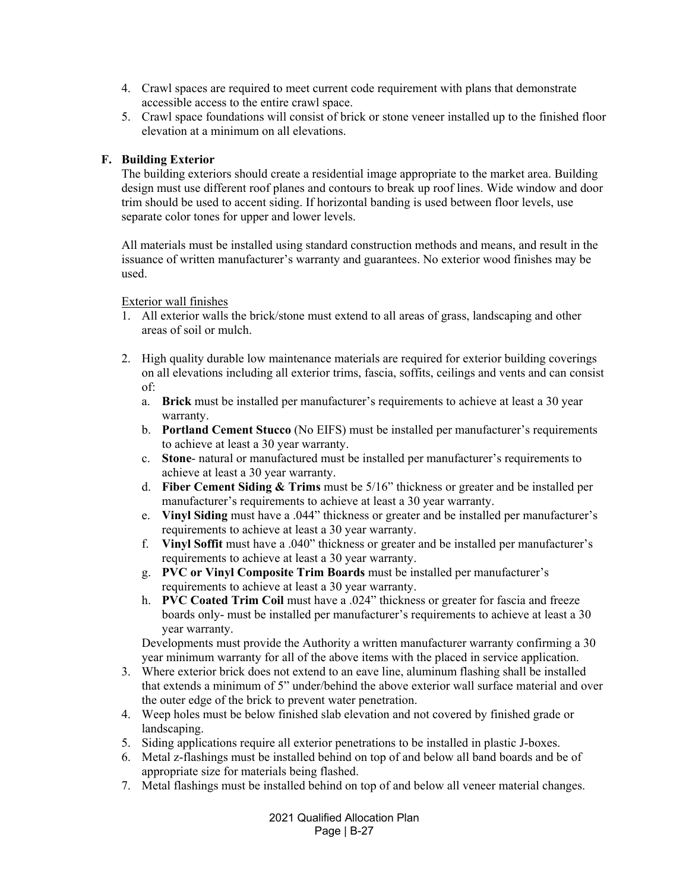- 4. Crawl spaces are required to meet current code requirement with plans that demonstrate accessible access to the entire crawl space.
- 5. Crawl space foundations will consist of brick or stone veneer installed up to the finished floor elevation at a minimum on all elevations.

### **F. Building Exterior**

The building exteriors should create a residential image appropriate to the market area. Building design must use different roof planes and contours to break up roof lines. Wide window and door trim should be used to accent siding. If horizontal banding is used between floor levels, use separate color tones for upper and lower levels.

All materials must be installed using standard construction methods and means, and result in the issuance of written manufacturer's warranty and guarantees. No exterior wood finishes may be used.

Exterior wall finishes

- 1. All exterior walls the brick/stone must extend to all areas of grass, landscaping and other areas of soil or mulch.
- 2. High quality durable low maintenance materials are required for exterior building coverings on all elevations including all exterior trims, fascia, soffits, ceilings and vents and can consist of:
	- a. **Brick** must be installed per manufacturer's requirements to achieve at least a 30 year warranty.
	- b. **Portland Cement Stucco** (No EIFS) must be installed per manufacturer's requirements to achieve at least a 30 year warranty.
	- c. **Stone** natural or manufactured must be installed per manufacturer's requirements to achieve at least a 30 year warranty.
	- d. **Fiber Cement Siding & Trims** must be 5/16" thickness or greater and be installed per manufacturer's requirements to achieve at least a 30 year warranty.
	- e. **Vinyl Siding** must have a .044" thickness or greater and be installed per manufacturer's requirements to achieve at least a 30 year warranty.
	- f. **Vinyl Soffit** must have a .040" thickness or greater and be installed per manufacturer's requirements to achieve at least a 30 year warranty.
	- g. **PVC or Vinyl Composite Trim Boards** must be installed per manufacturer's requirements to achieve at least a 30 year warranty.
	- h. **PVC Coated Trim Coil** must have a .024" thickness or greater for fascia and freeze boards only- must be installed per manufacturer's requirements to achieve at least a 30 year warranty.

Developments must provide the Authority a written manufacturer warranty confirming a 30 year minimum warranty for all of the above items with the placed in service application.

- 3. Where exterior brick does not extend to an eave line, aluminum flashing shall be installed that extends a minimum of 5" under/behind the above exterior wall surface material and over the outer edge of the brick to prevent water penetration.
- 4. Weep holes must be below finished slab elevation and not covered by finished grade or landscaping.
- 5. Siding applications require all exterior penetrations to be installed in plastic J-boxes.
- 6. Metal z-flashings must be installed behind on top of and below all band boards and be of appropriate size for materials being flashed.
- 7. Metal flashings must be installed behind on top of and below all veneer material changes.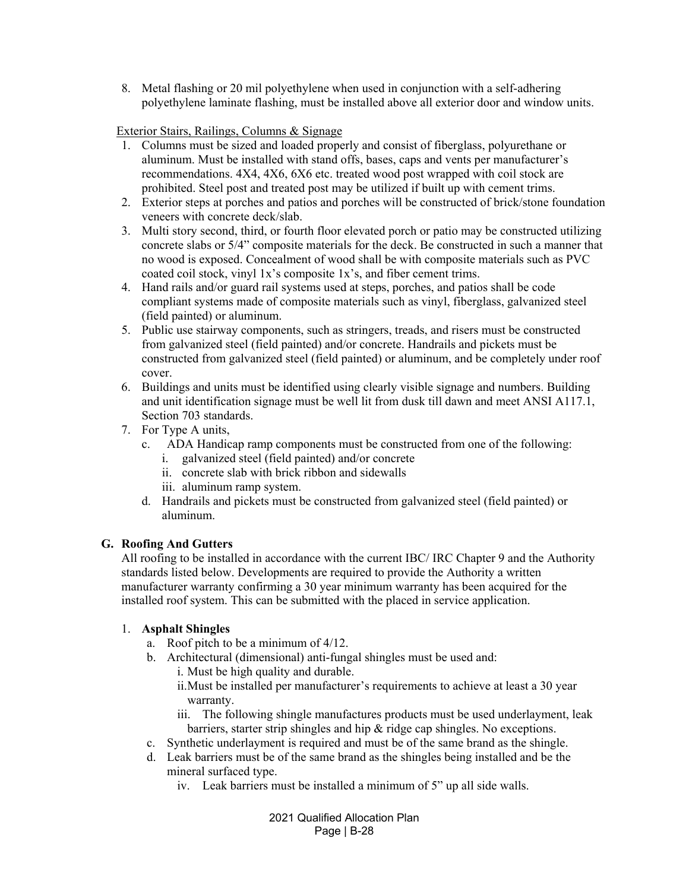8. Metal flashing or 20 mil polyethylene when used in conjunction with a self‐adhering polyethylene laminate flashing, must be installed above all exterior door and window units.

### Exterior Stairs, Railings, Columns & Signage

- 1. Columns must be sized and loaded properly and consist of fiberglass, polyurethane or aluminum. Must be installed with stand offs, bases, caps and vents per manufacturer's recommendations. 4X4, 4X6, 6X6 etc. treated wood post wrapped with coil stock are prohibited. Steel post and treated post may be utilized if built up with cement trims.
- 2. Exterior steps at porches and patios and porches will be constructed of brick/stone foundation veneers with concrete deck/slab.
- 3. Multi story second, third, or fourth floor elevated porch or patio may be constructed utilizing concrete slabs or 5/4" composite materials for the deck. Be constructed in such a manner that no wood is exposed. Concealment of wood shall be with composite materials such as PVC coated coil stock, vinyl 1x's composite 1x's, and fiber cement trims.
- 4. Hand rails and/or guard rail systems used at steps, porches, and patios shall be code compliant systems made of composite materials such as vinyl, fiberglass, galvanized steel (field painted) or aluminum.
- 5. Public use stairway components, such as stringers, treads, and risers must be constructed from galvanized steel (field painted) and/or concrete. Handrails and pickets must be constructed from galvanized steel (field painted) or aluminum, and be completely under roof cover.
- 6. Buildings and units must be identified using clearly visible signage and numbers. Building and unit identification signage must be well lit from dusk till dawn and meet ANSI A117.1, Section 703 standards.
- 7. For Type A units,
	- c. ADA Handicap ramp components must be constructed from one of the following:
		- i. galvanized steel (field painted) and/or concrete
		- ii. concrete slab with brick ribbon and sidewalls
		- iii. aluminum ramp system.
	- d. Handrails and pickets must be constructed from galvanized steel (field painted) or aluminum.

#### **G. Roofing And Gutters**

All roofing to be installed in accordance with the current IBC/ IRC Chapter 9 and the Authority standards listed below. Developments are required to provide the Authority a written manufacturer warranty confirming a 30 year minimum warranty has been acquired for the installed roof system. This can be submitted with the placed in service application.

## 1. **Asphalt Shingles**

- a. Roof pitch to be a minimum of 4/12.
- b. Architectural (dimensional) anti-fungal shingles must be used and:
	- i. Must be high quality and durable.
	- ii.Must be installed per manufacturer's requirements to achieve at least a 30 year warranty.
	- iii. The following shingle manufactures products must be used underlayment, leak barriers, starter strip shingles and hip & ridge cap shingles. No exceptions.
- c. Synthetic underlayment is required and must be of the same brand as the shingle.
- d. Leak barriers must be of the same brand as the shingles being installed and be the mineral surfaced type.
	- iv. Leak barriers must be installed a minimum of 5" up all side walls.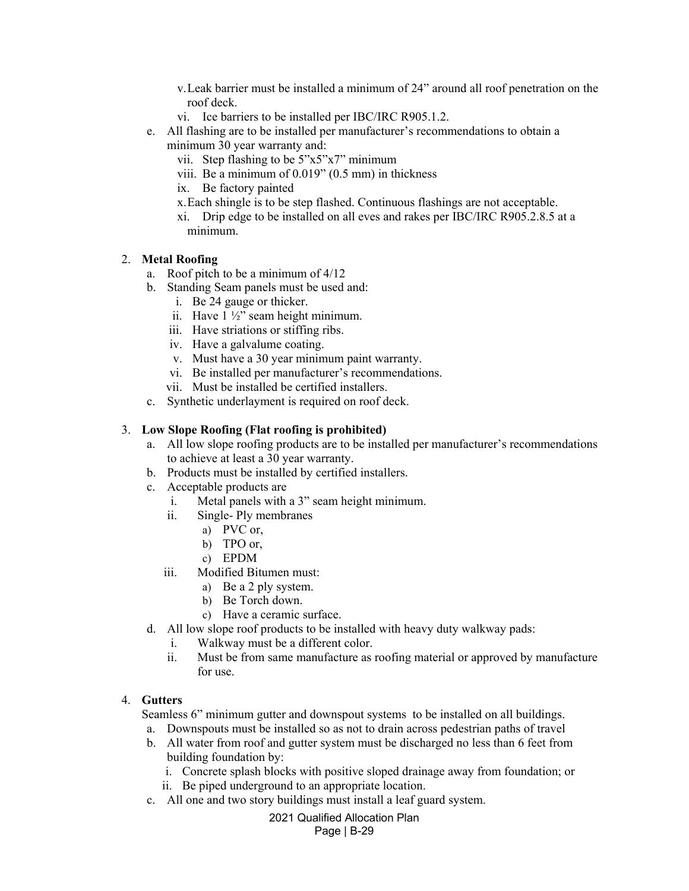- v.Leak barrier must be installed a minimum of 24" around all roof penetration on the roof deck.
- vi. Ice barriers to be installed per IBC/IRC R905.1.2.
- e. All flashing are to be installed per manufacturer's recommendations to obtain a minimum 30 year warranty and:
	- vii. Step flashing to be 5"x5"x7" minimum
	- viii. Be a minimum of 0.019" (0.5 mm) in thickness
	- ix. Be factory painted
	- x.Each shingle is to be step flashed. Continuous flashings are not acceptable.
	- xi. Drip edge to be installed on all eves and rakes per IBC/IRC R905.2.8.5 at a minimum.

### 2. **Metal Roofing**

- a. Roof pitch to be a minimum of 4/12
- b. Standing Seam panels must be used and:
	- i. Be 24 gauge or thicker.
	- ii. Have 1 ½" seam height minimum.
	- iii. Have striations or stiffing ribs.
	- iv. Have a galvalume coating.
	- v. Must have a 30 year minimum paint warranty.
	- vi. Be installed per manufacturer's recommendations.
	- vii. Must be installed be certified installers.
- c. Synthetic underlayment is required on roof deck.

### 3. **Low Slope Roofing (Flat roofing is prohibited)**

- a. All low slope roofing products are to be installed per manufacturer's recommendations to achieve at least a 30 year warranty.
- b. Products must be installed by certified installers.
- c. Acceptable products are
	- i. Metal panels with a 3" seam height minimum.
	- ii. Single- Ply membranes
		- a) PVC or,
			- b) TPO or,
		- c) EPDM
	- iii. Modified Bitumen must:
		- a) Be a 2 ply system.
		- b) Be Torch down.
		- c) Have a ceramic surface.
- d. All low slope roof products to be installed with heavy duty walkway pads:
	- i. Walkway must be a different color.
	- ii. Must be from same manufacture as roofing material or approved by manufacture for use.

### 4. **Gutters**

Seamless 6" minimum gutter and downspout systems to be installed on all buildings.

- a. Downspouts must be installed so as not to drain across pedestrian paths of travel
- b. All water from roof and gutter system must be discharged no less than 6 feet from building foundation by:
	- i. Concrete splash blocks with positive sloped drainage away from foundation; or
	- ii. Be piped underground to an appropriate location.
- c. All one and two story buildings must install a leaf guard system.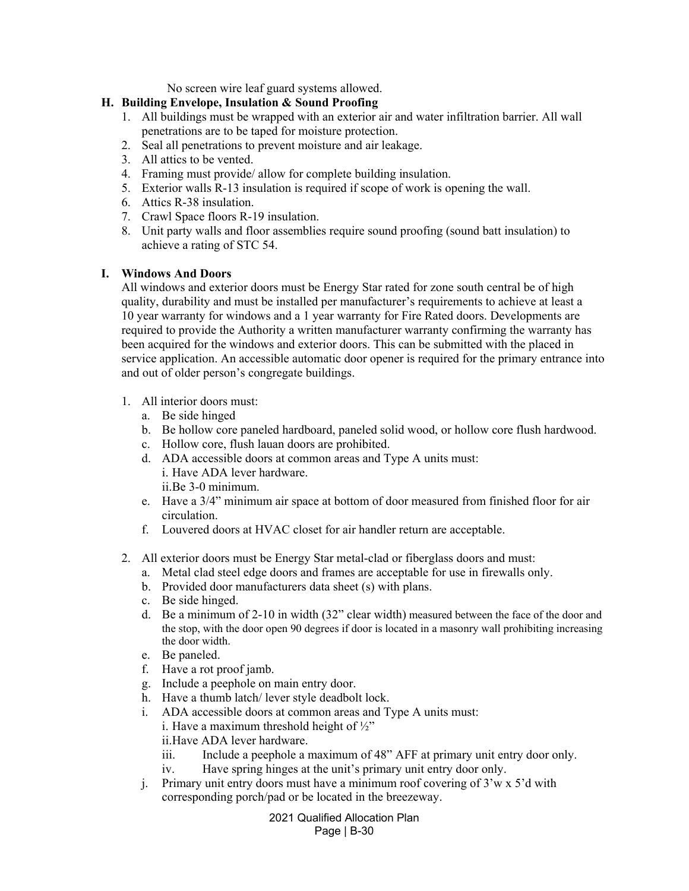No screen wire leaf guard systems allowed.

### **H. Building Envelope, Insulation & Sound Proofing**

- 1. All buildings must be wrapped with an exterior air and water infiltration barrier. All wall penetrations are to be taped for moisture protection.
- 2. Seal all penetrations to prevent moisture and air leakage.
- 3. All attics to be vented.
- 4. Framing must provide/ allow for complete building insulation.
- 5. Exterior walls R-13 insulation is required if scope of work is opening the wall.
- 6. Attics R-38 insulation.
- 7. Crawl Space floors R-19 insulation.
- 8. Unit party walls and floor assemblies require sound proofing (sound batt insulation) to achieve a rating of STC 54.

### **I. Windows And Doors**

All windows and exterior doors must be Energy Star rated for zone south central be of high quality, durability and must be installed per manufacturer's requirements to achieve at least a 10 year warranty for windows and a 1 year warranty for Fire Rated doors. Developments are required to provide the Authority a written manufacturer warranty confirming the warranty has been acquired for the windows and exterior doors. This can be submitted with the placed in service application. An accessible automatic door opener is required for the primary entrance into and out of older person's congregate buildings.

- 1. All interior doors must:
	- a. Be side hinged
	- b. Be hollow core paneled hardboard, paneled solid wood, or hollow core flush hardwood.
	- c. Hollow core, flush lauan doors are prohibited.
	- d. ADA accessible doors at common areas and Type A units must: i. Have ADA lever hardware. ii.Be 3-0 minimum.
	- e. Have a 3/4" minimum air space at bottom of door measured from finished floor for air circulation.
	- f. Louvered doors at HVAC closet for air handler return are acceptable.
- 2. All exterior doors must be Energy Star metal-clad or fiberglass doors and must:
	- a. Metal clad steel edge doors and frames are acceptable for use in firewalls only.
	- b. Provided door manufacturers data sheet (s) with plans.
	- c. Be side hinged.
	- d. Be a minimum of 2-10 in width (32" clear width) measured between the face of the door and the stop, with the door open 90 degrees if door is located in a masonry wall prohibiting increasing the door width.
	- e. Be paneled.
	- f. Have a rot proof jamb.
	- g. Include a peephole on main entry door.
	- h. Have a thumb latch/ lever style deadbolt lock.
	- i. ADA accessible doors at common areas and Type A units must:
		- i. Have a maximum threshold height of  $\frac{1}{2}$ "
		- ii.Have ADA lever hardware.
		- iii. Include a peephole a maximum of 48" AFF at primary unit entry door only.
		- iv. Have spring hinges at the unit's primary unit entry door only.
	- j. Primary unit entry doors must have a minimum roof covering of 3'w x 5'd with corresponding porch/pad or be located in the breezeway.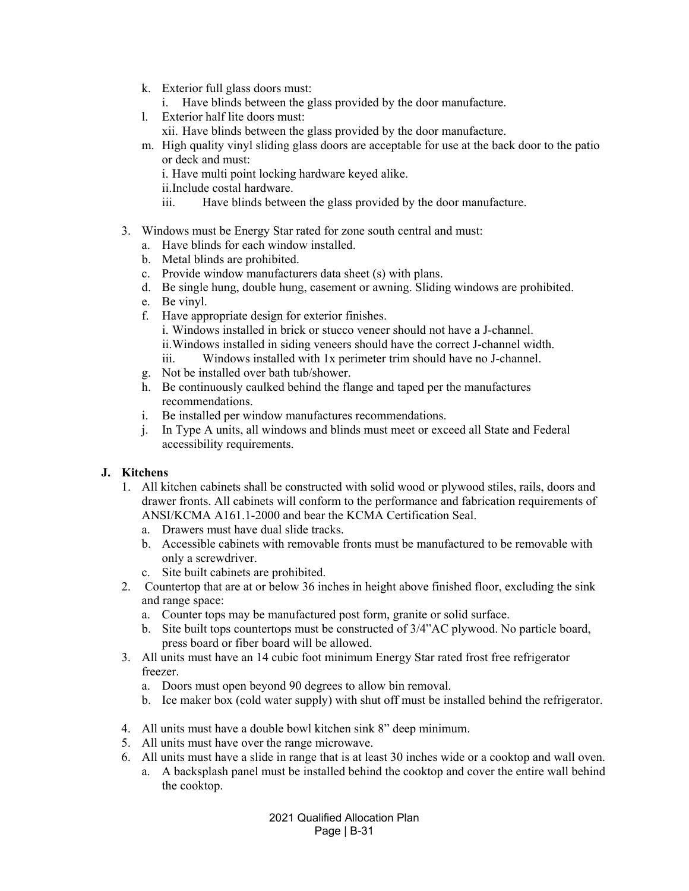- k. Exterior full glass doors must:
	- i. Have blinds between the glass provided by the door manufacture.
- l. Exterior half lite doors must:
	- xii. Have blinds between the glass provided by the door manufacture.
- m. High quality vinyl sliding glass doors are acceptable for use at the back door to the patio or deck and must:
	- i. Have multi point locking hardware keyed alike.
	- ii.Include costal hardware.
	- iii. Have blinds between the glass provided by the door manufacture.
- 3. Windows must be Energy Star rated for zone south central and must:
	- a. Have blinds for each window installed.
	- b. Metal blinds are prohibited.
	- c. Provide window manufacturers data sheet (s) with plans.
	- d. Be single hung, double hung, casement or awning. Sliding windows are prohibited.
	- e. Be vinyl.
	- f. Have appropriate design for exterior finishes. i. Windows installed in brick or stucco veneer should not have a J-channel. ii.Windows installed in siding veneers should have the correct J-channel width. iii. Windows installed with 1x perimeter trim should have no J-channel.
	- g. Not be installed over bath tub/shower.
	- h. Be continuously caulked behind the flange and taped per the manufactures recommendations.
	- i. Be installed per window manufactures recommendations.
	- j. In Type A units, all windows and blinds must meet or exceed all State and Federal accessibility requirements.

## **J. Kitchens**

- 1. All kitchen cabinets shall be constructed with solid wood or plywood stiles, rails, doors and drawer fronts. All cabinets will conform to the performance and fabrication requirements of ANSI/KCMA A161.1-2000 and bear the KCMA Certification Seal.
	- a. Drawers must have dual slide tracks.
	- b. Accessible cabinets with removable fronts must be manufactured to be removable with only a screwdriver.
	- c. Site built cabinets are prohibited.
- 2. Countertop that are at or below 36 inches in height above finished floor, excluding the sink and range space:
	- a. Counter tops may be manufactured post form, granite or solid surface.
	- b. Site built tops countertops must be constructed of 3/4"AC plywood. No particle board, press board or fiber board will be allowed.
- 3. All units must have an 14 cubic foot minimum Energy Star rated frost free refrigerator freezer.
	- a. Doors must open beyond 90 degrees to allow bin removal.
	- b. Ice maker box (cold water supply) with shut off must be installed behind the refrigerator.
- 4. All units must have a double bowl kitchen sink 8" deep minimum.
- 5. All units must have over the range microwave.
- 6. All units must have a slide in range that is at least 30 inches wide or a cooktop and wall oven.
	- a. A backsplash panel must be installed behind the cooktop and cover the entire wall behind the cooktop.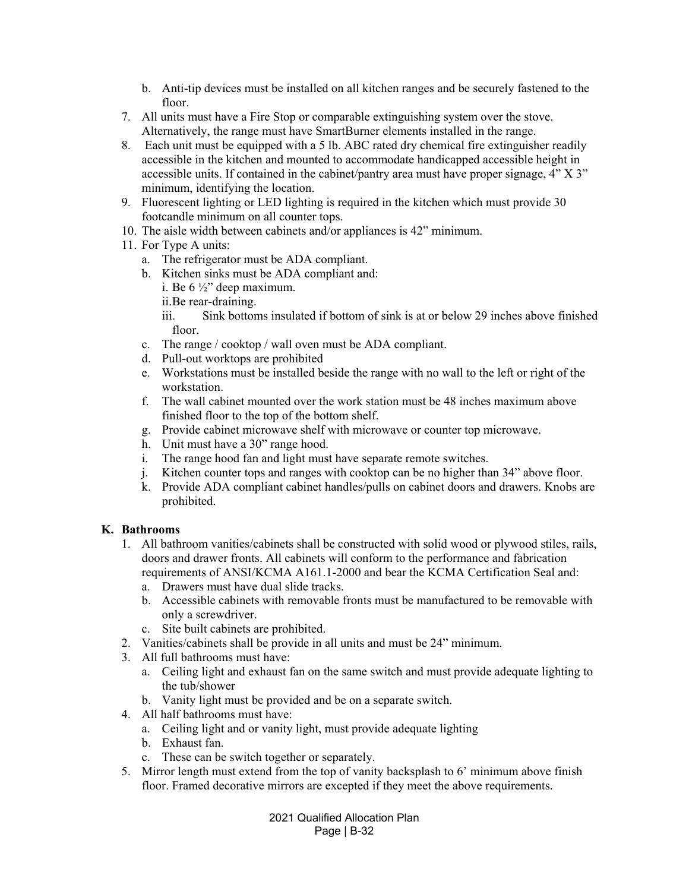- b. Anti-tip devices must be installed on all kitchen ranges and be securely fastened to the floor.
- 7. All units must have a Fire Stop or comparable extinguishing system over the stove. Alternatively, the range must have SmartBurner elements installed in the range.
- 8. Each unit must be equipped with a 5 lb. ABC rated dry chemical fire extinguisher readily accessible in the kitchen and mounted to accommodate handicapped accessible height in accessible units. If contained in the cabinet/pantry area must have proper signage, 4" X 3" minimum, identifying the location.
- 9. Fluorescent lighting or LED lighting is required in the kitchen which must provide 30 footcandle minimum on all counter tops.
- 10. The aisle width between cabinets and/or appliances is 42" minimum.
- 11. For Type A units:
	- a. The refrigerator must be ADA compliant.
	- b. Kitchen sinks must be ADA compliant and:
		- i. Be 6 ½" deep maximum.
		- ii.Be rear-draining.

iii. Sink bottoms insulated if bottom of sink is at or below 29 inches above finished floor.

- c. The range / cooktop / wall oven must be ADA compliant.
- d. Pull-out worktops are prohibited
- e. Workstations must be installed beside the range with no wall to the left or right of the workstation.
- f. The wall cabinet mounted over the work station must be 48 inches maximum above finished floor to the top of the bottom shelf.
- g. Provide cabinet microwave shelf with microwave or counter top microwave.
- h. Unit must have a 30" range hood.
- i. The range hood fan and light must have separate remote switches.
- j. Kitchen counter tops and ranges with cooktop can be no higher than 34" above floor.
- k. Provide ADA compliant cabinet handles/pulls on cabinet doors and drawers. Knobs are prohibited.

## **K. Bathrooms**

- 1. All bathroom vanities/cabinets shall be constructed with solid wood or plywood stiles, rails, doors and drawer fronts. All cabinets will conform to the performance and fabrication requirements of ANSI/KCMA A161.1-2000 and bear the KCMA Certification Seal and:
	- a. Drawers must have dual slide tracks.
	- b. Accessible cabinets with removable fronts must be manufactured to be removable with only a screwdriver.
	- c. Site built cabinets are prohibited.
- 2. Vanities/cabinets shall be provide in all units and must be 24" minimum.
- 3. All full bathrooms must have:
	- a. Ceiling light and exhaust fan on the same switch and must provide adequate lighting to the tub/shower
	- b. Vanity light must be provided and be on a separate switch.
- 4. All half bathrooms must have:
	- a. Ceiling light and or vanity light, must provide adequate lighting
	- b. Exhaust fan.
	- c. These can be switch together or separately.
- 5. Mirror length must extend from the top of vanity backsplash to 6' minimum above finish floor. Framed decorative mirrors are excepted if they meet the above requirements.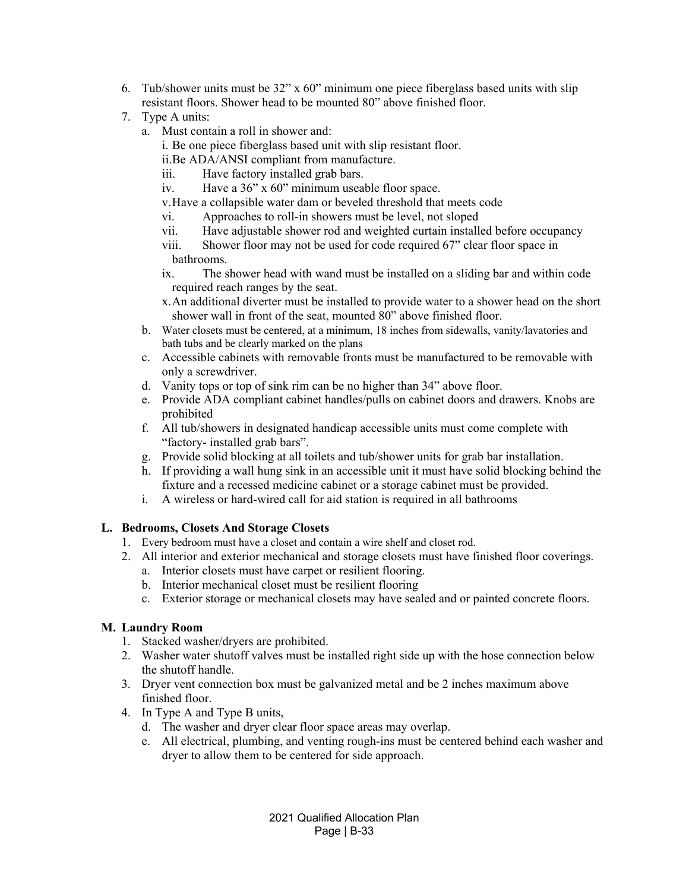- 6. Tub/shower units must be  $32$ " x 60" minimum one piece fiberglass based units with slip resistant floors. Shower head to be mounted 80" above finished floor.
- 7. Type A units:
	- a. Must contain a roll in shower and:
		- i. Be one piece fiberglass based unit with slip resistant floor.
		- ii.Be ADA/ANSI compliant from manufacture.
		- iii. Have factory installed grab bars.
		- iv. Have a 36" x 60" minimum useable floor space.
		- v.Have a collapsible water dam or beveled threshold that meets code
		- vi. Approaches to roll-in showers must be level, not sloped
		- vii. Have adjustable shower rod and weighted curtain installed before occupancy
		- viii. Shower floor may not be used for code required 67" clear floor space in bathrooms.
		- ix. The shower head with wand must be installed on a sliding bar and within code required reach ranges by the seat.
		- x.An additional diverter must be installed to provide water to a shower head on the short shower wall in front of the seat, mounted 80" above finished floor.
	- b. Water closets must be centered, at a minimum, 18 inches from sidewalls, vanity/lavatories and bath tubs and be clearly marked on the plans
	- c. Accessible cabinets with removable fronts must be manufactured to be removable with only a screwdriver.
	- d. Vanity tops or top of sink rim can be no higher than 34" above floor.
	- e. Provide ADA compliant cabinet handles/pulls on cabinet doors and drawers. Knobs are prohibited
	- f. All tub/showers in designated handicap accessible units must come complete with "factory- installed grab bars".
	- g. Provide solid blocking at all toilets and tub/shower units for grab bar installation.
	- h. If providing a wall hung sink in an accessible unit it must have solid blocking behind the fixture and a recessed medicine cabinet or a storage cabinet must be provided.
	- i. A wireless or hard-wired call for aid station is required in all bathrooms

## **L. Bedrooms, Closets And Storage Closets**

- 1. Every bedroom must have a closet and contain a wire shelf and closet rod.
- 2. All interior and exterior mechanical and storage closets must have finished floor coverings.
	- a. Interior closets must have carpet or resilient flooring.
	- b. Interior mechanical closet must be resilient flooring
	- c. Exterior storage or mechanical closets may have sealed and or painted concrete floors.

#### **M. Laundry Room**

- 1. Stacked washer/dryers are prohibited.
- 2. Washer water shutoff valves must be installed right side up with the hose connection below the shutoff handle.
- 3. Dryer vent connection box must be galvanized metal and be 2 inches maximum above finished floor.
- 4. In Type A and Type B units,
	- d. The washer and dryer clear floor space areas may overlap.
	- e. All electrical, plumbing, and venting rough-ins must be centered behind each washer and dryer to allow them to be centered for side approach.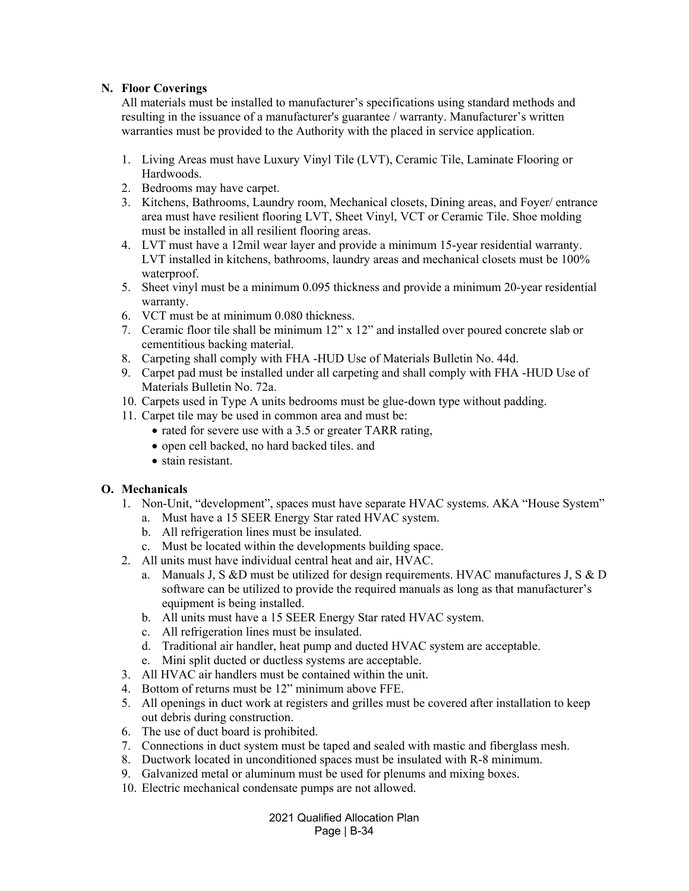### **N. Floor Coverings**

All materials must be installed to manufacturer's specifications using standard methods and resulting in the issuance of a manufacturer's guarantee / warranty. Manufacturer's written warranties must be provided to the Authority with the placed in service application.

- 1. Living Areas must have Luxury Vinyl Tile (LVT), Ceramic Tile, Laminate Flooring or Hardwoods.
- 2. Bedrooms may have carpet.
- 3. Kitchens, Bathrooms, Laundry room, Mechanical closets, Dining areas, and Foyer/ entrance area must have resilient flooring LVT, Sheet Vinyl, VCT or Ceramic Tile. Shoe molding must be installed in all resilient flooring areas.
- 4. LVT must have a 12mil wear layer and provide a minimum 15-year residential warranty. LVT installed in kitchens, bathrooms, laundry areas and mechanical closets must be 100% waterproof.
- 5. Sheet vinyl must be a minimum 0.095 thickness and provide a minimum 20-year residential warranty.
- 6. VCT must be at minimum 0.080 thickness.
- 7. Ceramic floor tile shall be minimum 12" x 12" and installed over poured concrete slab or cementitious backing material.
- 8. Carpeting shall comply with FHA -HUD Use of Materials Bulletin No. 44d.
- 9. Carpet pad must be installed under all carpeting and shall comply with FHA -HUD Use of Materials Bulletin No. 72a.
- 10. Carpets used in Type A units bedrooms must be glue-down type without padding.
- 11. Carpet tile may be used in common area and must be:
	- rated for severe use with a 3.5 or greater TARR rating,
	- open cell backed, no hard backed tiles. and
	- stain resistant.

## **O. Mechanicals**

- 1. Non-Unit, "development", spaces must have separate HVAC systems. AKA "House System"
	- a. Must have a 15 SEER Energy Star rated HVAC system.
	- b. All refrigeration lines must be insulated.
	- c. Must be located within the developments building space.
- 2. All units must have individual central heat and air, HVAC.
	- a. Manuals J, S &D must be utilized for design requirements. HVAC manufactures J, S & D software can be utilized to provide the required manuals as long as that manufacturer's equipment is being installed.
	- b. All units must have a 15 SEER Energy Star rated HVAC system.
	- c. All refrigeration lines must be insulated.
	- d. Traditional air handler, heat pump and ducted HVAC system are acceptable.
	- e. Mini split ducted or ductless systems are acceptable.
- 3. All HVAC air handlers must be contained within the unit.
- 4. Bottom of returns must be 12" minimum above FFE.
- 5. All openings in duct work at registers and grilles must be covered after installation to keep out debris during construction.
- 6. The use of duct board is prohibited.
- 7. Connections in duct system must be taped and sealed with mastic and fiberglass mesh.
- 8. Ductwork located in unconditioned spaces must be insulated with R-8 minimum.
- 9. Galvanized metal or aluminum must be used for plenums and mixing boxes.
- 10. Electric mechanical condensate pumps are not allowed.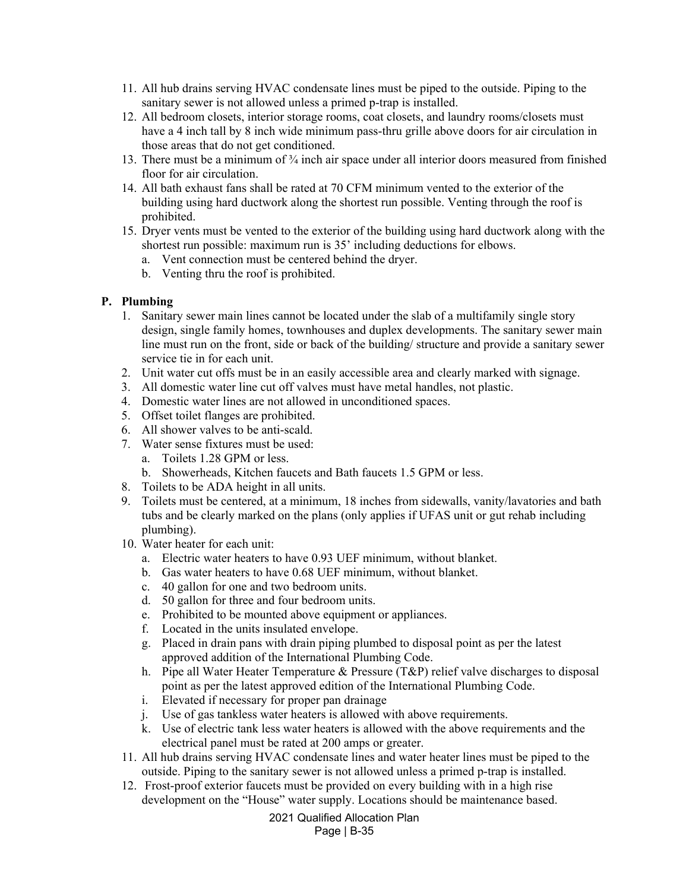- 11. All hub drains serving HVAC condensate lines must be piped to the outside. Piping to the sanitary sewer is not allowed unless a primed p-trap is installed.
- 12. All bedroom closets, interior storage rooms, coat closets, and laundry rooms/closets must have a 4 inch tall by 8 inch wide minimum pass-thru grille above doors for air circulation in those areas that do not get conditioned.
- 13. There must be a minimum of  $\frac{3}{4}$  inch air space under all interior doors measured from finished floor for air circulation.
- 14. All bath exhaust fans shall be rated at 70 CFM minimum vented to the exterior of the building using hard ductwork along the shortest run possible. Venting through the roof is prohibited.
- 15. Dryer vents must be vented to the exterior of the building using hard ductwork along with the shortest run possible: maximum run is 35' including deductions for elbows.
	- a. Vent connection must be centered behind the dryer.
	- b. Venting thru the roof is prohibited.

#### **P. Plumbing**

- 1. Sanitary sewer main lines cannot be located under the slab of a multifamily single story design, single family homes, townhouses and duplex developments. The sanitary sewer main line must run on the front, side or back of the building/ structure and provide a sanitary sewer service tie in for each unit.
- 2. Unit water cut offs must be in an easily accessible area and clearly marked with signage.
- 3. All domestic water line cut off valves must have metal handles, not plastic.
- 4. Domestic water lines are not allowed in unconditioned spaces.
- 5. Offset toilet flanges are prohibited.
- 6. All shower valves to be anti-scald.
- 7. Water sense fixtures must be used:
	- a. Toilets 1.28 GPM or less.
	- b. Showerheads, Kitchen faucets and Bath faucets 1.5 GPM or less.
- 8. Toilets to be ADA height in all units.
- 9. Toilets must be centered, at a minimum, 18 inches from sidewalls, vanity/lavatories and bath tubs and be clearly marked on the plans (only applies if UFAS unit or gut rehab including plumbing).
- 10. Water heater for each unit:
	- a. Electric water heaters to have 0.93 UEF minimum, without blanket.
	- b. Gas water heaters to have 0.68 UEF minimum, without blanket.
	- c. 40 gallon for one and two bedroom units.
	- d. 50 gallon for three and four bedroom units.
	- e. Prohibited to be mounted above equipment or appliances.
	- f. Located in the units insulated envelope.
	- g. Placed in drain pans with drain piping plumbed to disposal point as per the latest approved addition of the International Plumbing Code.
	- h. Pipe all Water Heater Temperature & Pressure (T&P) relief valve discharges to disposal point as per the latest approved edition of the International Plumbing Code.
	- i. Elevated if necessary for proper pan drainage
	- j. Use of gas tankless water heaters is allowed with above requirements.
	- k. Use of electric tank less water heaters is allowed with the above requirements and the electrical panel must be rated at 200 amps or greater.
- 11. All hub drains serving HVAC condensate lines and water heater lines must be piped to the outside. Piping to the sanitary sewer is not allowed unless a primed p-trap is installed.
- 12. Frost-proof exterior faucets must be provided on every building with in a high rise development on the "House" water supply. Locations should be maintenance based.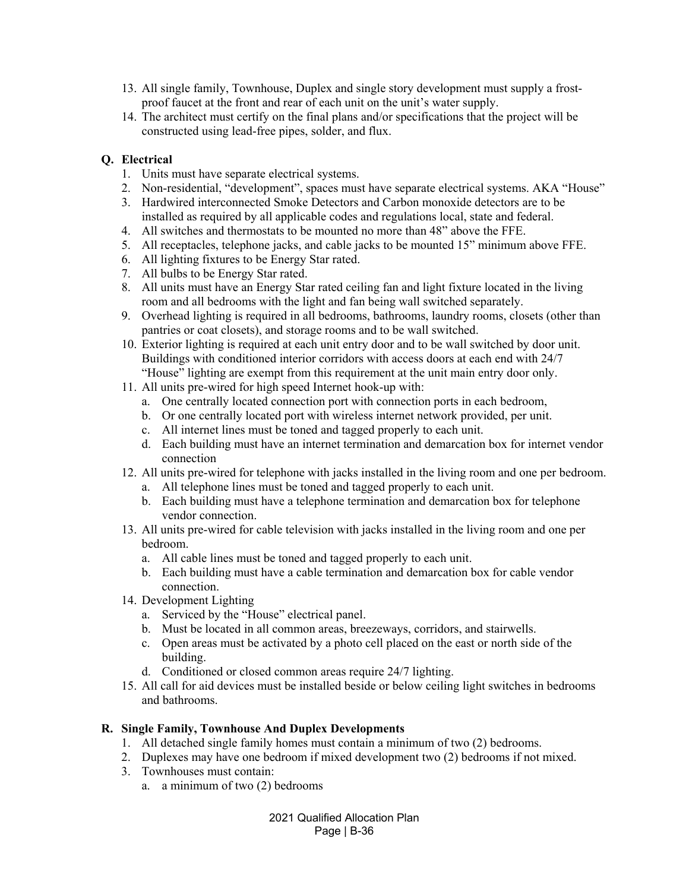- 13. All single family, Townhouse, Duplex and single story development must supply a frostproof faucet at the front and rear of each unit on the unit's water supply.
- 14. The architect must certify on the final plans and/or specifications that the project will be constructed using lead-free pipes, solder, and flux.

## **Q. Electrical**

- 1. Units must have separate electrical systems.
- 2. Non-residential, "development", spaces must have separate electrical systems. AKA "House"
- 3. Hardwired interconnected Smoke Detectors and Carbon monoxide detectors are to be installed as required by all applicable codes and regulations local, state and federal.
- 4. All switches and thermostats to be mounted no more than 48" above the FFE.
- 5. All receptacles, telephone jacks, and cable jacks to be mounted 15" minimum above FFE.
- 6. All lighting fixtures to be Energy Star rated.
- 7. All bulbs to be Energy Star rated.
- 8. All units must have an Energy Star rated ceiling fan and light fixture located in the living room and all bedrooms with the light and fan being wall switched separately.
- 9. Overhead lighting is required in all bedrooms, bathrooms, laundry rooms, closets (other than pantries or coat closets), and storage rooms and to be wall switched.
- 10. Exterior lighting is required at each unit entry door and to be wall switched by door unit. Buildings with conditioned interior corridors with access doors at each end with 24/7 "House" lighting are exempt from this requirement at the unit main entry door only.
- 11. All units pre-wired for high speed Internet hook-up with:
	- a. One centrally located connection port with connection ports in each bedroom,
	- b. Or one centrally located port with wireless internet network provided, per unit.
	- c. All internet lines must be toned and tagged properly to each unit.
	- d. Each building must have an internet termination and demarcation box for internet vendor connection
- 12. All units pre-wired for telephone with jacks installed in the living room and one per bedroom.
	- a. All telephone lines must be toned and tagged properly to each unit.
	- b. Each building must have a telephone termination and demarcation box for telephone vendor connection.
- 13. All units pre-wired for cable television with jacks installed in the living room and one per bedroom.
	- a. All cable lines must be toned and tagged properly to each unit.
	- b. Each building must have a cable termination and demarcation box for cable vendor connection.
- 14. Development Lighting
	- a. Serviced by the "House" electrical panel.
	- b. Must be located in all common areas, breezeways, corridors, and stairwells.
	- c. Open areas must be activated by a photo cell placed on the east or north side of the building.
	- d. Conditioned or closed common areas require 24/7 lighting.
- 15. All call for aid devices must be installed beside or below ceiling light switches in bedrooms and bathrooms.

## **R. Single Family, Townhouse And Duplex Developments**

- 1. All detached single family homes must contain a minimum of two (2) bedrooms.
- 2. Duplexes may have one bedroom if mixed development two (2) bedrooms if not mixed.
- 3. Townhouses must contain:
	- a. a minimum of two (2) bedrooms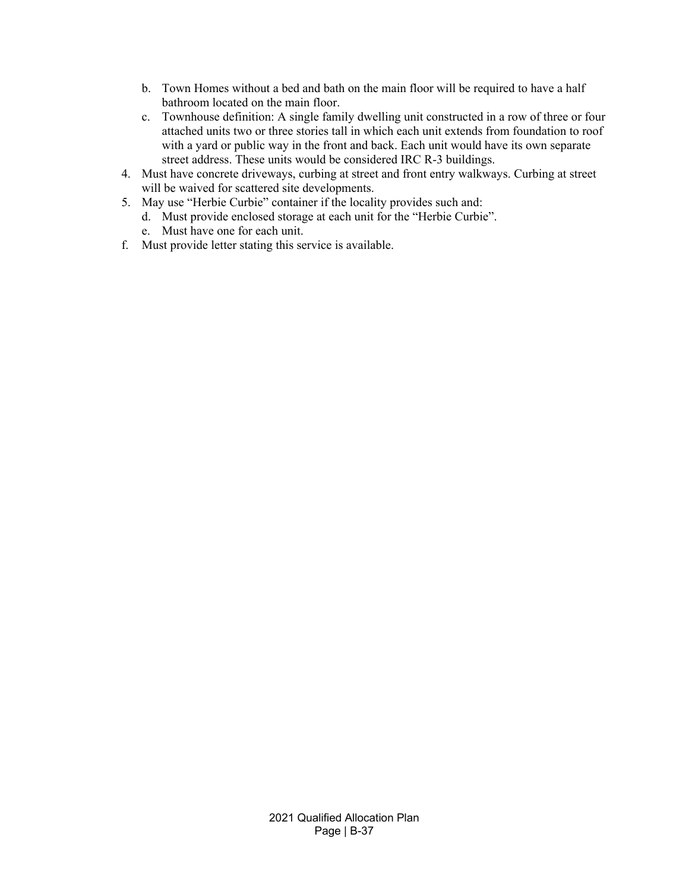- b. Town Homes without a bed and bath on the main floor will be required to have a half bathroom located on the main floor.
- c. Townhouse definition: A single family dwelling unit constructed in a row of three or four attached units two or three stories tall in which each unit extends from foundation to roof with a yard or public way in the front and back. Each unit would have its own separate street address. These units would be considered IRC R-3 buildings.
- 4. Must have concrete driveways, curbing at street and front entry walkways. Curbing at street will be waived for scattered site developments.
- 5. May use "Herbie Curbie" container if the locality provides such and:
	- d. Must provide enclosed storage at each unit for the "Herbie Curbie".
	- e. Must have one for each unit.
- f. Must provide letter stating this service is available.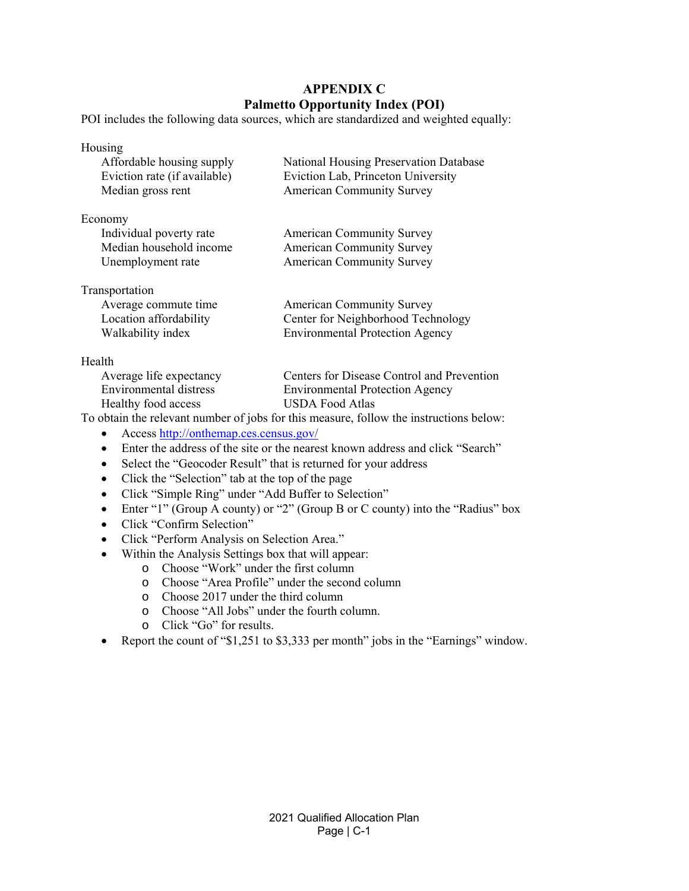# **APPENDIX C Palmetto Opportunity Index (POI)**

POI includes the following data sources, which are standardized and weighted equally:

| Housing<br>Affordable housing supply<br>Eviction rate (if available)<br>Median gross rent | <b>National Housing Preservation Database</b><br>Eviction Lab, Princeton University<br><b>American Community Survey</b> |
|-------------------------------------------------------------------------------------------|-------------------------------------------------------------------------------------------------------------------------|
| Economy<br>Individual poverty rate<br>Median household income<br>Unemployment rate        | <b>American Community Survey</b><br><b>American Community Survey</b><br><b>American Community Survey</b>                |
| Transportation<br>Average commute time<br>Location affordability<br>Walkability index     | <b>American Community Survey</b><br>Center for Neighborhood Technology<br><b>Environmental Protection Agency</b>        |
| Health                                                                                    |                                                                                                                         |

### Average life expectancy Centers for Disease Control and Prevention Environmental distress Environmental Protection Agency Healthy food access USDA Food Atlas

To obtain the relevant number of jobs for this measure, follow the instructions below:

- Access http://onthemap.ces.census.gov/
- Enter the address of the site or the nearest known address and click "Search"
- Select the "Geocoder Result" that is returned for your address
- Click the "Selection" tab at the top of the page
- Click "Simple Ring" under "Add Buffer to Selection"
- Enter "1" (Group A county) or "2" (Group B or C county) into the "Radius" box
- Click "Confirm Selection"
- Click "Perform Analysis on Selection Area."
- Within the Analysis Settings box that will appear:
	- o Choose "Work" under the first column
		- o Choose "Area Profile" under the second column
		- o Choose 2017 under the third column
		- o Choose "All Jobs" under the fourth column.
		- o Click "Go" for results.
- Report the count of "\$1,251 to \$3,333 per month" jobs in the "Earnings" window.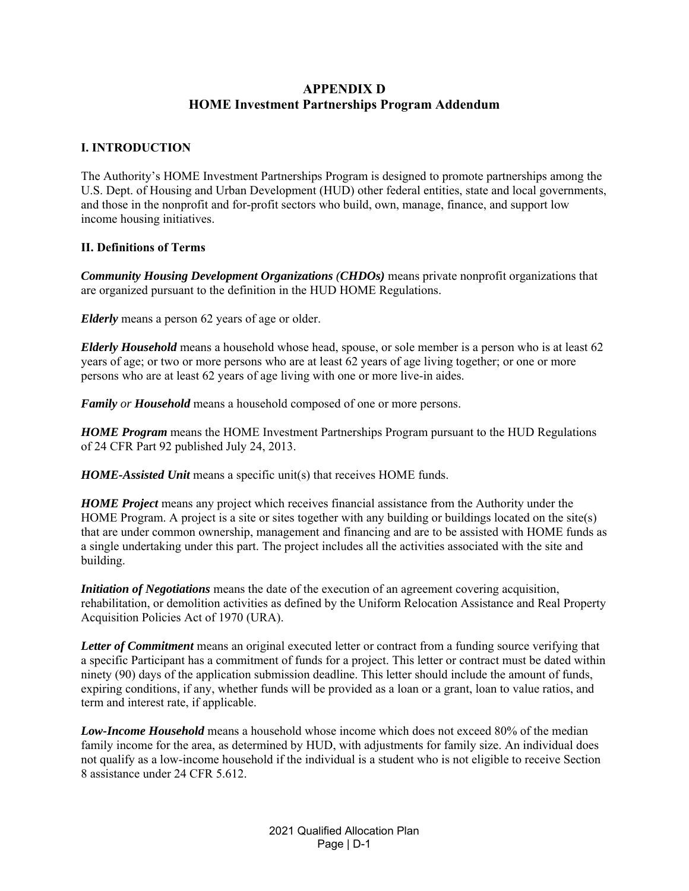# **APPENDIX D HOME Investment Partnerships Program Addendum**

## **I. INTRODUCTION**

The Authority's HOME Investment Partnerships Program is designed to promote partnerships among the U.S. Dept. of Housing and Urban Development (HUD) other federal entities, state and local governments, and those in the nonprofit and for-profit sectors who build, own, manage, finance, and support low income housing initiatives.

## **II. Definitions of Terms**

*Community Housing Development Organizations (CHDOs)* means private nonprofit organizations that are organized pursuant to the definition in the HUD HOME Regulations.

*Elderly* means a person 62 years of age or older.

*Elderly Household* means a household whose head, spouse, or sole member is a person who is at least 62 years of age; or two or more persons who are at least 62 years of age living together; or one or more persons who are at least 62 years of age living with one or more live-in aides.

*Family or Household* means a household composed of one or more persons.

*HOME Program* means the HOME Investment Partnerships Program pursuant to the HUD Regulations of 24 CFR Part 92 published July 24, 2013.

*HOME-Assisted Unit* means a specific unit(s) that receives HOME funds.

*HOME Project* means any project which receives financial assistance from the Authority under the HOME Program. A project is a site or sites together with any building or buildings located on the site(s) that are under common ownership, management and financing and are to be assisted with HOME funds as a single undertaking under this part. The project includes all the activities associated with the site and building.

*Initiation of Negotiations* means the date of the execution of an agreement covering acquisition, rehabilitation, or demolition activities as defined by the Uniform Relocation Assistance and Real Property Acquisition Policies Act of 1970 (URA).

*Letter of Commitment* means an original executed letter or contract from a funding source verifying that a specific Participant has a commitment of funds for a project. This letter or contract must be dated within ninety (90) days of the application submission deadline. This letter should include the amount of funds, expiring conditions, if any, whether funds will be provided as a loan or a grant, loan to value ratios, and term and interest rate, if applicable.

*Low-Income Household* means a household whose income which does not exceed 80% of the median family income for the area, as determined by HUD, with adjustments for family size. An individual does not qualify as a low-income household if the individual is a student who is not eligible to receive Section 8 assistance under 24 CFR 5.612.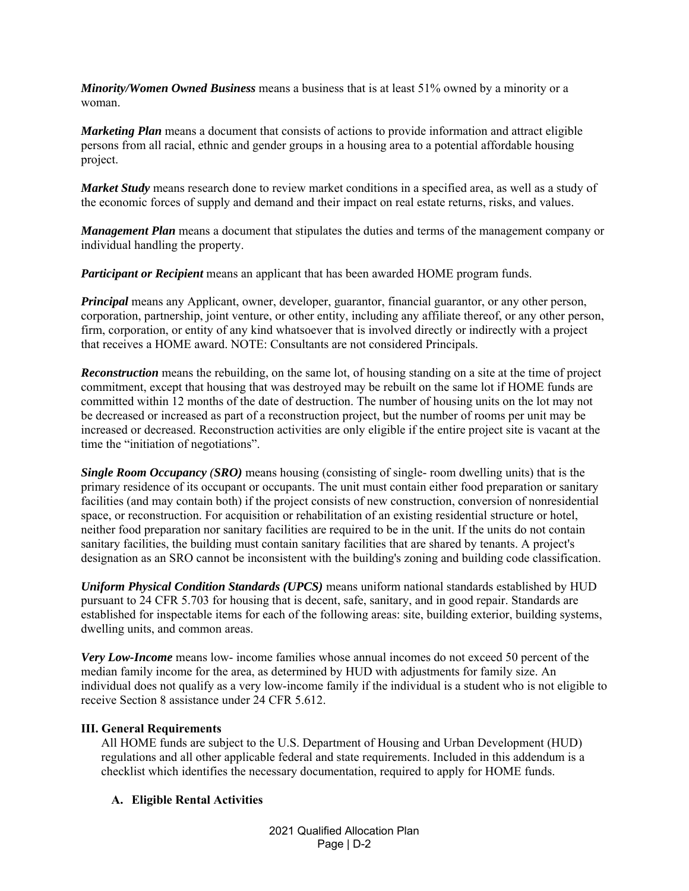*Minority/Women Owned Business* means a business that is at least 51% owned by a minority or a woman.

*Marketing Plan* means a document that consists of actions to provide information and attract eligible persons from all racial, ethnic and gender groups in a housing area to a potential affordable housing project.

*Market Study* means research done to review market conditions in a specified area, as well as a study of the economic forces of supply and demand and their impact on real estate returns, risks, and values.

*Management Plan* means a document that stipulates the duties and terms of the management company or individual handling the property.

*Participant or Recipient* means an applicant that has been awarded HOME program funds.

*Principal* means any Applicant, owner, developer, guarantor, financial guarantor, or any other person, corporation, partnership, joint venture, or other entity, including any affiliate thereof, or any other person, firm, corporation, or entity of any kind whatsoever that is involved directly or indirectly with a project that receives a HOME award. NOTE: Consultants are not considered Principals.

*Reconstruction* means the rebuilding, on the same lot, of housing standing on a site at the time of project commitment, except that housing that was destroyed may be rebuilt on the same lot if HOME funds are committed within 12 months of the date of destruction. The number of housing units on the lot may not be decreased or increased as part of a reconstruction project, but the number of rooms per unit may be increased or decreased. Reconstruction activities are only eligible if the entire project site is vacant at the time the "initiation of negotiations".

*Single Room Occupancy (SRO)* means housing (consisting of single- room dwelling units) that is the primary residence of its occupant or occupants. The unit must contain either food preparation or sanitary facilities (and may contain both) if the project consists of new construction, conversion of nonresidential space, or reconstruction. For acquisition or rehabilitation of an existing residential structure or hotel, neither food preparation nor sanitary facilities are required to be in the unit. If the units do not contain sanitary facilities, the building must contain sanitary facilities that are shared by tenants. A project's designation as an SRO cannot be inconsistent with the building's zoning and building code classification.

*Uniform Physical Condition Standards (UPCS)* means uniform national standards established by HUD pursuant to 24 CFR 5.703 for housing that is decent, safe, sanitary, and in good repair. Standards are established for inspectable items for each of the following areas: site, building exterior, building systems, dwelling units, and common areas.

*Very Low-Income* means low- income families whose annual incomes do not exceed 50 percent of the median family income for the area, as determined by HUD with adjustments for family size. An individual does not qualify as a very low-income family if the individual is a student who is not eligible to receive Section 8 assistance under 24 CFR 5.612.

## **III. General Requirements**

All HOME funds are subject to the U.S. Department of Housing and Urban Development (HUD) regulations and all other applicable federal and state requirements. Included in this addendum is a checklist which identifies the necessary documentation, required to apply for HOME funds.

## **A. Eligible Rental Activities**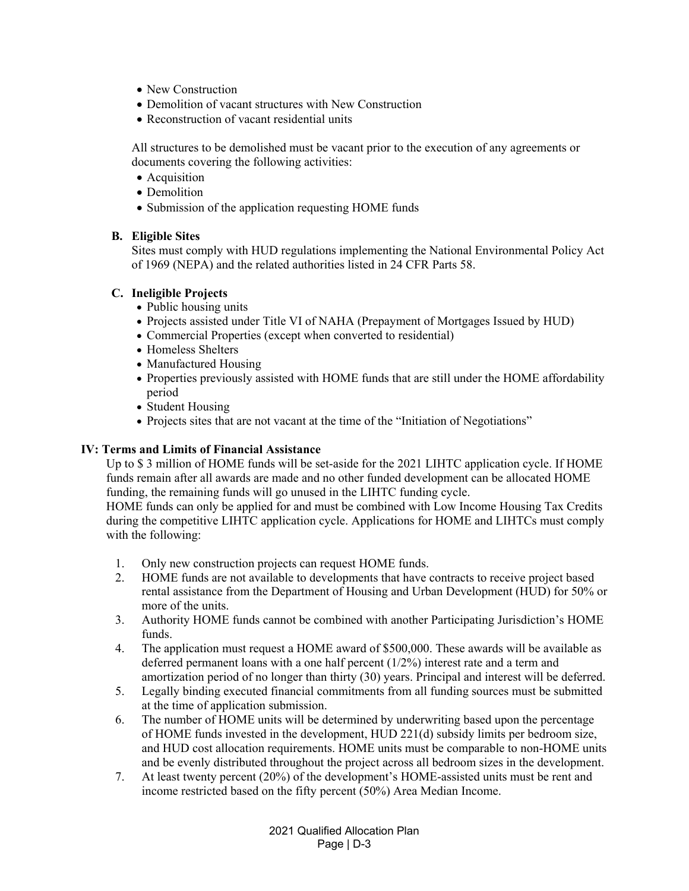- New Construction
- Demolition of vacant structures with New Construction
- Reconstruction of vacant residential units

All structures to be demolished must be vacant prior to the execution of any agreements or documents covering the following activities:

- Acquisition
- Demolition
- Submission of the application requesting HOME funds

#### **B. Eligible Sites**

Sites must comply with HUD regulations implementing the National Environmental Policy Act of 1969 (NEPA) and the related authorities listed in 24 CFR Parts 58.

### **C. Ineligible Projects**

- Public housing units
- Projects assisted under Title VI of NAHA (Prepayment of Mortgages Issued by HUD)
- Commercial Properties (except when converted to residential)
- Homeless Shelters
- Manufactured Housing
- Properties previously assisted with HOME funds that are still under the HOME affordability period
- Student Housing
- Projects sites that are not vacant at the time of the "Initiation of Negotiations"

### **IV: Terms and Limits of Financial Assistance**

Up to \$ 3 million of HOME funds will be set-aside for the 2021 LIHTC application cycle. If HOME funds remain after all awards are made and no other funded development can be allocated HOME funding, the remaining funds will go unused in the LIHTC funding cycle.

HOME funds can only be applied for and must be combined with Low Income Housing Tax Credits during the competitive LIHTC application cycle. Applications for HOME and LIHTCs must comply with the following:

- 1. Only new construction projects can request HOME funds.
- 2. HOME funds are not available to developments that have contracts to receive project based rental assistance from the Department of Housing and Urban Development (HUD) for 50% or more of the units.
- 3. Authority HOME funds cannot be combined with another Participating Jurisdiction's HOME funds.
- 4. The application must request a HOME award of \$500,000. These awards will be available as deferred permanent loans with a one half percent (1/2%) interest rate and a term and amortization period of no longer than thirty (30) years. Principal and interest will be deferred.
- 5. Legally binding executed financial commitments from all funding sources must be submitted at the time of application submission.
- 6. The number of HOME units will be determined by underwriting based upon the percentage of HOME funds invested in the development, HUD 221(d) subsidy limits per bedroom size, and HUD cost allocation requirements. HOME units must be comparable to non-HOME units and be evenly distributed throughout the project across all bedroom sizes in the development.
- 7. At least twenty percent (20%) of the development's HOME-assisted units must be rent and income restricted based on the fifty percent (50%) Area Median Income.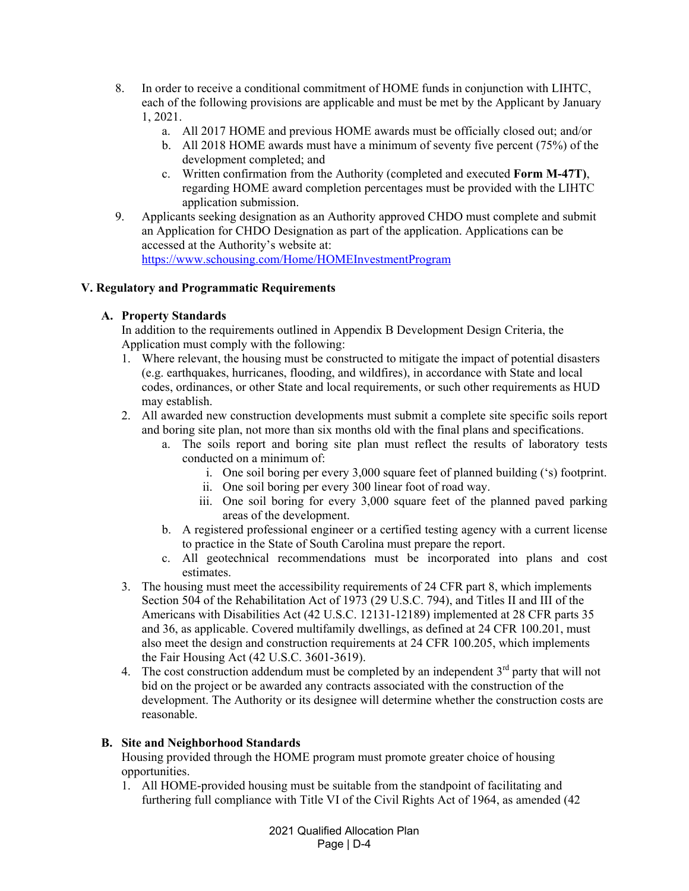- 8. In order to receive a conditional commitment of HOME funds in conjunction with LIHTC, each of the following provisions are applicable and must be met by the Applicant by January 1, 2021.
	- a. All 2017 HOME and previous HOME awards must be officially closed out; and/or
	- b. All 2018 HOME awards must have a minimum of seventy five percent (75%) of the development completed; and
	- c. Written confirmation from the Authority (completed and executed **Form M-47T)**, regarding HOME award completion percentages must be provided with the LIHTC application submission.
- 9. Applicants seeking designation as an Authority approved CHDO must complete and submit an Application for CHDO Designation as part of the application. Applications can be accessed at the Authority's website at: https://www.schousing.com/Home/HOMEInvestmentProgram

# **V. Regulatory and Programmatic Requirements**

# **A. Property Standards**

In addition to the requirements outlined in Appendix B Development Design Criteria, the Application must comply with the following:

- 1. Where relevant, the housing must be constructed to mitigate the impact of potential disasters (e.g. earthquakes, hurricanes, flooding, and wildfires), in accordance with State and local codes, ordinances, or other State and local requirements, or such other requirements as HUD may establish.
- 2. All awarded new construction developments must submit a complete site specific soils report and boring site plan, not more than six months old with the final plans and specifications.
	- a. The soils report and boring site plan must reflect the results of laboratory tests conducted on a minimum of:
		- i. One soil boring per every 3,000 square feet of planned building ('s) footprint.
		- ii. One soil boring per every 300 linear foot of road way.
		- iii. One soil boring for every 3,000 square feet of the planned paved parking areas of the development.
	- b. A registered professional engineer or a certified testing agency with a current license to practice in the State of South Carolina must prepare the report.
	- c. All geotechnical recommendations must be incorporated into plans and cost estimates.
- 3. The housing must meet the accessibility requirements of 24 CFR part 8, which implements Section 504 of the Rehabilitation Act of 1973 (29 U.S.C. 794), and Titles II and III of the Americans with Disabilities Act (42 U.S.C. 12131-12189) implemented at 28 CFR parts 35 and 36, as applicable. Covered multifamily dwellings, as defined at 24 CFR 100.201, must also meet the design and construction requirements at 24 CFR 100.205, which implements the Fair Housing Act (42 U.S.C. 3601-3619).
- 4. The cost construction addendum must be completed by an independent  $3<sup>rd</sup>$  party that will not bid on the project or be awarded any contracts associated with the construction of the development. The Authority or its designee will determine whether the construction costs are reasonable.

### **B. Site and Neighborhood Standards**

Housing provided through the HOME program must promote greater choice of housing opportunities.

1. All HOME-provided housing must be suitable from the standpoint of facilitating and furthering full compliance with Title VI of the Civil Rights Act of 1964, as amended (42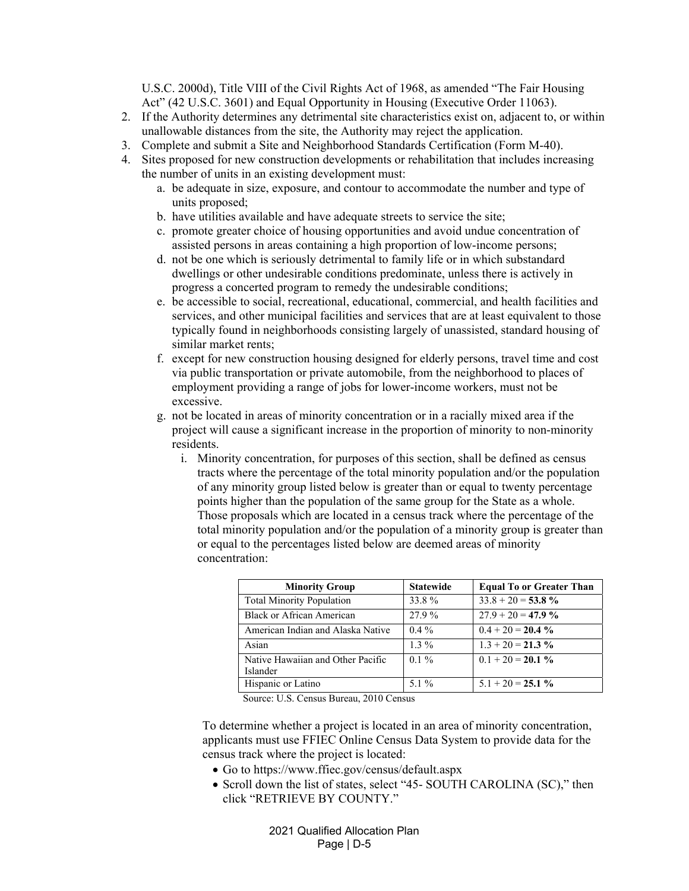U.S.C. 2000d), Title VIII of the Civil Rights Act of 1968, as amended "The Fair Housing Act" (42 U.S.C. 3601) and Equal Opportunity in Housing (Executive Order 11063).

- 2. If the Authority determines any detrimental site characteristics exist on, adjacent to, or within unallowable distances from the site, the Authority may reject the application.
- 3. Complete and submit a Site and Neighborhood Standards Certification (Form M-40).
- 4. Sites proposed for new construction developments or rehabilitation that includes increasing the number of units in an existing development must:
	- a. be adequate in size, exposure, and contour to accommodate the number and type of units proposed;
	- b. have utilities available and have adequate streets to service the site;
	- c. promote greater choice of housing opportunities and avoid undue concentration of assisted persons in areas containing a high proportion of low-income persons;
	- d. not be one which is seriously detrimental to family life or in which substandard dwellings or other undesirable conditions predominate, unless there is actively in progress a concerted program to remedy the undesirable conditions;
	- e. be accessible to social, recreational, educational, commercial, and health facilities and services, and other municipal facilities and services that are at least equivalent to those typically found in neighborhoods consisting largely of unassisted, standard housing of similar market rents;
	- f. except for new construction housing designed for elderly persons, travel time and cost via public transportation or private automobile, from the neighborhood to places of employment providing a range of jobs for lower-income workers, must not be excessive.
	- g. not be located in areas of minority concentration or in a racially mixed area if the project will cause a significant increase in the proportion of minority to non-minority residents.
		- i. Minority concentration, for purposes of this section, shall be defined as census tracts where the percentage of the total minority population and/or the population of any minority group listed below is greater than or equal to twenty percentage points higher than the population of the same group for the State as a whole. Those proposals which are located in a census track where the percentage of the total minority population and/or the population of a minority group is greater than or equal to the percentages listed below are deemed areas of minority concentration:

| <b>Minority Group</b>                         | <b>Statewide</b> | <b>Equal To or Greater Than</b> |
|-----------------------------------------------|------------------|---------------------------------|
| <b>Total Minority Population</b>              | 33.8%            | $33.8 + 20 = 53.8 \%$           |
| Black or African American                     | 27.9 %           | $27.9 + 20 = 47.9 \%$           |
| American Indian and Alaska Native             | $0.4\%$          | $0.4 + 20 = 20.4 \%$            |
| Asian                                         | $1.3\%$          | $1.3 + 20 = 21.3 \%$            |
| Native Hawaiian and Other Pacific<br>Islander | $0.1\%$          | $0.1 + 20 = 20.1 \%$            |
| Hispanic or Latino                            | $5.1\%$          | $5.1 + 20 = 25.1 \%$            |

Source: U.S. Census Bureau, 2010 Census

To determine whether a project is located in an area of minority concentration, applicants must use FFIEC Online Census Data System to provide data for the census track where the project is located:

- Go to https://www.ffiec.gov/census/default.aspx
- Scroll down the list of states, select "45- SOUTH CAROLINA (SC)," then click "RETRIEVE BY COUNTY."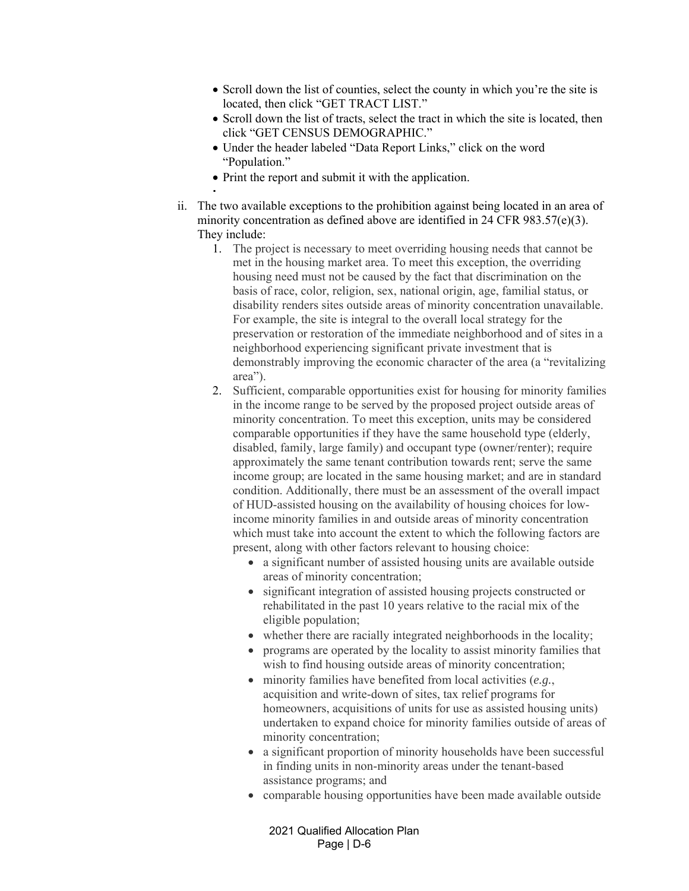- Scroll down the list of counties, select the county in which you're the site is located, then click "GET TRACT LIST."
- Scroll down the list of tracts, select the tract in which the site is located, then click "GET CENSUS DEMOGRAPHIC."
- Under the header labeled "Data Report Links," click on the word "Population."
- Print the report and submit it with the application.

 $\mathcal{L}_{\rm{max}}$ 

- ii. The two available exceptions to the prohibition against being located in an area of minority concentration as defined above are identified in 24 CFR 983.57(e)(3). They include:
	- 1. The project is necessary to meet overriding housing needs that cannot be met in the housing market area. To meet this exception, the overriding housing need must not be caused by the fact that discrimination on the basis of race, color, religion, sex, national origin, age, familial status, or disability renders sites outside areas of minority concentration unavailable. For example, the site is integral to the overall local strategy for the preservation or restoration of the immediate neighborhood and of sites in a neighborhood experiencing significant private investment that is demonstrably improving the economic character of the area (a "revitalizing area").
	- 2. Sufficient, comparable opportunities exist for housing for minority families in the income range to be served by the proposed project outside areas of minority concentration. To meet this exception, units may be considered comparable opportunities if they have the same household type (elderly, disabled, family, large family) and occupant type (owner/renter); require approximately the same tenant contribution towards rent; serve the same income group; are located in the same housing market; and are in standard condition. Additionally, there must be an assessment of the overall impact of HUD-assisted housing on the availability of housing choices for lowincome minority families in and outside areas of minority concentration which must take into account the extent to which the following factors are present, along with other factors relevant to housing choice:
		- a significant number of assisted housing units are available outside areas of minority concentration;
		- significant integration of assisted housing projects constructed or rehabilitated in the past 10 years relative to the racial mix of the eligible population;
		- whether there are racially integrated neighborhoods in the locality;
		- programs are operated by the locality to assist minority families that wish to find housing outside areas of minority concentration;
		- minority families have benefited from local activities (*e.g.*, acquisition and write-down of sites, tax relief programs for homeowners, acquisitions of units for use as assisted housing units) undertaken to expand choice for minority families outside of areas of minority concentration;
		- a significant proportion of minority households have been successful in finding units in non-minority areas under the tenant-based assistance programs; and
		- comparable housing opportunities have been made available outside

2021 Qualified Allocation Plan Page | D-6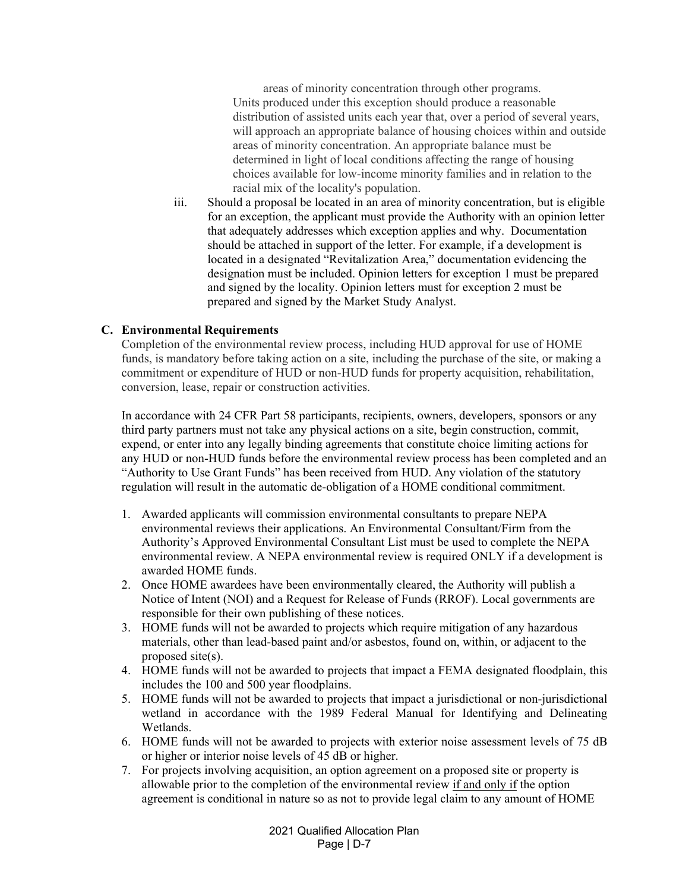areas of minority concentration through other programs. Units produced under this exception should produce a reasonable distribution of assisted units each year that, over a period of several years, will approach an appropriate balance of housing choices within and outside areas of minority concentration. An appropriate balance must be determined in light of local conditions affecting the range of housing choices available for low-income minority families and in relation to the racial mix of the locality's population.

iii. Should a proposal be located in an area of minority concentration, but is eligible for an exception, the applicant must provide the Authority with an opinion letter that adequately addresses which exception applies and why. Documentation should be attached in support of the letter. For example, if a development is located in a designated "Revitalization Area," documentation evidencing the designation must be included. Opinion letters for exception 1 must be prepared and signed by the locality. Opinion letters must for exception 2 must be prepared and signed by the Market Study Analyst.

# **C. Environmental Requirements**

Completion of the environmental review process, including HUD approval for use of HOME funds, is mandatory before taking action on a site, including the purchase of the site, or making a commitment or expenditure of HUD or non-HUD funds for property acquisition, rehabilitation, conversion, lease, repair or construction activities.

In accordance with 24 CFR Part 58 participants, recipients, owners, developers, sponsors or any third party partners must not take any physical actions on a site, begin construction, commit, expend, or enter into any legally binding agreements that constitute choice limiting actions for any HUD or non-HUD funds before the environmental review process has been completed and an "Authority to Use Grant Funds" has been received from HUD. Any violation of the statutory regulation will result in the automatic de-obligation of a HOME conditional commitment.

- 1. Awarded applicants will commission environmental consultants to prepare NEPA environmental reviews their applications. An Environmental Consultant/Firm from the Authority's Approved Environmental Consultant List must be used to complete the NEPA environmental review. A NEPA environmental review is required ONLY if a development is awarded HOME funds.
- 2. Once HOME awardees have been environmentally cleared, the Authority will publish a Notice of Intent (NOI) and a Request for Release of Funds (RROF). Local governments are responsible for their own publishing of these notices.
- 3. HOME funds will not be awarded to projects which require mitigation of any hazardous materials, other than lead-based paint and/or asbestos, found on, within, or adjacent to the proposed site(s).
- 4. HOME funds will not be awarded to projects that impact a FEMA designated floodplain, this includes the 100 and 500 year floodplains.
- 5. HOME funds will not be awarded to projects that impact a jurisdictional or non-jurisdictional wetland in accordance with the 1989 Federal Manual for Identifying and Delineating Wetlands.
- 6. HOME funds will not be awarded to projects with exterior noise assessment levels of 75 dB or higher or interior noise levels of 45 dB or higher.
- 7. For projects involving acquisition, an option agreement on a proposed site or property is allowable prior to the completion of the environmental review if and only if the option agreement is conditional in nature so as not to provide legal claim to any amount of HOME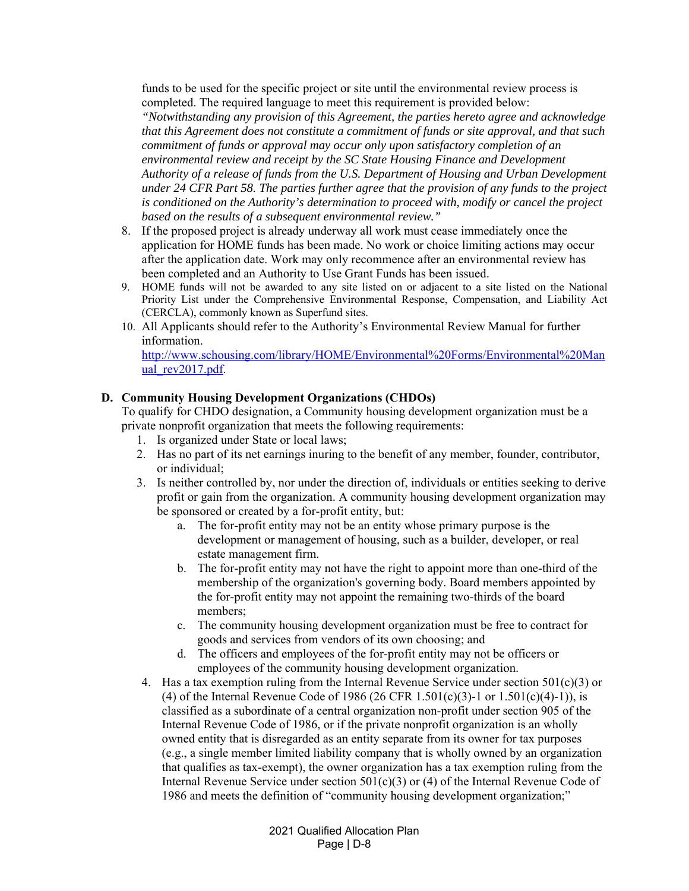funds to be used for the specific project or site until the environmental review process is completed. The required language to meet this requirement is provided below:

*"Notwithstanding any provision of this Agreement, the parties hereto agree and acknowledge that this Agreement does not constitute a commitment of funds or site approval, and that such commitment of funds or approval may occur only upon satisfactory completion of an environmental review and receipt by the SC State Housing Finance and Development Authority of a release of funds from the U.S. Department of Housing and Urban Development under 24 CFR Part 58. The parties further agree that the provision of any funds to the project is conditioned on the Authority's determination to proceed with, modify or cancel the project based on the results of a subsequent environmental review."* 

- 8. If the proposed project is already underway all work must cease immediately once the application for HOME funds has been made. No work or choice limiting actions may occur after the application date. Work may only recommence after an environmental review has been completed and an Authority to Use Grant Funds has been issued.
- 9. HOME funds will not be awarded to any site listed on or adjacent to a site listed on the National Priority List under the Comprehensive Environmental Response, Compensation, and Liability Act (CERCLA), commonly known as Superfund sites.
- 10. All Applicants should refer to the Authority's Environmental Review Manual for further information.

http://www.schousing.com/library/HOME/Environmental%20Forms/Environmental%20Man ual\_rev2017.pdf.

#### **D. Community Housing Development Organizations (CHDOs)**

To qualify for CHDO designation, a Community housing development organization must be a private nonprofit organization that meets the following requirements:

- 1. Is organized under State or local laws;
- 2. Has no part of its net earnings inuring to the benefit of any member, founder, contributor, or individual;
- 3. Is neither controlled by, nor under the direction of, individuals or entities seeking to derive profit or gain from the organization. A community housing development organization may be sponsored or created by a for-profit entity, but:
	- a. The for-profit entity may not be an entity whose primary purpose is the development or management of housing, such as a builder, developer, or real estate management firm.
	- b. The for-profit entity may not have the right to appoint more than one-third of the membership of the organization's governing body. Board members appointed by the for-profit entity may not appoint the remaining two-thirds of the board members;
	- c. The community housing development organization must be free to contract for goods and services from vendors of its own choosing; and
	- d. The officers and employees of the for-profit entity may not be officers or employees of the community housing development organization.
- 4. Has a tax exemption ruling from the Internal Revenue Service under section  $501(c)(3)$  or (4) of the Internal Revenue Code of 1986 (26 CFR 1.501(c)(3)-1 or 1.501(c)(4)-1)), is classified as a subordinate of a central organization non-profit under section 905 of the Internal Revenue Code of 1986, or if the private nonprofit organization is an wholly owned entity that is disregarded as an entity separate from its owner for tax purposes (e.g., a single member limited liability company that is wholly owned by an organization that qualifies as tax-exempt), the owner organization has a tax exemption ruling from the Internal Revenue Service under section  $501(c)(3)$  or (4) of the Internal Revenue Code of 1986 and meets the definition of "community housing development organization;"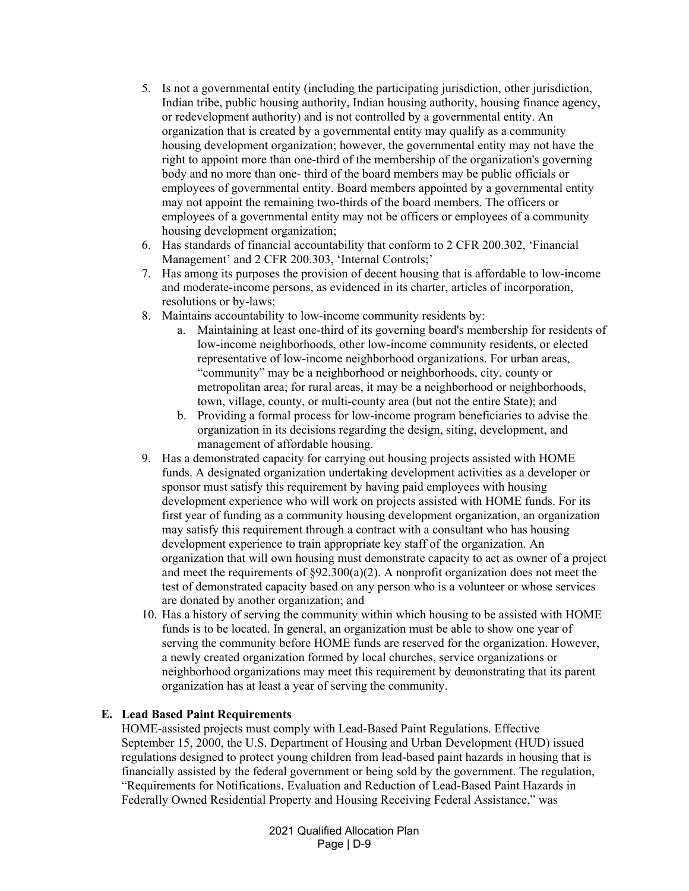- 5. Is not a governmental entity (including the participating jurisdiction, other jurisdiction, Indian tribe, public housing authority, Indian housing authority, housing finance agency, or redevelopment authority) and is not controlled by a governmental entity. An organization that is created by a governmental entity may qualify as a community housing development organization; however, the governmental entity may not have the right to appoint more than one-third of the membership of the organization's governing body and no more than one- third of the board members may be public officials or employees of governmental entity. Board members appointed by a governmental entity may not appoint the remaining two-thirds of the board members. The officers or employees of a governmental entity may not be officers or employees of a community housing development organization;
- 6. Has standards of financial accountability that conform to 2 CFR 200.302, 'Financial Management' and 2 CFR 200.303, 'Internal Controls;'
- 7. Has among its purposes the provision of decent housing that is affordable to low-income and moderate-income persons, as evidenced in its charter, articles of incorporation, resolutions or by-laws;
- 8. Maintains accountability to low-income community residents by:
	- a. Maintaining at least one-third of its governing board's membership for residents of low-income neighborhoods, other low-income community residents, or elected representative of low-income neighborhood organizations. For urban areas, "community" may be a neighborhood or neighborhoods, city, county or metropolitan area; for rural areas, it may be a neighborhood or neighborhoods, town, village, county, or multi-county area (but not the entire State); and
	- b. Providing a formal process for low-income program beneficiaries to advise the organization in its decisions regarding the design, siting, development, and management of affordable housing.
- 9. Has a demonstrated capacity for carrying out housing projects assisted with HOME funds. A designated organization undertaking development activities as a developer or sponsor must satisfy this requirement by having paid employees with housing development experience who will work on projects assisted with HOME funds. For its first year of funding as a community housing development organization, an organization may satisfy this requirement through a contract with a consultant who has housing development experience to train appropriate key staff of the organization. An organization that will own housing must demonstrate capacity to act as owner of a project and meet the requirements of  $\S 92.300(a)(2)$ . A nonprofit organization does not meet the test of demonstrated capacity based on any person who is a volunteer or whose services are donated by another organization; and
- 10. Has a history of serving the community within which housing to be assisted with HOME funds is to be located. In general, an organization must be able to show one year of serving the community before HOME funds are reserved for the organization. However, a newly created organization formed by local churches, service organizations or neighborhood organizations may meet this requirement by demonstrating that its parent organization has at least a year of serving the community.

# **E. Lead Based Paint Requirements**

HOME-assisted projects must comply with Lead-Based Paint Regulations. Effective September 15, 2000, the U.S. Department of Housing and Urban Development (HUD) issued regulations designed to protect young children from lead-based paint hazards in housing that is financially assisted by the federal government or being sold by the government. The regulation, "Requirements for Notifications, Evaluation and Reduction of Lead-Based Paint Hazards in Federally Owned Residential Property and Housing Receiving Federal Assistance," was

> 2021 Qualified Allocation Plan Page | D-9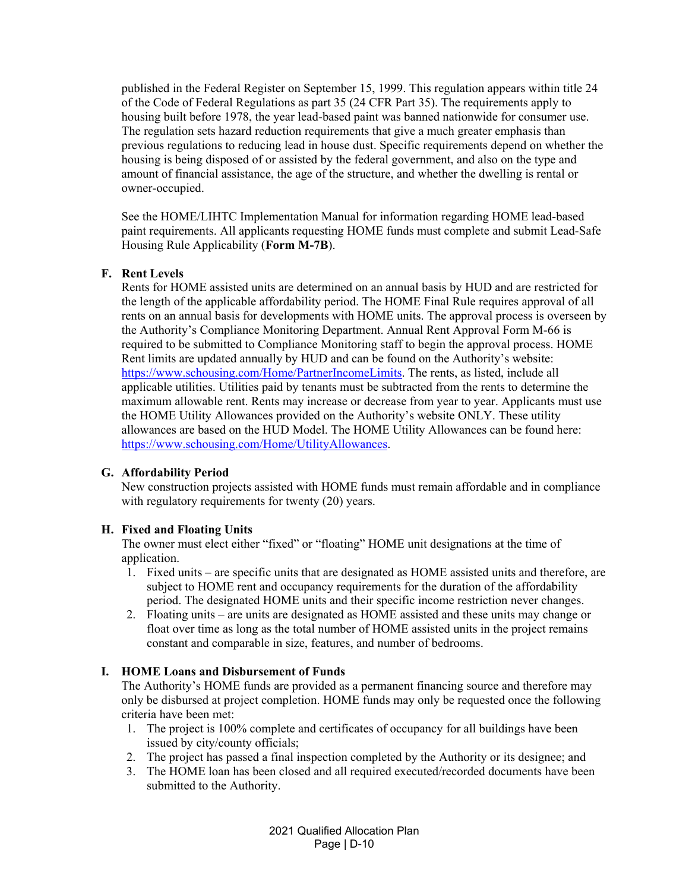published in the Federal Register on September 15, 1999. This regulation appears within title 24 of the Code of Federal Regulations as part 35 (24 CFR Part 35). The requirements apply to housing built before 1978, the year lead-based paint was banned nationwide for consumer use. The regulation sets hazard reduction requirements that give a much greater emphasis than previous regulations to reducing lead in house dust. Specific requirements depend on whether the housing is being disposed of or assisted by the federal government, and also on the type and amount of financial assistance, the age of the structure, and whether the dwelling is rental or owner-occupied.

See the HOME/LIHTC Implementation Manual for information regarding HOME lead-based paint requirements. All applicants requesting HOME funds must complete and submit Lead-Safe Housing Rule Applicability (**Form M-7B**).

# **F. Rent Levels**

Rents for HOME assisted units are determined on an annual basis by HUD and are restricted for the length of the applicable affordability period. The HOME Final Rule requires approval of all rents on an annual basis for developments with HOME units. The approval process is overseen by the Authority's Compliance Monitoring Department. Annual Rent Approval Form M-66 is required to be submitted to Compliance Monitoring staff to begin the approval process. HOME Rent limits are updated annually by HUD and can be found on the Authority's website: https://www.schousing.com/Home/PartnerIncomeLimits. The rents, as listed, include all applicable utilities. Utilities paid by tenants must be subtracted from the rents to determine the maximum allowable rent. Rents may increase or decrease from year to year. Applicants must use the HOME Utility Allowances provided on the Authority's website ONLY. These utility allowances are based on the HUD Model. The HOME Utility Allowances can be found here: https://www.schousing.com/Home/UtilityAllowances.

### **G. Affordability Period**

New construction projects assisted with HOME funds must remain affordable and in compliance with regulatory requirements for twenty (20) years.

### **H. Fixed and Floating Units**

The owner must elect either "fixed" or "floating" HOME unit designations at the time of application.

- 1. Fixed units are specific units that are designated as HOME assisted units and therefore, are subject to HOME rent and occupancy requirements for the duration of the affordability period. The designated HOME units and their specific income restriction never changes.
- 2. Floating units are units are designated as HOME assisted and these units may change or float over time as long as the total number of HOME assisted units in the project remains constant and comparable in size, features, and number of bedrooms.

### **I. HOME Loans and Disbursement of Funds**

The Authority's HOME funds are provided as a permanent financing source and therefore may only be disbursed at project completion. HOME funds may only be requested once the following criteria have been met:

- 1. The project is 100% complete and certificates of occupancy for all buildings have been issued by city/county officials;
- 2. The project has passed a final inspection completed by the Authority or its designee; and
- 3. The HOME loan has been closed and all required executed/recorded documents have been submitted to the Authority.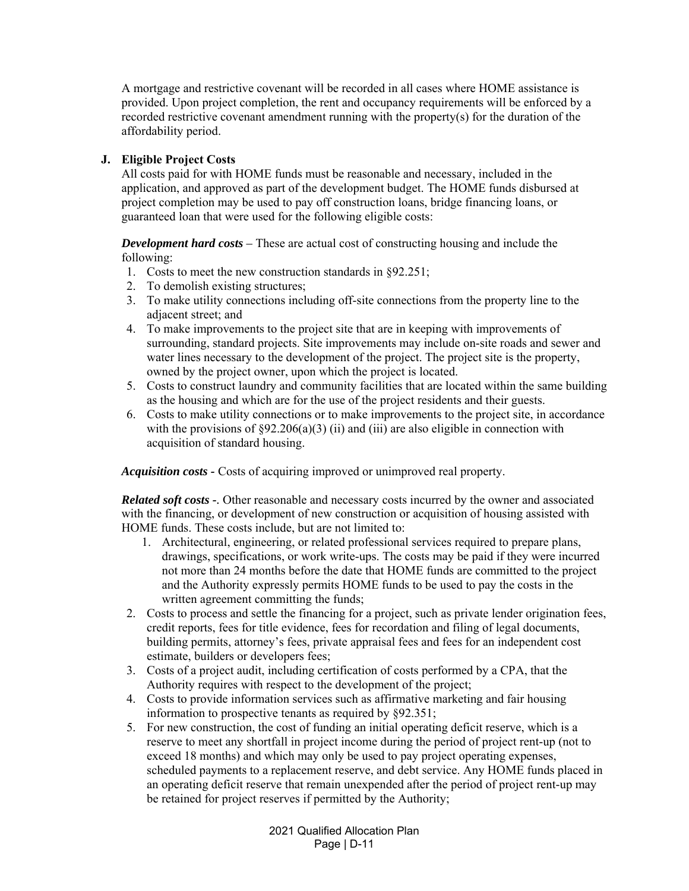A mortgage and restrictive covenant will be recorded in all cases where HOME assistance is provided. Upon project completion, the rent and occupancy requirements will be enforced by a recorded restrictive covenant amendment running with the property(s) for the duration of the affordability period.

# **J. Eligible Project Costs**

All costs paid for with HOME funds must be reasonable and necessary, included in the application, and approved as part of the development budget. The HOME funds disbursed at project completion may be used to pay off construction loans, bridge financing loans, or guaranteed loan that were used for the following eligible costs:

*Development hard costs –* These are actual cost of constructing housing and include the following:

- 1. Costs to meet the new construction standards in §92.251;
- 2. To demolish existing structures;
- 3. To make utility connections including off-site connections from the property line to the adjacent street; and
- 4. To make improvements to the project site that are in keeping with improvements of surrounding, standard projects. Site improvements may include on-site roads and sewer and water lines necessary to the development of the project. The project site is the property, owned by the project owner, upon which the project is located.
- 5. Costs to construct laundry and community facilities that are located within the same building as the housing and which are for the use of the project residents and their guests.
- 6. Costs to make utility connections or to make improvements to the project site, in accordance with the provisions of  $\S92.206(a)(3)$  (ii) and (iii) are also eligible in connection with acquisition of standard housing.

*Acquisition costs -* Costs of acquiring improved or unimproved real property.

*Related soft costs -.* Other reasonable and necessary costs incurred by the owner and associated with the financing, or development of new construction or acquisition of housing assisted with HOME funds. These costs include, but are not limited to:

- 1. Architectural, engineering, or related professional services required to prepare plans, drawings, specifications, or work write-ups. The costs may be paid if they were incurred not more than 24 months before the date that HOME funds are committed to the project and the Authority expressly permits HOME funds to be used to pay the costs in the written agreement committing the funds;
- 2. Costs to process and settle the financing for a project, such as private lender origination fees, credit reports, fees for title evidence, fees for recordation and filing of legal documents, building permits, attorney's fees, private appraisal fees and fees for an independent cost estimate, builders or developers fees;
- 3. Costs of a project audit, including certification of costs performed by a CPA, that the Authority requires with respect to the development of the project;
- 4. Costs to provide information services such as affirmative marketing and fair housing information to prospective tenants as required by §92.351;
- 5. For new construction, the cost of funding an initial operating deficit reserve, which is a reserve to meet any shortfall in project income during the period of project rent-up (not to exceed 18 months) and which may only be used to pay project operating expenses, scheduled payments to a replacement reserve, and debt service. Any HOME funds placed in an operating deficit reserve that remain unexpended after the period of project rent-up may be retained for project reserves if permitted by the Authority;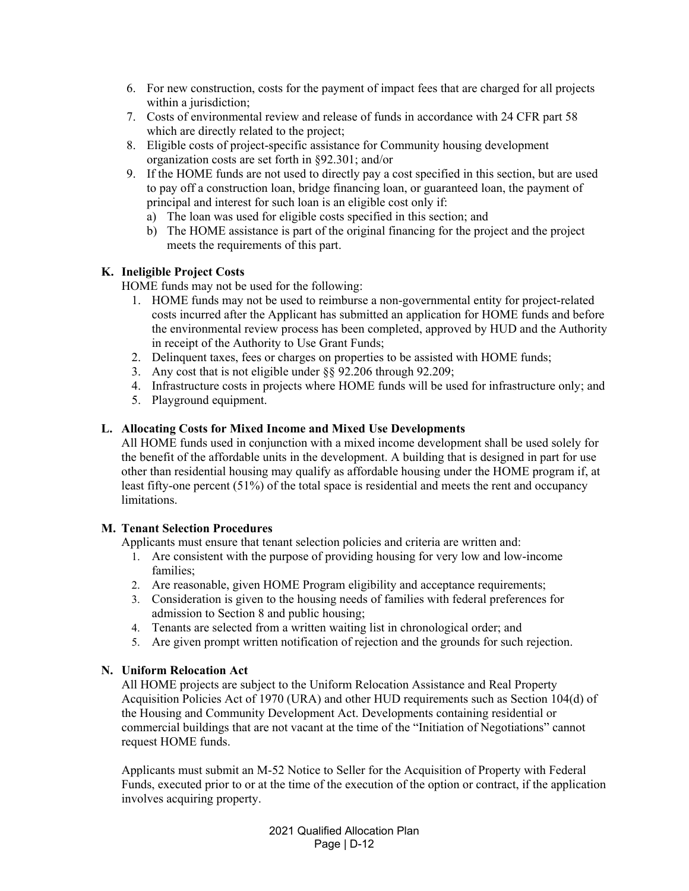- 6. For new construction, costs for the payment of impact fees that are charged for all projects within a jurisdiction;
- 7. Costs of environmental review and release of funds in accordance with 24 CFR part 58 which are directly related to the project;
- 8. Eligible costs of project-specific assistance for Community housing development organization costs are set forth in §92.301; and/or
- 9. If the HOME funds are not used to directly pay a cost specified in this section, but are used to pay off a construction loan, bridge financing loan, or guaranteed loan, the payment of principal and interest for such loan is an eligible cost only if:
	- a) The loan was used for eligible costs specified in this section; and
	- b) The HOME assistance is part of the original financing for the project and the project meets the requirements of this part.

# **K. Ineligible Project Costs**

HOME funds may not be used for the following:

- 1. HOME funds may not be used to reimburse a non-governmental entity for project-related costs incurred after the Applicant has submitted an application for HOME funds and before the environmental review process has been completed, approved by HUD and the Authority in receipt of the Authority to Use Grant Funds;
- 2. Delinquent taxes, fees or charges on properties to be assisted with HOME funds;
- 3. Any cost that is not eligible under §§ 92.206 through 92.209;
- 4. Infrastructure costs in projects where HOME funds will be used for infrastructure only; and
- 5. Playground equipment.

# **L. Allocating Costs for Mixed Income and Mixed Use Developments**

All HOME funds used in conjunction with a mixed income development shall be used solely for the benefit of the affordable units in the development. A building that is designed in part for use other than residential housing may qualify as affordable housing under the HOME program if, at least fifty-one percent (51%) of the total space is residential and meets the rent and occupancy limitations.

### **M. Tenant Selection Procedures**

Applicants must ensure that tenant selection policies and criteria are written and:

- 1. Are consistent with the purpose of providing housing for very low and low-income families;
- 2. Are reasonable, given HOME Program eligibility and acceptance requirements;
- 3. Consideration is given to the housing needs of families with federal preferences for admission to Section 8 and public housing;
- 4. Tenants are selected from a written waiting list in chronological order; and
- 5. Are given prompt written notification of rejection and the grounds for such rejection.

### **N. Uniform Relocation Act**

All HOME projects are subject to the Uniform Relocation Assistance and Real Property Acquisition Policies Act of 1970 (URA) and other HUD requirements such as Section 104(d) of the Housing and Community Development Act. Developments containing residential or commercial buildings that are not vacant at the time of the "Initiation of Negotiations" cannot request HOME funds.

Applicants must submit an M-52 Notice to Seller for the Acquisition of Property with Federal Funds, executed prior to or at the time of the execution of the option or contract, if the application involves acquiring property.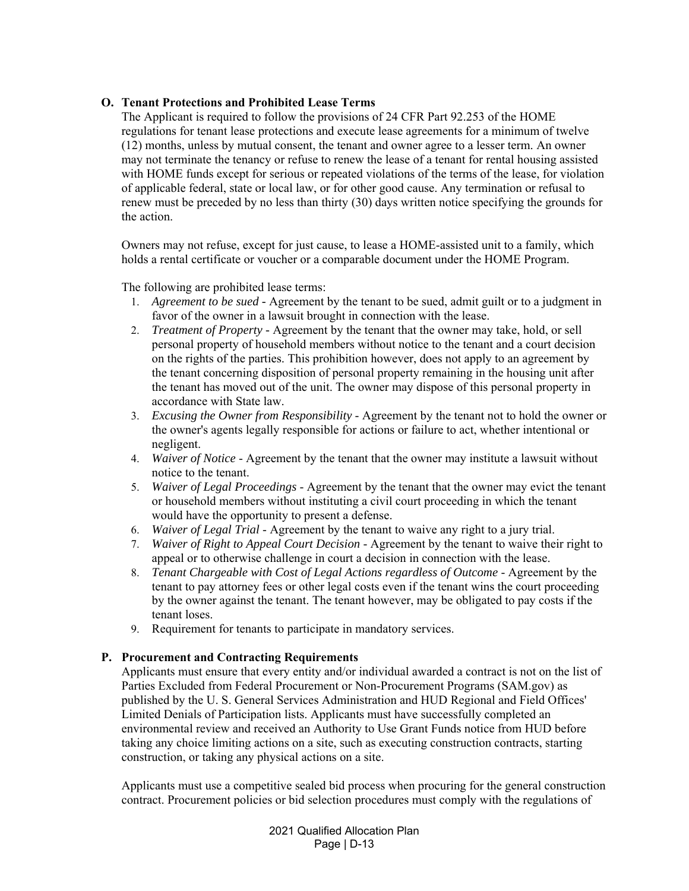# **O. Tenant Protections and Prohibited Lease Terms**

The Applicant is required to follow the provisions of 24 CFR Part 92.253 of the HOME regulations for tenant lease protections and execute lease agreements for a minimum of twelve (12) months, unless by mutual consent, the tenant and owner agree to a lesser term. An owner may not terminate the tenancy or refuse to renew the lease of a tenant for rental housing assisted with HOME funds except for serious or repeated violations of the terms of the lease, for violation of applicable federal, state or local law, or for other good cause. Any termination or refusal to renew must be preceded by no less than thirty (30) days written notice specifying the grounds for the action.

Owners may not refuse, except for just cause, to lease a HOME-assisted unit to a family, which holds a rental certificate or voucher or a comparable document under the HOME Program.

The following are prohibited lease terms:

- 1. *Agreement to be sued -* Agreement by the tenant to be sued, admit guilt or to a judgment in favor of the owner in a lawsuit brought in connection with the lease.
- 2. *Treatment of Property -* Agreement by the tenant that the owner may take, hold, or sell personal property of household members without notice to the tenant and a court decision on the rights of the parties. This prohibition however, does not apply to an agreement by the tenant concerning disposition of personal property remaining in the housing unit after the tenant has moved out of the unit. The owner may dispose of this personal property in accordance with State law.
- 3. *Excusing the Owner from Responsibility* Agreement by the tenant not to hold the owner or the owner's agents legally responsible for actions or failure to act, whether intentional or negligent.
- 4. *Waiver of Notice* Agreement by the tenant that the owner may institute a lawsuit without notice to the tenant.
- 5. *Waiver of Legal Proceedings* Agreement by the tenant that the owner may evict the tenant or household members without instituting a civil court proceeding in which the tenant would have the opportunity to present a defense.
- 6. *Waiver of Legal Trial* Agreement by the tenant to waive any right to a jury trial.
- 7. *Waiver of Right to Appeal Court Decision* Agreement by the tenant to waive their right to appeal or to otherwise challenge in court a decision in connection with the lease.
- 8. *Tenant Chargeable with Cost of Legal Actions regardless of Outcome* Agreement by the tenant to pay attorney fees or other legal costs even if the tenant wins the court proceeding by the owner against the tenant. The tenant however, may be obligated to pay costs if the tenant loses.
- 9. Requirement for tenants to participate in mandatory services.

### **P. Procurement and Contracting Requirements**

Applicants must ensure that every entity and/or individual awarded a contract is not on the list of Parties Excluded from Federal Procurement or Non-Procurement Programs (SAM.gov) as published by the U. S. General Services Administration and HUD Regional and Field Offices' Limited Denials of Participation lists. Applicants must have successfully completed an environmental review and received an Authority to Use Grant Funds notice from HUD before taking any choice limiting actions on a site, such as executing construction contracts, starting construction, or taking any physical actions on a site.

Applicants must use a competitive sealed bid process when procuring for the general construction contract. Procurement policies or bid selection procedures must comply with the regulations of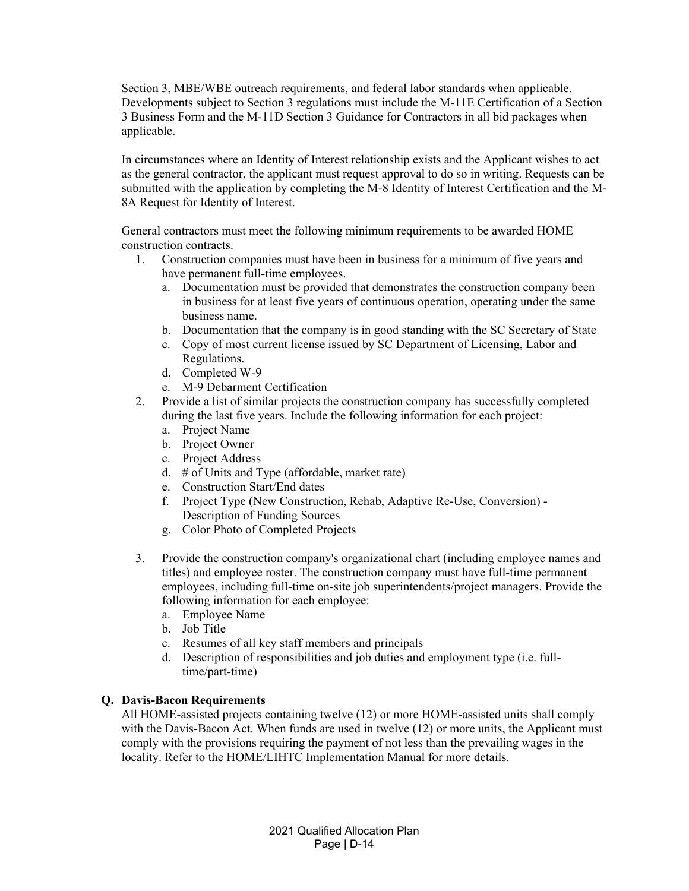Section 3, MBE/WBE outreach requirements, and federal labor standards when applicable. Developments subject to Section 3 regulations must include the M-11E Certification of a Section 3 Business Form and the M-11D Section 3 Guidance for Contractors in all bid packages when applicable.

In circumstances where an Identity of Interest relationship exists and the Applicant wishes to act as the general contractor, the applicant must request approval to do so in writing. Requests can be submitted with the application by completing the M-8 Identity of Interest Certification and the M-8A Request for Identity of Interest.

General contractors must meet the following minimum requirements to be awarded HOME construction contracts.

- 1. Construction companies must have been in business for a minimum of five years and have permanent full-time employees.
	- a. Documentation must be provided that demonstrates the construction company been in business for at least five years of continuous operation, operating under the same business name.
	- b. Documentation that the company is in good standing with the SC Secretary of State
	- c. Copy of most current license issued by SC Department of Licensing, Labor and Regulations.
	- d. Completed W-9
	- e. M-9 Debarment Certification
- 2. Provide a list of similar projects the construction company has successfully completed during the last five years. Include the following information for each project:
	- a. Project Name
	- b. Project Owner
	- c. Project Address
	- d. # of Units and Type (affordable, market rate)
	- e. Construction Start/End dates
	- f. Project Type (New Construction, Rehab, Adaptive Re-Use, Conversion) Description of Funding Sources
	- g. Color Photo of Completed Projects
- 3. Provide the construction company's organizational chart (including employee names and titles) and employee roster. The construction company must have full-time permanent employees, including full-time on-site job superintendents/project managers. Provide the following information for each employee:
	- a. Employee Name
	- b. Job Title
	- c. Resumes of all key staff members and principals
	- d. Description of responsibilities and job duties and employment type (i.e. fulltime/part-time)

### **Q. Davis-Bacon Requirements**

All HOME-assisted projects containing twelve (12) or more HOME-assisted units shall comply with the Davis-Bacon Act. When funds are used in twelve (12) or more units, the Applicant must comply with the provisions requiring the payment of not less than the prevailing wages in the locality. Refer to the HOME/LIHTC Implementation Manual for more details.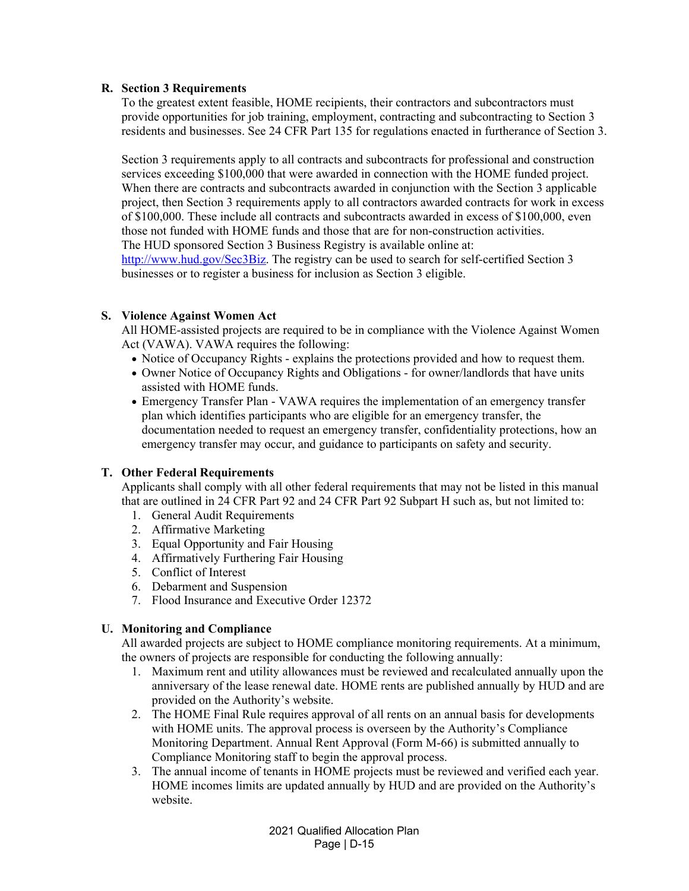### **R. Section 3 Requirements**

To the greatest extent feasible, HOME recipients, their contractors and subcontractors must provide opportunities for job training, employment, contracting and subcontracting to Section 3 residents and businesses. See 24 CFR Part 135 for regulations enacted in furtherance of Section 3.

Section 3 requirements apply to all contracts and subcontracts for professional and construction services exceeding \$100,000 that were awarded in connection with the HOME funded project. When there are contracts and subcontracts awarded in conjunction with the Section 3 applicable project, then Section 3 requirements apply to all contractors awarded contracts for work in excess of \$100,000. These include all contracts and subcontracts awarded in excess of \$100,000, even those not funded with HOME funds and those that are for non-construction activities. The HUD sponsored Section 3 Business Registry is available online at: http://www.hud.gov/Sec3Biz. The registry can be used to search for self-certified Section 3 businesses or to register a business for inclusion as Section 3 eligible.

# **S. Violence Against Women Act**

All HOME-assisted projects are required to be in compliance with the Violence Against Women Act (VAWA). VAWA requires the following:

- Notice of Occupancy Rights explains the protections provided and how to request them.
- Owner Notice of Occupancy Rights and Obligations for owner/landlords that have units assisted with HOME funds.
- Emergency Transfer Plan VAWA requires the implementation of an emergency transfer plan which identifies participants who are eligible for an emergency transfer, the documentation needed to request an emergency transfer, confidentiality protections, how an emergency transfer may occur, and guidance to participants on safety and security.

### **T. Other Federal Requirements**

Applicants shall comply with all other federal requirements that may not be listed in this manual that are outlined in 24 CFR Part 92 and 24 CFR Part 92 Subpart H such as, but not limited to:

- 1. General Audit Requirements
- 2. Affirmative Marketing
- 3. Equal Opportunity and Fair Housing
- 4. Affirmatively Furthering Fair Housing
- 5. Conflict of Interest
- 6. Debarment and Suspension
- 7. Flood Insurance and Executive Order 12372

# **U. Monitoring and Compliance**

All awarded projects are subject to HOME compliance monitoring requirements. At a minimum, the owners of projects are responsible for conducting the following annually:

- 1. Maximum rent and utility allowances must be reviewed and recalculated annually upon the anniversary of the lease renewal date. HOME rents are published annually by HUD and are provided on the Authority's website.
- 2. The HOME Final Rule requires approval of all rents on an annual basis for developments with HOME units. The approval process is overseen by the Authority's Compliance Monitoring Department. Annual Rent Approval (Form M-66) is submitted annually to Compliance Monitoring staff to begin the approval process.
- 3. The annual income of tenants in HOME projects must be reviewed and verified each year. HOME incomes limits are updated annually by HUD and are provided on the Authority's website.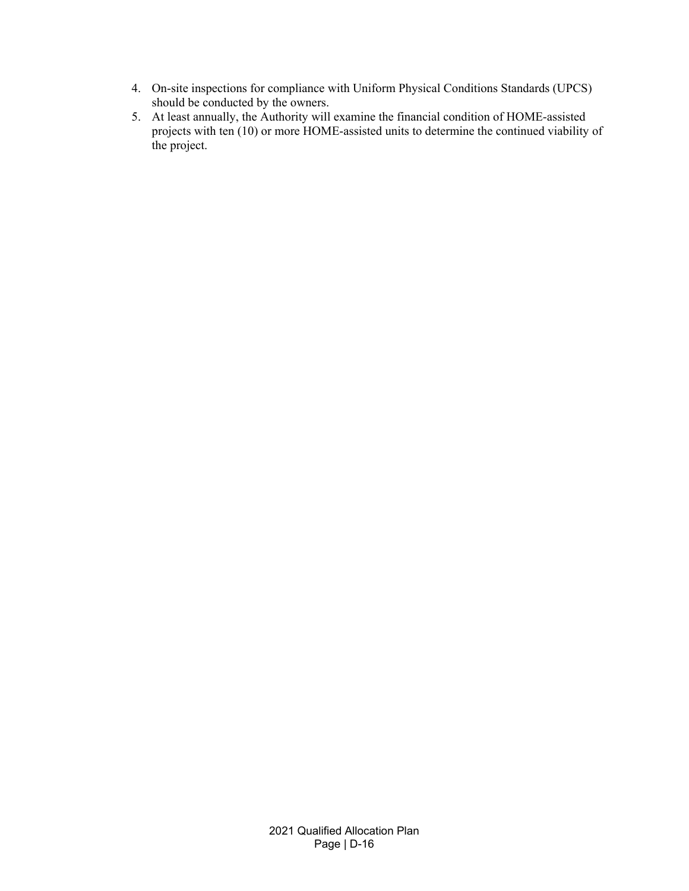- 4. On-site inspections for compliance with Uniform Physical Conditions Standards (UPCS) should be conducted by the owners.
- 5. At least annually, the Authority will examine the financial condition of HOME-assisted projects with ten (10) or more HOME-assisted units to determine the continued viability of the project.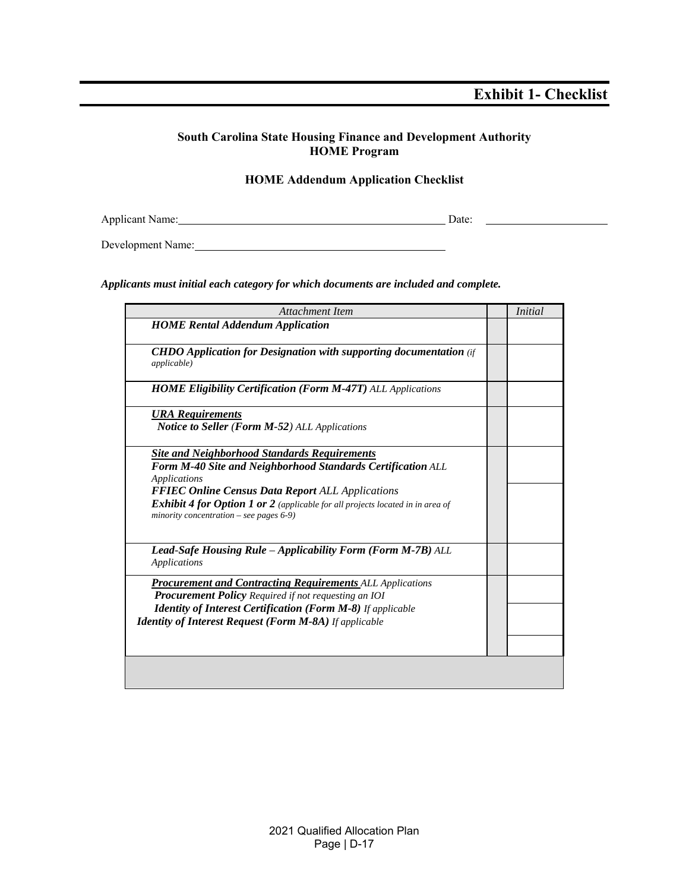# **Exhibit 1- Checklist**

# **South Carolina State Housing Finance and Development Authority HOME Program**

# **HOME Addendum Application Checklist**

Applicant Name: Date: Date:

Development Name:

#### *Applicants must initial each category for which documents are included and complete.*

| Attachment Item                                                                                                                                                                                                                                                                                                                      | <i>Initial</i> |
|--------------------------------------------------------------------------------------------------------------------------------------------------------------------------------------------------------------------------------------------------------------------------------------------------------------------------------------|----------------|
| <b>HOME Rental Addendum Application</b>                                                                                                                                                                                                                                                                                              |                |
| <b>CHDO</b> Application for Designation with supporting documentation (if<br>applicable)                                                                                                                                                                                                                                             |                |
| <b>HOME Eligibility Certification (Form M-47T)</b> ALL Applications                                                                                                                                                                                                                                                                  |                |
| <b>URA</b> Requirements<br><b>Notice to Seller (Form M-52)</b> ALL Applications                                                                                                                                                                                                                                                      |                |
| <b>Site and Neighborhood Standards Requirements</b><br>Form M-40 Site and Neighborhood Standards Certification ALL<br>Applications<br><b>FFIEC Online Census Data Report ALL Applications</b><br><b>Exhibit 4 for Option 1 or 2</b> (applicable for all projects located in in area of<br>minority concentration – see pages $6-9$ ) |                |
| Lead-Safe Housing Rule - Applicability Form (Form M-7B) ALL<br><b>Applications</b>                                                                                                                                                                                                                                                   |                |
| <b>Procurement and Contracting Requirements ALL Applications</b><br><b>Procurement Policy</b> Required if not requesting an IOI<br><b>Identity of Interest Certification (Form M-8)</b> If applicable<br><b>Identity of Interest Request (Form M-8A)</b> If applicable                                                               |                |
|                                                                                                                                                                                                                                                                                                                                      |                |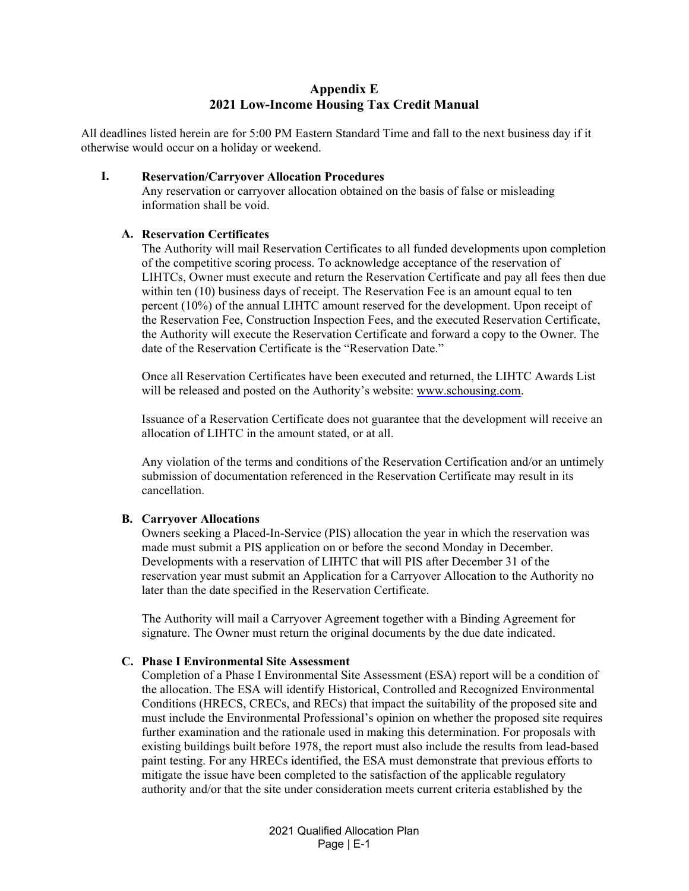# **Appendix E 2021 Low-Income Housing Tax Credit Manual**

All deadlines listed herein are for 5:00 PM Eastern Standard Time and fall to the next business day if it otherwise would occur on a holiday or weekend.

#### **I. Reservation/Carryover Allocation Procedures**

Any reservation or carryover allocation obtained on the basis of false or misleading information shall be void.

### **A. Reservation Certificates**

The Authority will mail Reservation Certificates to all funded developments upon completion of the competitive scoring process. To acknowledge acceptance of the reservation of LIHTCs, Owner must execute and return the Reservation Certificate and pay all fees then due within ten (10) business days of receipt. The Reservation Fee is an amount equal to ten percent (10%) of the annual LIHTC amount reserved for the development. Upon receipt of the Reservation Fee, Construction Inspection Fees, and the executed Reservation Certificate, the Authority will execute the Reservation Certificate and forward a copy to the Owner. The date of the Reservation Certificate is the "Reservation Date."

Once all Reservation Certificates have been executed and returned, the LIHTC Awards List will be released and posted on the Authority's website: www.schousing.com.

Issuance of a Reservation Certificate does not guarantee that the development will receive an allocation of LIHTC in the amount stated, or at all.

Any violation of the terms and conditions of the Reservation Certification and/or an untimely submission of documentation referenced in the Reservation Certificate may result in its cancellation.

### **B. Carryover Allocations**

Owners seeking a Placed-In-Service (PIS) allocation the year in which the reservation was made must submit a PIS application on or before the second Monday in December. Developments with a reservation of LIHTC that will PIS after December 31 of the reservation year must submit an Application for a Carryover Allocation to the Authority no later than the date specified in the Reservation Certificate.

The Authority will mail a Carryover Agreement together with a Binding Agreement for signature. The Owner must return the original documents by the due date indicated.

#### **C. Phase I Environmental Site Assessment**

Completion of a Phase I Environmental Site Assessment (ESA) report will be a condition of the allocation. The ESA will identify Historical, Controlled and Recognized Environmental Conditions (HRECS, CRECs, and RECs) that impact the suitability of the proposed site and must include the Environmental Professional's opinion on whether the proposed site requires further examination and the rationale used in making this determination. For proposals with existing buildings built before 1978, the report must also include the results from lead-based paint testing. For any HRECs identified, the ESA must demonstrate that previous efforts to mitigate the issue have been completed to the satisfaction of the applicable regulatory authority and/or that the site under consideration meets current criteria established by the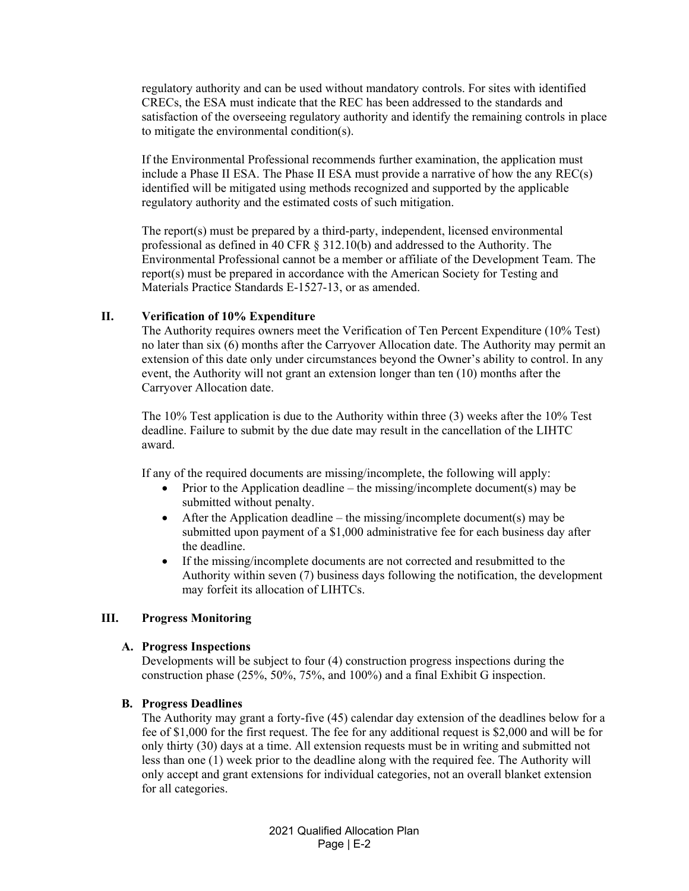regulatory authority and can be used without mandatory controls. For sites with identified CRECs, the ESA must indicate that the REC has been addressed to the standards and satisfaction of the overseeing regulatory authority and identify the remaining controls in place to mitigate the environmental condition(s).

If the Environmental Professional recommends further examination, the application must include a Phase II ESA. The Phase II ESA must provide a narrative of how the any REC(s) identified will be mitigated using methods recognized and supported by the applicable regulatory authority and the estimated costs of such mitigation.

The report(s) must be prepared by a third-party, independent, licensed environmental professional as defined in 40 CFR § 312.10(b) and addressed to the Authority. The Environmental Professional cannot be a member or affiliate of the Development Team. The report(s) must be prepared in accordance with the American Society for Testing and Materials Practice Standards E-1527-13, or as amended.

### **II. Verification of 10% Expenditure**

The Authority requires owners meet the Verification of Ten Percent Expenditure (10% Test) no later than six (6) months after the Carryover Allocation date. The Authority may permit an extension of this date only under circumstances beyond the Owner's ability to control. In any event, the Authority will not grant an extension longer than ten (10) months after the Carryover Allocation date.

The 10% Test application is due to the Authority within three (3) weeks after the 10% Test deadline. Failure to submit by the due date may result in the cancellation of the LIHTC award.

If any of the required documents are missing/incomplete, the following will apply:

- Prior to the Application deadline the missing/incomplete document(s) may be submitted without penalty.
- $\bullet$  After the Application deadline the missing/incomplete document(s) may be submitted upon payment of a \$1,000 administrative fee for each business day after the deadline.
- If the missing/incomplete documents are not corrected and resubmitted to the Authority within seven (7) business days following the notification, the development may forfeit its allocation of LIHTCs.

### **III. Progress Monitoring**

#### **A. Progress Inspections**

Developments will be subject to four (4) construction progress inspections during the construction phase (25%, 50%, 75%, and 100%) and a final Exhibit G inspection.

#### **B. Progress Deadlines**

The Authority may grant a forty-five (45) calendar day extension of the deadlines below for a fee of \$1,000 for the first request. The fee for any additional request is \$2,000 and will be for only thirty (30) days at a time. All extension requests must be in writing and submitted not less than one (1) week prior to the deadline along with the required fee. The Authority will only accept and grant extensions for individual categories, not an overall blanket extension for all categories.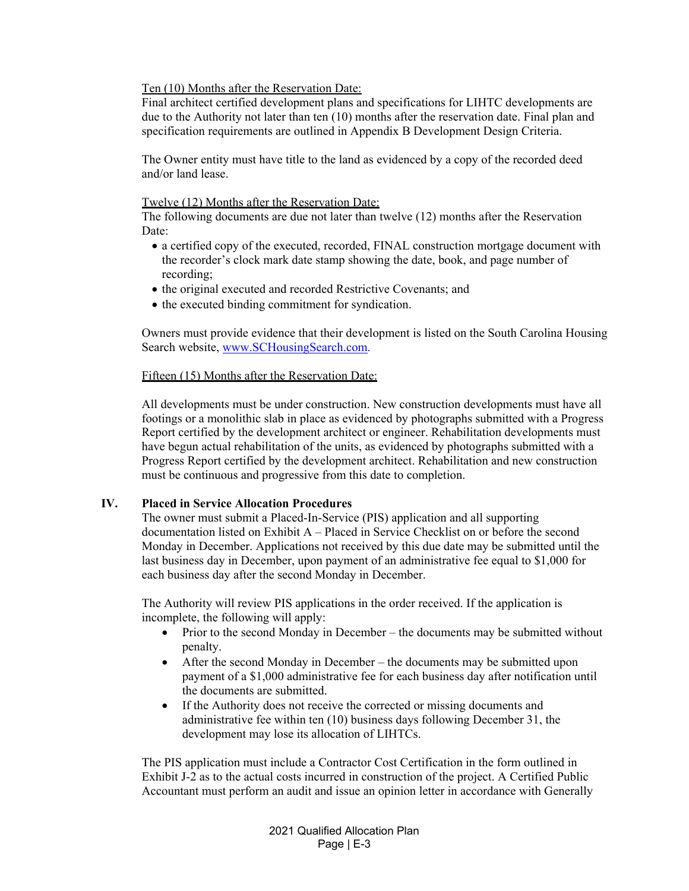Ten (10) Months after the Reservation Date:

Final architect certified development plans and specifications for LIHTC developments are due to the Authority not later than ten (10) months after the reservation date. Final plan and specification requirements are outlined in Appendix B Development Design Criteria.

The Owner entity must have title to the land as evidenced by a copy of the recorded deed and/or land lease.

#### Twelve (12) Months after the Reservation Date:

The following documents are due not later than twelve (12) months after the Reservation Date:

- a certified copy of the executed, recorded, FINAL construction mortgage document with the recorder's clock mark date stamp showing the date, book, and page number of recording;
- the original executed and recorded Restrictive Covenants; and
- the executed binding commitment for syndication.

Owners must provide evidence that their development is listed on the South Carolina Housing Search website, www.SCHousingSearch.com.

### Fifteen (15) Months after the Reservation Date:

All developments must be under construction. New construction developments must have all footings or a monolithic slab in place as evidenced by photographs submitted with a Progress Report certified by the development architect or engineer. Rehabilitation developments must have begun actual rehabilitation of the units, as evidenced by photographs submitted with a Progress Report certified by the development architect. Rehabilitation and new construction must be continuous and progressive from this date to completion.

### **IV. Placed in Service Allocation Procedures**

The owner must submit a Placed-In-Service (PIS) application and all supporting documentation listed on Exhibit A – Placed in Service Checklist on or before the second Monday in December. Applications not received by this due date may be submitted until the last business day in December, upon payment of an administrative fee equal to \$1,000 for each business day after the second Monday in December.

The Authority will review PIS applications in the order received. If the application is incomplete, the following will apply:

- Prior to the second Monday in December the documents may be submitted without penalty.
- After the second Monday in December the documents may be submitted upon payment of a \$1,000 administrative fee for each business day after notification until the documents are submitted.
- If the Authority does not receive the corrected or missing documents and administrative fee within ten (10) business days following December 31, the development may lose its allocation of LIHTCs.

The PIS application must include a Contractor Cost Certification in the form outlined in Exhibit J-2 as to the actual costs incurred in construction of the project. A Certified Public Accountant must perform an audit and issue an opinion letter in accordance with Generally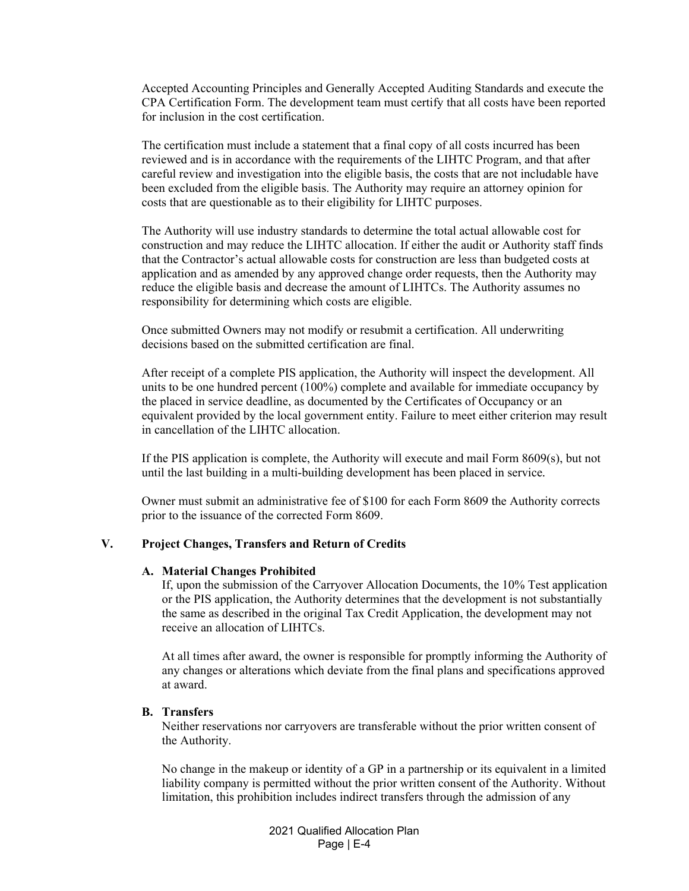Accepted Accounting Principles and Generally Accepted Auditing Standards and execute the CPA Certification Form. The development team must certify that all costs have been reported for inclusion in the cost certification.

The certification must include a statement that a final copy of all costs incurred has been reviewed and is in accordance with the requirements of the LIHTC Program, and that after careful review and investigation into the eligible basis, the costs that are not includable have been excluded from the eligible basis. The Authority may require an attorney opinion for costs that are questionable as to their eligibility for LIHTC purposes.

The Authority will use industry standards to determine the total actual allowable cost for construction and may reduce the LIHTC allocation. If either the audit or Authority staff finds that the Contractor's actual allowable costs for construction are less than budgeted costs at application and as amended by any approved change order requests, then the Authority may reduce the eligible basis and decrease the amount of LIHTCs. The Authority assumes no responsibility for determining which costs are eligible.

Once submitted Owners may not modify or resubmit a certification. All underwriting decisions based on the submitted certification are final.

After receipt of a complete PIS application, the Authority will inspect the development. All units to be one hundred percent (100%) complete and available for immediate occupancy by the placed in service deadline, as documented by the Certificates of Occupancy or an equivalent provided by the local government entity. Failure to meet either criterion may result in cancellation of the LIHTC allocation.

If the PIS application is complete, the Authority will execute and mail Form 8609(s), but not until the last building in a multi-building development has been placed in service*.*

Owner must submit an administrative fee of \$100 for each Form 8609 the Authority corrects prior to the issuance of the corrected Form 8609.

#### **V. Project Changes, Transfers and Return of Credits**

#### **A. Material Changes Prohibited**

If, upon the submission of the Carryover Allocation Documents, the 10% Test application or the PIS application, the Authority determines that the development is not substantially the same as described in the original Tax Credit Application, the development may not receive an allocation of LIHTCs.

At all times after award, the owner is responsible for promptly informing the Authority of any changes or alterations which deviate from the final plans and specifications approved at award.

#### **B. Transfers**

Neither reservations nor carryovers are transferable without the prior written consent of the Authority.

No change in the makeup or identity of a GP in a partnership or its equivalent in a limited liability company is permitted without the prior written consent of the Authority. Without limitation, this prohibition includes indirect transfers through the admission of any

> 2021 Qualified Allocation Plan Page | E-4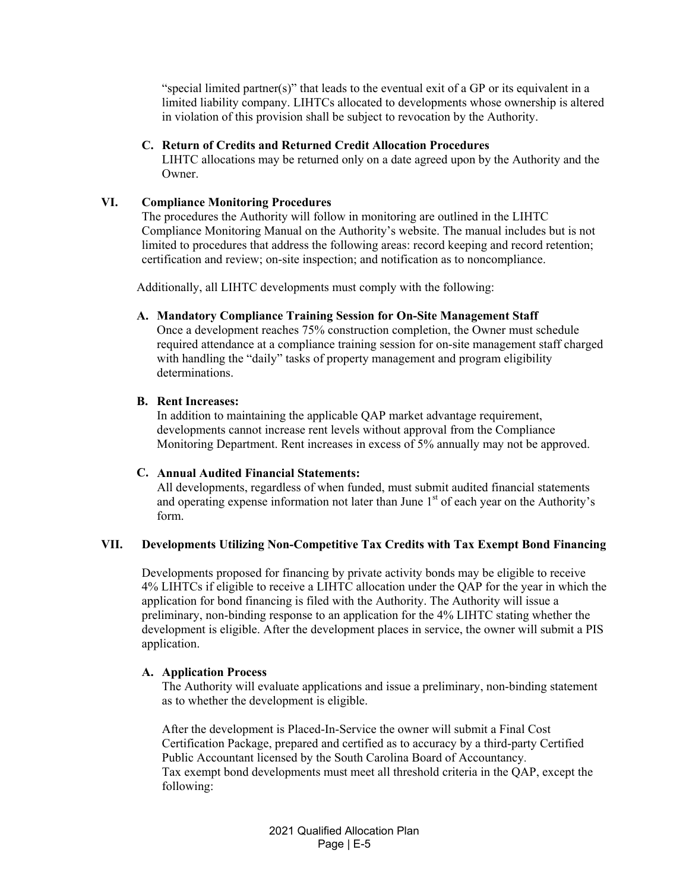"special limited partner(s)" that leads to the eventual exit of a GP or its equivalent in a limited liability company. LIHTCs allocated to developments whose ownership is altered in violation of this provision shall be subject to revocation by the Authority.

#### **C. Return of Credits and Returned Credit Allocation Procedures**

LIHTC allocations may be returned only on a date agreed upon by the Authority and the Owner.

#### **VI. Compliance Monitoring Procedures**

The procedures the Authority will follow in monitoring are outlined in the LIHTC Compliance Monitoring Manual on the Authority's website. The manual includes but is not limited to procedures that address the following areas: record keeping and record retention; certification and review; on-site inspection; and notification as to noncompliance.

Additionally, all LIHTC developments must comply with the following:

### **A. Mandatory Compliance Training Session for On-Site Management Staff**

Once a development reaches 75% construction completion, the Owner must schedule required attendance at a compliance training session for on-site management staff charged with handling the "daily" tasks of property management and program eligibility determinations.

#### **B. Rent Increases:**

In addition to maintaining the applicable QAP market advantage requirement, developments cannot increase rent levels without approval from the Compliance Monitoring Department. Rent increases in excess of 5% annually may not be approved.

#### **C. Annual Audited Financial Statements:**

All developments, regardless of when funded, must submit audited financial statements and operating expense information not later than June  $1<sup>st</sup>$  of each year on the Authority's form.

#### **VII. Developments Utilizing Non-Competitive Tax Credits with Tax Exempt Bond Financing**

Developments proposed for financing by private activity bonds may be eligible to receive 4% LIHTCs if eligible to receive a LIHTC allocation under the QAP for the year in which the application for bond financing is filed with the Authority. The Authority will issue a preliminary, non-binding response to an application for the 4% LIHTC stating whether the development is eligible. After the development places in service, the owner will submit a PIS application.

### **A. Application Process**

The Authority will evaluate applications and issue a preliminary, non-binding statement as to whether the development is eligible.

After the development is Placed-In-Service the owner will submit a Final Cost Certification Package, prepared and certified as to accuracy by a third-party Certified Public Accountant licensed by the South Carolina Board of Accountancy. Tax exempt bond developments must meet all threshold criteria in the QAP, except the following: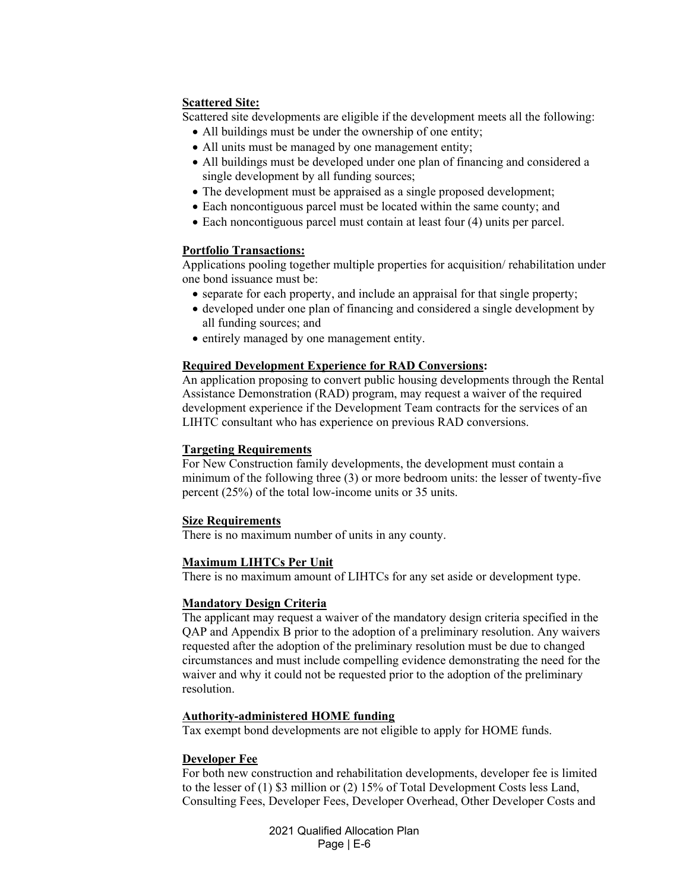### **Scattered Site:**

Scattered site developments are eligible if the development meets all the following:

- All buildings must be under the ownership of one entity;
- All units must be managed by one management entity;
- All buildings must be developed under one plan of financing and considered a single development by all funding sources;
- The development must be appraised as a single proposed development;
- Each noncontiguous parcel must be located within the same county; and
- Each noncontiguous parcel must contain at least four (4) units per parcel.

#### **Portfolio Transactions:**

Applications pooling together multiple properties for acquisition/ rehabilitation under one bond issuance must be:

- separate for each property, and include an appraisal for that single property;
- developed under one plan of financing and considered a single development by all funding sources; and
- entirely managed by one management entity.

### **Required Development Experience for RAD Conversions:**

An application proposing to convert public housing developments through the Rental Assistance Demonstration (RAD) program, may request a waiver of the required development experience if the Development Team contracts for the services of an LIHTC consultant who has experience on previous RAD conversions.

### **Targeting Requirements**

For New Construction family developments, the development must contain a minimum of the following three (3) or more bedroom units: the lesser of twenty-five percent (25%) of the total low-income units or 35 units.

### **Size Requirements**

There is no maximum number of units in any county.

### **Maximum LIHTCs Per Unit**

There is no maximum amount of LIHTCs for any set aside or development type.

### **Mandatory Design Criteria**

The applicant may request a waiver of the mandatory design criteria specified in the QAP and Appendix B prior to the adoption of a preliminary resolution. Any waivers requested after the adoption of the preliminary resolution must be due to changed circumstances and must include compelling evidence demonstrating the need for the waiver and why it could not be requested prior to the adoption of the preliminary resolution.

#### **Authority-administered HOME funding**

Tax exempt bond developments are not eligible to apply for HOME funds.

### **Developer Fee**

For both new construction and rehabilitation developments, developer fee is limited to the lesser of (1) \$3 million or (2) 15% of Total Development Costs less Land, Consulting Fees, Developer Fees, Developer Overhead, Other Developer Costs and

> 2021 Qualified Allocation Plan Page | E-6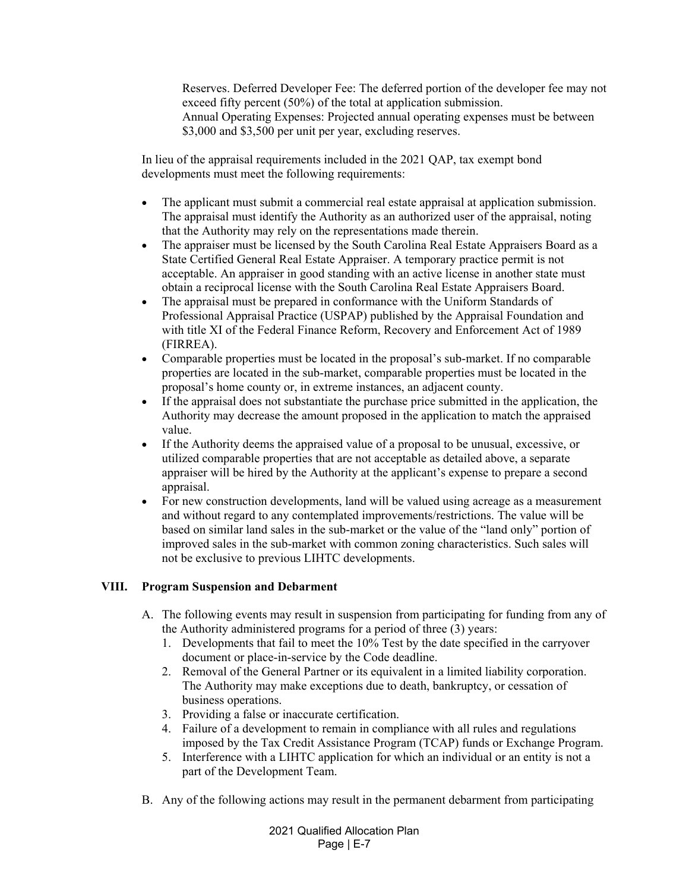Reserves. Deferred Developer Fee: The deferred portion of the developer fee may not exceed fifty percent (50%) of the total at application submission. Annual Operating Expenses: Projected annual operating expenses must be between \$3,000 and \$3,500 per unit per year, excluding reserves.

In lieu of the appraisal requirements included in the 2021 QAP, tax exempt bond developments must meet the following requirements:

- The applicant must submit a commercial real estate appraisal at application submission. The appraisal must identify the Authority as an authorized user of the appraisal, noting that the Authority may rely on the representations made therein.
- The appraiser must be licensed by the South Carolina Real Estate Appraisers Board as a State Certified General Real Estate Appraiser. A temporary practice permit is not acceptable. An appraiser in good standing with an active license in another state must obtain a reciprocal license with the South Carolina Real Estate Appraisers Board.
- The appraisal must be prepared in conformance with the Uniform Standards of Professional Appraisal Practice (USPAP) published by the Appraisal Foundation and with title XI of the Federal Finance Reform, Recovery and Enforcement Act of 1989 (FIRREA).
- Comparable properties must be located in the proposal's sub-market. If no comparable properties are located in the sub-market, comparable properties must be located in the proposal's home county or, in extreme instances, an adjacent county.
- If the appraisal does not substantiate the purchase price submitted in the application, the Authority may decrease the amount proposed in the application to match the appraised value.
- If the Authority deems the appraised value of a proposal to be unusual, excessive, or utilized comparable properties that are not acceptable as detailed above, a separate appraiser will be hired by the Authority at the applicant's expense to prepare a second appraisal.
- For new construction developments, land will be valued using acreage as a measurement and without regard to any contemplated improvements/restrictions. The value will be based on similar land sales in the sub-market or the value of the "land only" portion of improved sales in the sub-market with common zoning characteristics. Such sales will not be exclusive to previous LIHTC developments.

# **VIII. Program Suspension and Debarment**

- A. The following events may result in suspension from participating for funding from any of the Authority administered programs for a period of three (3) years:
	- 1. Developments that fail to meet the 10% Test by the date specified in the carryover document or place-in-service by the Code deadline.
	- 2. Removal of the General Partner or its equivalent in a limited liability corporation. The Authority may make exceptions due to death, bankruptcy, or cessation of business operations.
	- 3. Providing a false or inaccurate certification.
	- 4. Failure of a development to remain in compliance with all rules and regulations imposed by the Tax Credit Assistance Program (TCAP) funds or Exchange Program.
	- 5. Interference with a LIHTC application for which an individual or an entity is not a part of the Development Team.
- B. Any of the following actions may result in the permanent debarment from participating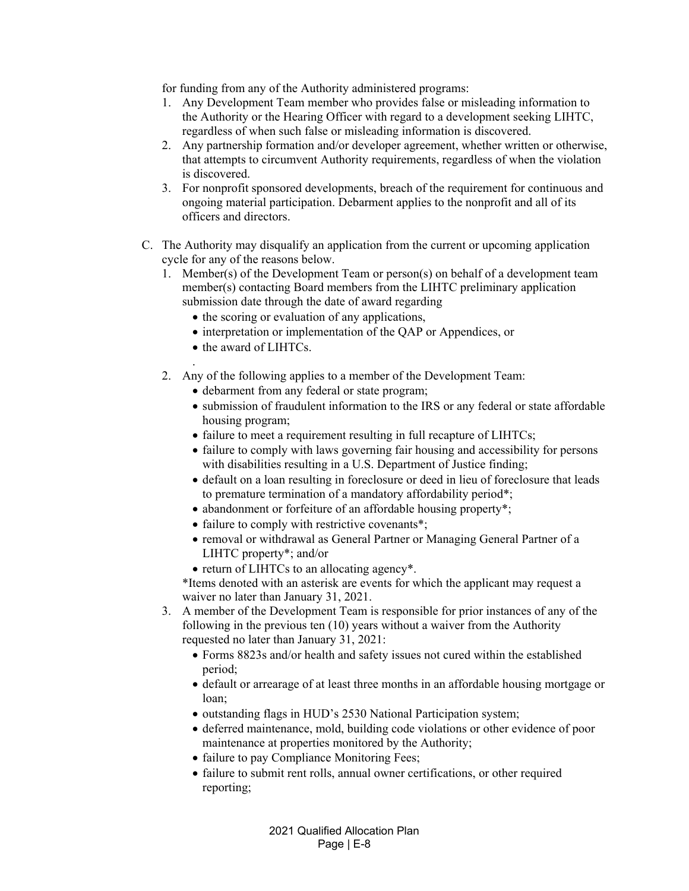for funding from any of the Authority administered programs:

- 1. Any Development Team member who provides false or misleading information to the Authority or the Hearing Officer with regard to a development seeking LIHTC, regardless of when such false or misleading information is discovered.
- 2. Any partnership formation and/or developer agreement, whether written or otherwise, that attempts to circumvent Authority requirements, regardless of when the violation is discovered.
- 3. For nonprofit sponsored developments, breach of the requirement for continuous and ongoing material participation. Debarment applies to the nonprofit and all of its officers and directors.
- C. The Authority may disqualify an application from the current or upcoming application cycle for any of the reasons below.
	- 1. Member(s) of the Development Team or person(s) on behalf of a development team member(s) contacting Board members from the LIHTC preliminary application submission date through the date of award regarding
		- the scoring or evaluation of any applications,
		- interpretation or implementation of the OAP or Appendices, or
		- the award of LIHTCs.
	- . 2. Any of the following applies to a member of the Development Team:
		- debarment from any federal or state program;
		- submission of fraudulent information to the IRS or any federal or state affordable housing program;
		- failure to meet a requirement resulting in full recapture of LIHTCs;
		- failure to comply with laws governing fair housing and accessibility for persons with disabilities resulting in a U.S. Department of Justice finding;
		- default on a loan resulting in foreclosure or deed in lieu of foreclosure that leads to premature termination of a mandatory affordability period\*;
		- abandonment or forfeiture of an affordable housing property\*;
		- failure to comply with restrictive covenants\*;
		- removal or withdrawal as General Partner or Managing General Partner of a LIHTC property\*; and/or
		- return of LIHTCs to an allocating agency\*.
		- \*Items denoted with an asterisk are events for which the applicant may request a waiver no later than January 31, 2021.
	- 3. A member of the Development Team is responsible for prior instances of any of the following in the previous ten (10) years without a waiver from the Authority requested no later than January 31, 2021:
		- Forms 8823s and/or health and safety issues not cured within the established period;
		- default or arrearage of at least three months in an affordable housing mortgage or loan;
		- outstanding flags in HUD's 2530 National Participation system;
		- deferred maintenance, mold, building code violations or other evidence of poor maintenance at properties monitored by the Authority;
		- failure to pay Compliance Monitoring Fees;
		- failure to submit rent rolls, annual owner certifications, or other required reporting;